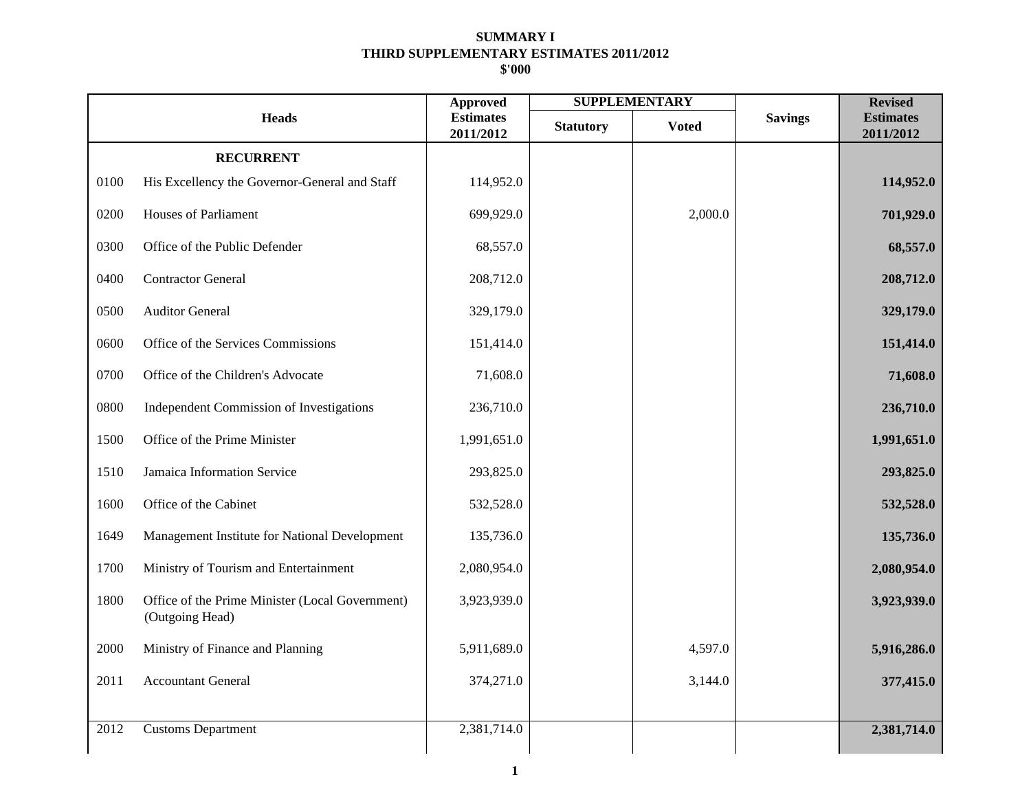|      |                                                                    | <b>Approved</b>               | <b>SUPPLEMENTARY</b> |              |                | <b>Revised</b>                |
|------|--------------------------------------------------------------------|-------------------------------|----------------------|--------------|----------------|-------------------------------|
|      | <b>Heads</b>                                                       | <b>Estimates</b><br>2011/2012 | <b>Statutory</b>     | <b>Voted</b> | <b>Savings</b> | <b>Estimates</b><br>2011/2012 |
|      | <b>RECURRENT</b>                                                   |                               |                      |              |                |                               |
| 0100 | His Excellency the Governor-General and Staff                      | 114,952.0                     |                      |              |                | 114,952.0                     |
| 0200 | <b>Houses of Parliament</b>                                        | 699,929.0                     |                      | 2,000.0      |                | 701,929.0                     |
| 0300 | Office of the Public Defender                                      | 68,557.0                      |                      |              |                | 68,557.0                      |
| 0400 | <b>Contractor General</b>                                          | 208,712.0                     |                      |              |                | 208,712.0                     |
| 0500 | <b>Auditor General</b>                                             | 329,179.0                     |                      |              |                | 329,179.0                     |
| 0600 | Office of the Services Commissions                                 | 151,414.0                     |                      |              |                | 151,414.0                     |
| 0700 | Office of the Children's Advocate                                  | 71,608.0                      |                      |              |                | 71,608.0                      |
| 0800 | Independent Commission of Investigations                           | 236,710.0                     |                      |              |                | 236,710.0                     |
| 1500 | Office of the Prime Minister                                       | 1,991,651.0                   |                      |              |                | 1,991,651.0                   |
| 1510 | Jamaica Information Service                                        | 293,825.0                     |                      |              |                | 293,825.0                     |
| 1600 | Office of the Cabinet                                              | 532,528.0                     |                      |              |                | 532,528.0                     |
| 1649 | Management Institute for National Development                      | 135,736.0                     |                      |              |                | 135,736.0                     |
| 1700 | Ministry of Tourism and Entertainment                              | 2,080,954.0                   |                      |              |                | 2,080,954.0                   |
| 1800 | Office of the Prime Minister (Local Government)<br>(Outgoing Head) | 3,923,939.0                   |                      |              |                | 3,923,939.0                   |
| 2000 | Ministry of Finance and Planning                                   | 5,911,689.0                   |                      | 4,597.0      |                | 5,916,286.0                   |
| 2011 | <b>Accountant General</b>                                          | 374,271.0                     |                      | 3,144.0      |                | 377,415.0                     |
|      |                                                                    |                               |                      |              |                |                               |
| 2012 | <b>Customs Department</b>                                          | 2,381,714.0                   |                      |              |                | 2,381,714.0                   |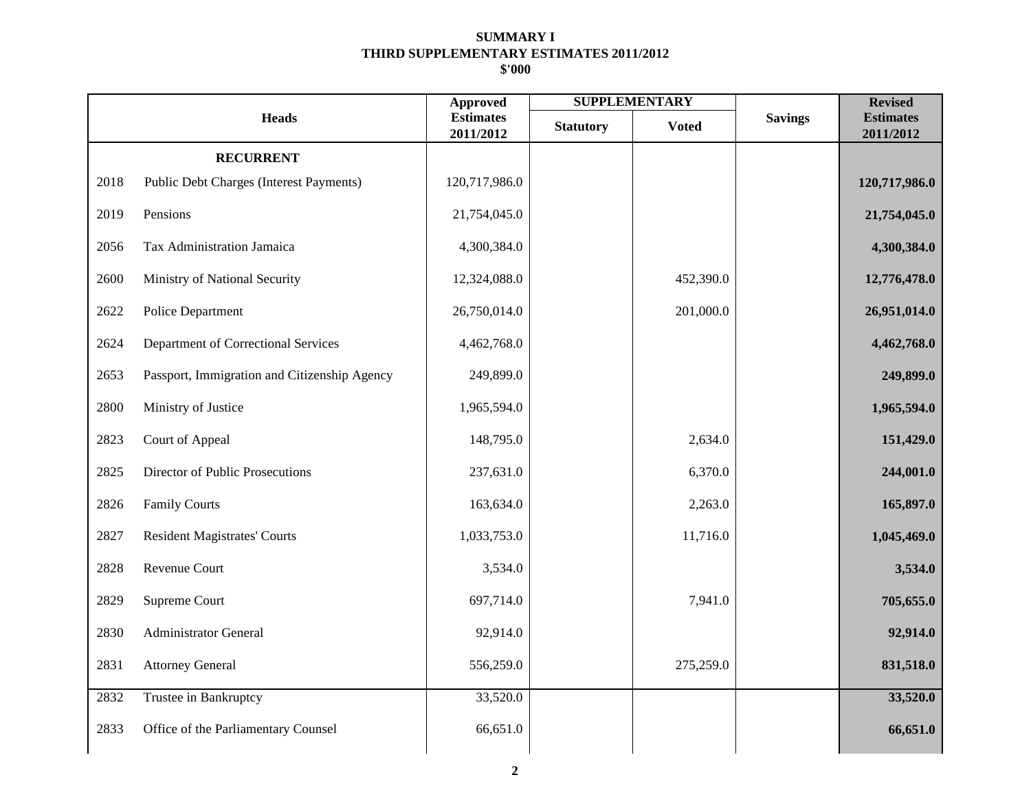|      |                                              | <b>Approved</b>               |                  | <b>SUPPLEMENTARY</b> |                | <b>Revised</b>                |
|------|----------------------------------------------|-------------------------------|------------------|----------------------|----------------|-------------------------------|
|      | <b>Heads</b>                                 | <b>Estimates</b><br>2011/2012 | <b>Statutory</b> | <b>Voted</b>         | <b>Savings</b> | <b>Estimates</b><br>2011/2012 |
|      | <b>RECURRENT</b>                             |                               |                  |                      |                |                               |
| 2018 | Public Debt Charges (Interest Payments)      | 120,717,986.0                 |                  |                      |                | 120,717,986.0                 |
| 2019 | Pensions                                     | 21,754,045.0                  |                  |                      |                | 21,754,045.0                  |
| 2056 | Tax Administration Jamaica                   | 4,300,384.0                   |                  |                      |                | 4,300,384.0                   |
| 2600 | Ministry of National Security                | 12,324,088.0                  |                  | 452,390.0            |                | 12,776,478.0                  |
| 2622 | Police Department                            | 26,750,014.0                  |                  | 201,000.0            |                | 26,951,014.0                  |
| 2624 | Department of Correctional Services          | 4,462,768.0                   |                  |                      |                | 4,462,768.0                   |
| 2653 | Passport, Immigration and Citizenship Agency | 249,899.0                     |                  |                      |                | 249,899.0                     |
| 2800 | Ministry of Justice                          | 1,965,594.0                   |                  |                      |                | 1,965,594.0                   |
| 2823 | Court of Appeal                              | 148,795.0                     |                  | 2,634.0              |                | 151,429.0                     |
| 2825 | Director of Public Prosecutions              | 237,631.0                     |                  | 6,370.0              |                | 244,001.0                     |
| 2826 | <b>Family Courts</b>                         | 163,634.0                     |                  | 2,263.0              |                | 165,897.0                     |
| 2827 | <b>Resident Magistrates' Courts</b>          | 1,033,753.0                   |                  | 11,716.0             |                | 1,045,469.0                   |
| 2828 | Revenue Court                                | 3,534.0                       |                  |                      |                | 3,534.0                       |
| 2829 | Supreme Court                                | 697,714.0                     |                  | 7,941.0              |                | 705,655.0                     |
| 2830 | <b>Administrator General</b>                 | 92,914.0                      |                  |                      |                | 92,914.0                      |
| 2831 | <b>Attorney General</b>                      | 556,259.0                     |                  | 275,259.0            |                | 831,518.0                     |
| 2832 | Trustee in Bankruptcy                        | 33,520.0                      |                  |                      |                | 33,520.0                      |
| 2833 | Office of the Parliamentary Counsel          | 66,651.0                      |                  |                      |                | 66,651.0                      |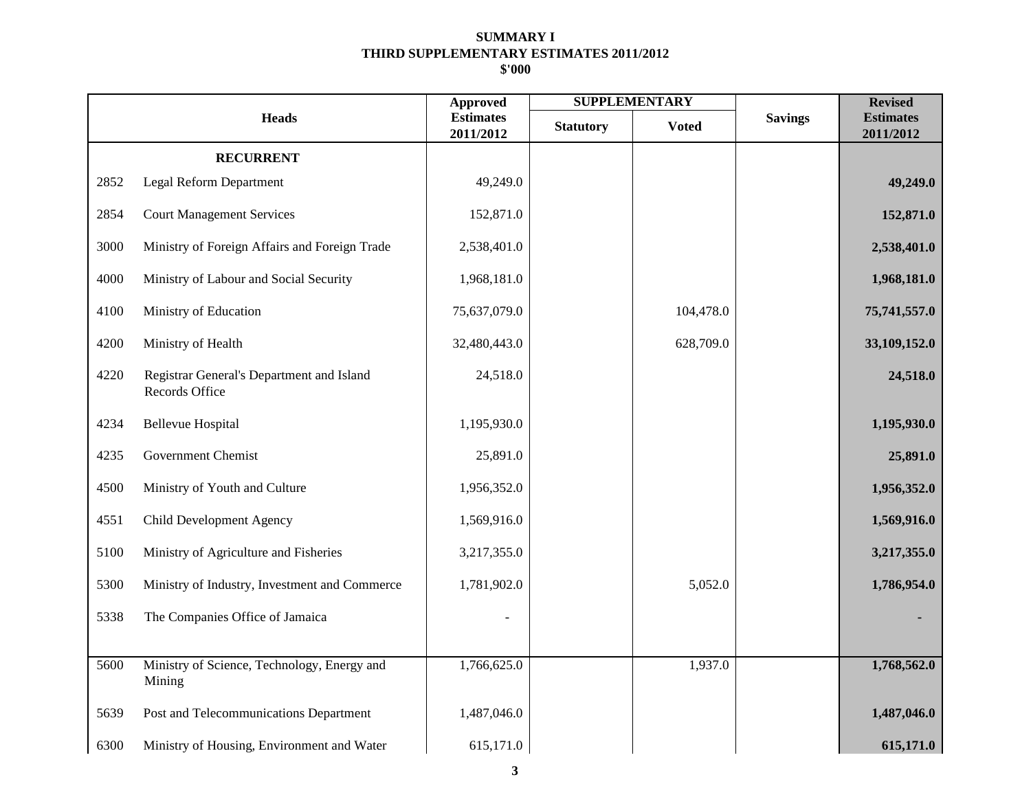|      |                                                             | <b>Approved</b>               | <b>SUPPLEMENTARY</b> |              |                | <b>Revised</b>                |
|------|-------------------------------------------------------------|-------------------------------|----------------------|--------------|----------------|-------------------------------|
|      | <b>Heads</b>                                                | <b>Estimates</b><br>2011/2012 | <b>Statutory</b>     | <b>Voted</b> | <b>Savings</b> | <b>Estimates</b><br>2011/2012 |
|      | <b>RECURRENT</b>                                            |                               |                      |              |                |                               |
| 2852 | Legal Reform Department                                     | 49,249.0                      |                      |              |                | 49,249.0                      |
| 2854 | <b>Court Management Services</b>                            | 152,871.0                     |                      |              |                | 152,871.0                     |
| 3000 | Ministry of Foreign Affairs and Foreign Trade               | 2,538,401.0                   |                      |              |                | 2,538,401.0                   |
| 4000 | Ministry of Labour and Social Security                      | 1,968,181.0                   |                      |              |                | 1,968,181.0                   |
| 4100 | Ministry of Education                                       | 75,637,079.0                  |                      | 104,478.0    |                | 75,741,557.0                  |
| 4200 | Ministry of Health                                          | 32,480,443.0                  |                      | 628,709.0    |                | 33,109,152.0                  |
| 4220 | Registrar General's Department and Island<br>Records Office | 24,518.0                      |                      |              |                | 24,518.0                      |
| 4234 | <b>Bellevue Hospital</b>                                    | 1,195,930.0                   |                      |              |                | 1,195,930.0                   |
| 4235 | <b>Government Chemist</b>                                   | 25,891.0                      |                      |              |                | 25,891.0                      |
| 4500 | Ministry of Youth and Culture                               | 1,956,352.0                   |                      |              |                | 1,956,352.0                   |
| 4551 | <b>Child Development Agency</b>                             | 1,569,916.0                   |                      |              |                | 1,569,916.0                   |
| 5100 | Ministry of Agriculture and Fisheries                       | 3,217,355.0                   |                      |              |                | 3,217,355.0                   |
| 5300 | Ministry of Industry, Investment and Commerce               | 1,781,902.0                   |                      | 5,052.0      |                | 1,786,954.0                   |
| 5338 | The Companies Office of Jamaica                             |                               |                      |              |                |                               |
|      |                                                             |                               |                      |              |                |                               |
| 5600 | Ministry of Science, Technology, Energy and<br>Mining       | 1,766,625.0                   |                      | 1,937.0      |                | 1,768,562.0                   |
| 5639 | Post and Telecommunications Department                      | 1,487,046.0                   |                      |              |                | 1,487,046.0                   |
| 6300 | Ministry of Housing, Environment and Water                  | 615,171.0                     |                      |              |                | 615,171.0                     |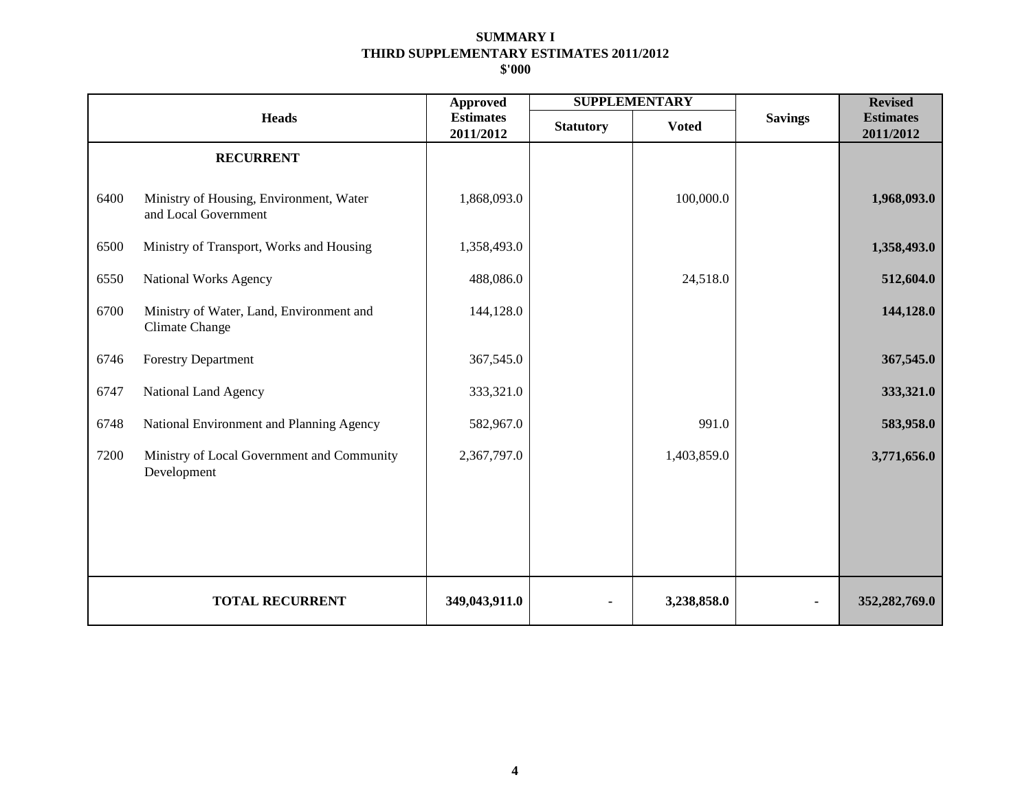|      |                                                                   | <b>Approved</b>               | <b>SUPPLEMENTARY</b> |              |                | <b>Revised</b>                |
|------|-------------------------------------------------------------------|-------------------------------|----------------------|--------------|----------------|-------------------------------|
|      | <b>Heads</b>                                                      | <b>Estimates</b><br>2011/2012 | <b>Statutory</b>     | <b>Voted</b> | <b>Savings</b> | <b>Estimates</b><br>2011/2012 |
|      | <b>RECURRENT</b>                                                  |                               |                      |              |                |                               |
| 6400 | Ministry of Housing, Environment, Water<br>and Local Government   | 1,868,093.0                   |                      | 100,000.0    |                | 1,968,093.0                   |
| 6500 | Ministry of Transport, Works and Housing                          | 1,358,493.0                   |                      |              |                | 1,358,493.0                   |
| 6550 | <b>National Works Agency</b>                                      | 488,086.0                     |                      | 24,518.0     |                | 512,604.0                     |
| 6700 | Ministry of Water, Land, Environment and<br><b>Climate Change</b> | 144,128.0                     |                      |              |                | 144,128.0                     |
| 6746 | <b>Forestry Department</b>                                        | 367,545.0                     |                      |              |                | 367,545.0                     |
| 6747 | National Land Agency                                              | 333,321.0                     |                      |              |                | 333,321.0                     |
| 6748 | National Environment and Planning Agency                          | 582,967.0                     |                      | 991.0        |                | 583,958.0                     |
| 7200 | Ministry of Local Government and Community<br>Development         | 2,367,797.0                   |                      | 1,403,859.0  |                | 3,771,656.0                   |
|      |                                                                   |                               |                      |              |                |                               |
|      |                                                                   |                               |                      |              |                |                               |
|      |                                                                   |                               |                      |              |                |                               |
|      | <b>TOTAL RECURRENT</b>                                            | 349,043,911.0                 | ۰                    | 3,238,858.0  |                | 352,282,769.0                 |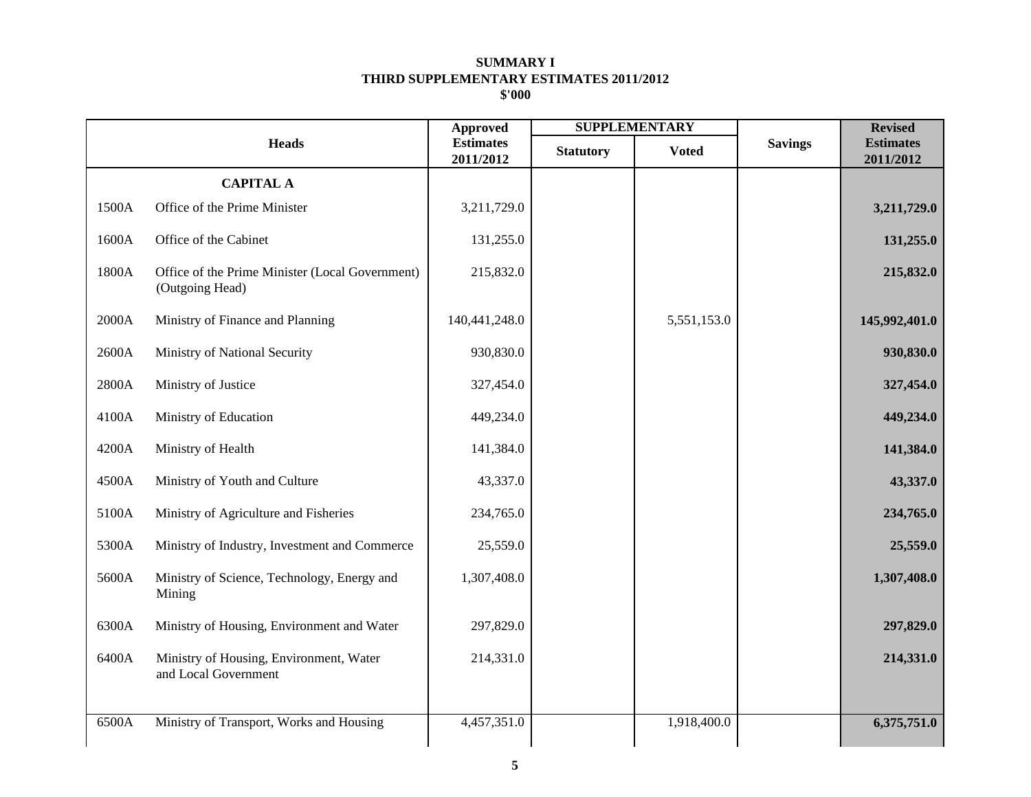|       |                                                                    | <b>Approved</b>               |                  | <b>SUPPLEMENTARY</b> |                | <b>Revised</b>                |
|-------|--------------------------------------------------------------------|-------------------------------|------------------|----------------------|----------------|-------------------------------|
|       | <b>Heads</b>                                                       | <b>Estimates</b><br>2011/2012 | <b>Statutory</b> | <b>Voted</b>         | <b>Savings</b> | <b>Estimates</b><br>2011/2012 |
|       | <b>CAPITAL A</b>                                                   |                               |                  |                      |                |                               |
| 1500A | Office of the Prime Minister                                       | 3,211,729.0                   |                  |                      |                | 3,211,729.0                   |
| 1600A | Office of the Cabinet                                              | 131,255.0                     |                  |                      |                | 131,255.0                     |
| 1800A | Office of the Prime Minister (Local Government)<br>(Outgoing Head) | 215,832.0                     |                  |                      |                | 215,832.0                     |
| 2000A | Ministry of Finance and Planning                                   | 140,441,248.0                 |                  | 5,551,153.0          |                | 145,992,401.0                 |
| 2600A | Ministry of National Security                                      | 930,830.0                     |                  |                      |                | 930,830.0                     |
| 2800A | Ministry of Justice                                                | 327,454.0                     |                  |                      |                | 327,454.0                     |
| 4100A | Ministry of Education                                              | 449,234.0                     |                  |                      |                | 449,234.0                     |
| 4200A | Ministry of Health                                                 | 141,384.0                     |                  |                      |                | 141,384.0                     |
| 4500A | Ministry of Youth and Culture                                      | 43,337.0                      |                  |                      |                | 43,337.0                      |
| 5100A | Ministry of Agriculture and Fisheries                              | 234,765.0                     |                  |                      |                | 234,765.0                     |
| 5300A | Ministry of Industry, Investment and Commerce                      | 25,559.0                      |                  |                      |                | 25,559.0                      |
| 5600A | Ministry of Science, Technology, Energy and<br>Mining              | 1,307,408.0                   |                  |                      |                | 1,307,408.0                   |
| 6300A | Ministry of Housing, Environment and Water                         | 297,829.0                     |                  |                      |                | 297,829.0                     |
| 6400A | Ministry of Housing, Environment, Water<br>and Local Government    | 214,331.0                     |                  |                      |                | 214,331.0                     |
| 6500A | Ministry of Transport, Works and Housing                           | 4,457,351.0                   |                  | 1,918,400.0          |                | 6,375,751.0                   |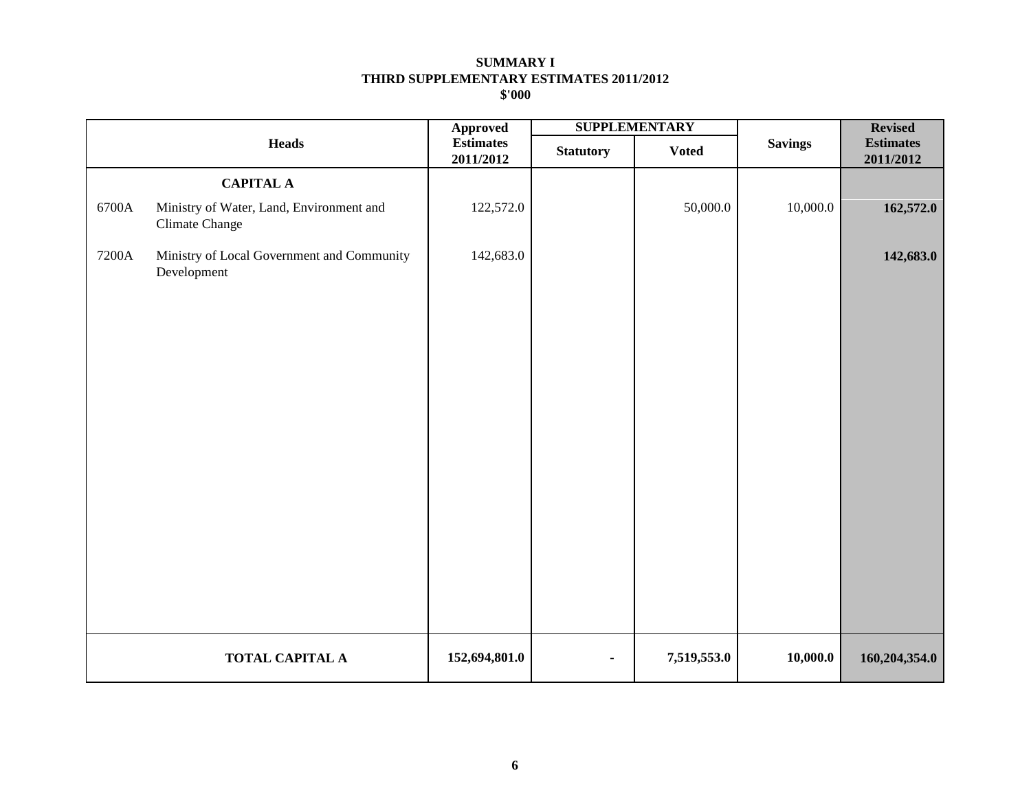|       |                                                            | <b>Approved</b>               | <b>SUPPLEMENTARY</b> |              |                | <b>Revised</b>                |
|-------|------------------------------------------------------------|-------------------------------|----------------------|--------------|----------------|-------------------------------|
|       | <b>Heads</b>                                               | <b>Estimates</b><br>2011/2012 | <b>Statutory</b>     | <b>Voted</b> | <b>Savings</b> | <b>Estimates</b><br>2011/2012 |
|       | <b>CAPITAL A</b>                                           |                               |                      |              |                |                               |
| 6700A | Ministry of Water, Land, Environment and<br>Climate Change | 122,572.0                     |                      | 50,000.0     | 10,000.0       | 162,572.0                     |
| 7200A | Ministry of Local Government and Community<br>Development  | 142,683.0                     |                      |              |                | 142,683.0                     |
|       | <b>TOTAL CAPITAL A</b>                                     | 152,694,801.0                 | $\blacksquare$       | 7,519,553.0  | 10,000.0       | 160,204,354.0                 |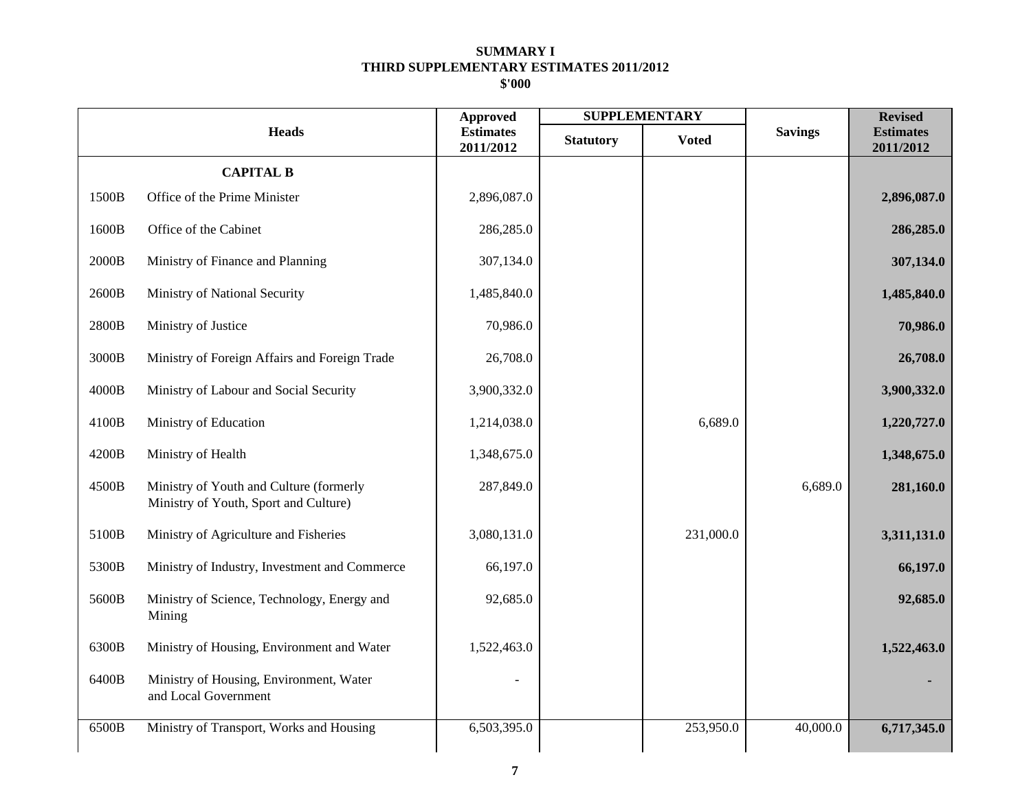|       |                                                                                  | <b>Approved</b>               | <b>SUPPLEMENTARY</b> |              | <b>Revised</b> |                               |
|-------|----------------------------------------------------------------------------------|-------------------------------|----------------------|--------------|----------------|-------------------------------|
|       | <b>Heads</b>                                                                     | <b>Estimates</b><br>2011/2012 | <b>Statutory</b>     | <b>Voted</b> | <b>Savings</b> | <b>Estimates</b><br>2011/2012 |
|       | <b>CAPITAL B</b>                                                                 |                               |                      |              |                |                               |
| 1500B | Office of the Prime Minister                                                     | 2,896,087.0                   |                      |              |                | 2,896,087.0                   |
| 1600B | Office of the Cabinet                                                            | 286,285.0                     |                      |              |                | 286,285.0                     |
| 2000B | Ministry of Finance and Planning                                                 | 307,134.0                     |                      |              |                | 307,134.0                     |
| 2600B | Ministry of National Security                                                    | 1,485,840.0                   |                      |              |                | 1,485,840.0                   |
| 2800B | Ministry of Justice                                                              | 70,986.0                      |                      |              |                | 70,986.0                      |
| 3000B | Ministry of Foreign Affairs and Foreign Trade                                    | 26,708.0                      |                      |              |                | 26,708.0                      |
| 4000B | Ministry of Labour and Social Security                                           | 3,900,332.0                   |                      |              |                | 3,900,332.0                   |
| 4100B | Ministry of Education                                                            | 1,214,038.0                   |                      | 6,689.0      |                | 1,220,727.0                   |
| 4200B | Ministry of Health                                                               | 1,348,675.0                   |                      |              |                | 1,348,675.0                   |
| 4500B | Ministry of Youth and Culture (formerly<br>Ministry of Youth, Sport and Culture) | 287,849.0                     |                      |              | 6,689.0        | 281,160.0                     |
| 5100B | Ministry of Agriculture and Fisheries                                            | 3,080,131.0                   |                      | 231,000.0    |                | 3,311,131.0                   |
| 5300B | Ministry of Industry, Investment and Commerce                                    | 66,197.0                      |                      |              |                | 66,197.0                      |
| 5600B | Ministry of Science, Technology, Energy and<br>Mining                            | 92,685.0                      |                      |              |                | 92,685.0                      |
| 6300B | Ministry of Housing, Environment and Water                                       | 1,522,463.0                   |                      |              |                | 1,522,463.0                   |
| 6400B | Ministry of Housing, Environment, Water<br>and Local Government                  |                               |                      |              |                |                               |
| 6500B | Ministry of Transport, Works and Housing                                         | 6,503,395.0                   |                      | 253,950.0    | 40,000.0       | 6,717,345.0                   |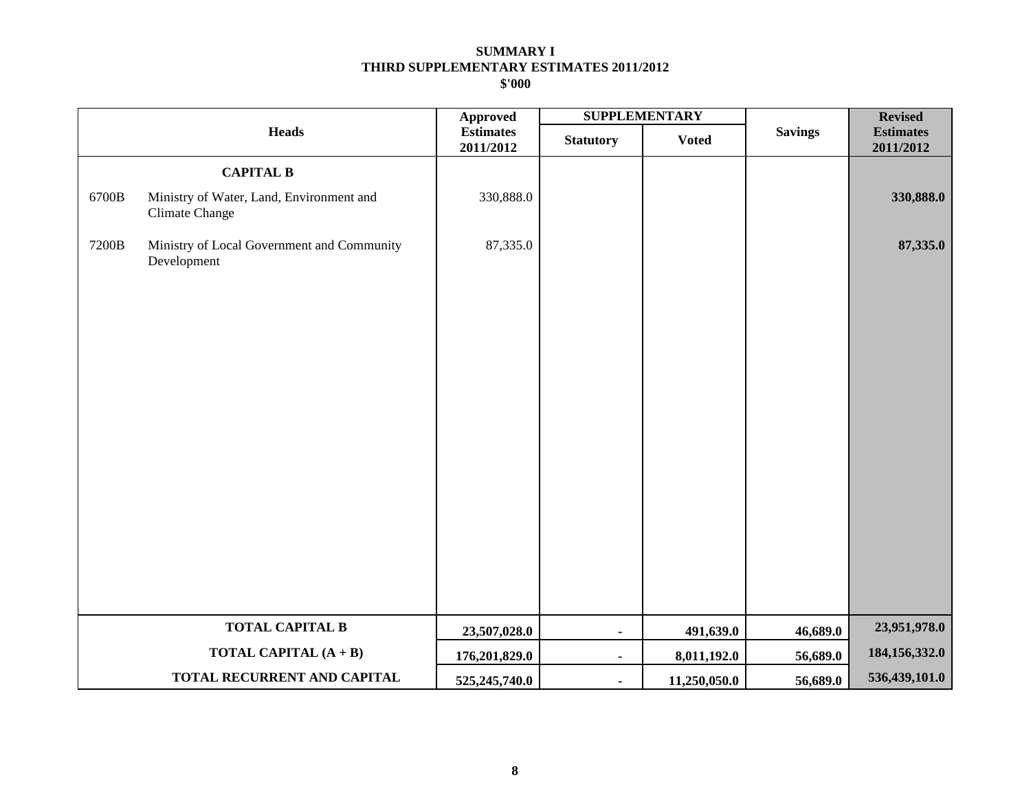|       |                                                            | <b>SUPPLEMENTARY</b><br><b>Approved</b> |                  |              |                |                               |  | <b>Revised</b> |
|-------|------------------------------------------------------------|-----------------------------------------|------------------|--------------|----------------|-------------------------------|--|----------------|
|       | <b>Heads</b>                                               | <b>Estimates</b><br>2011/2012           | <b>Statutory</b> | <b>Voted</b> | <b>Savings</b> | <b>Estimates</b><br>2011/2012 |  |                |
|       | <b>CAPITAL B</b>                                           |                                         |                  |              |                |                               |  |                |
| 6700B | Ministry of Water, Land, Environment and<br>Climate Change | 330,888.0                               |                  |              |                | 330,888.0                     |  |                |
| 7200B | Ministry of Local Government and Community<br>Development  | 87,335.0                                |                  |              |                | 87,335.0                      |  |                |
|       | <b>TOTAL CAPITAL B</b>                                     | 23,507,028.0                            | $\blacksquare$   | 491,639.0    | 46,689.0       | 23,951,978.0                  |  |                |
|       | TOTAL CAPITAL (A + B)                                      | 176,201,829.0                           | $\blacksquare$   | 8,011,192.0  | 56,689.0       | 184, 156, 332.0               |  |                |
|       | TOTAL RECURRENT AND CAPITAL                                | 525,245,740.0                           | $\blacksquare$   | 11,250,050.0 | 56,689.0       | 536,439,101.0                 |  |                |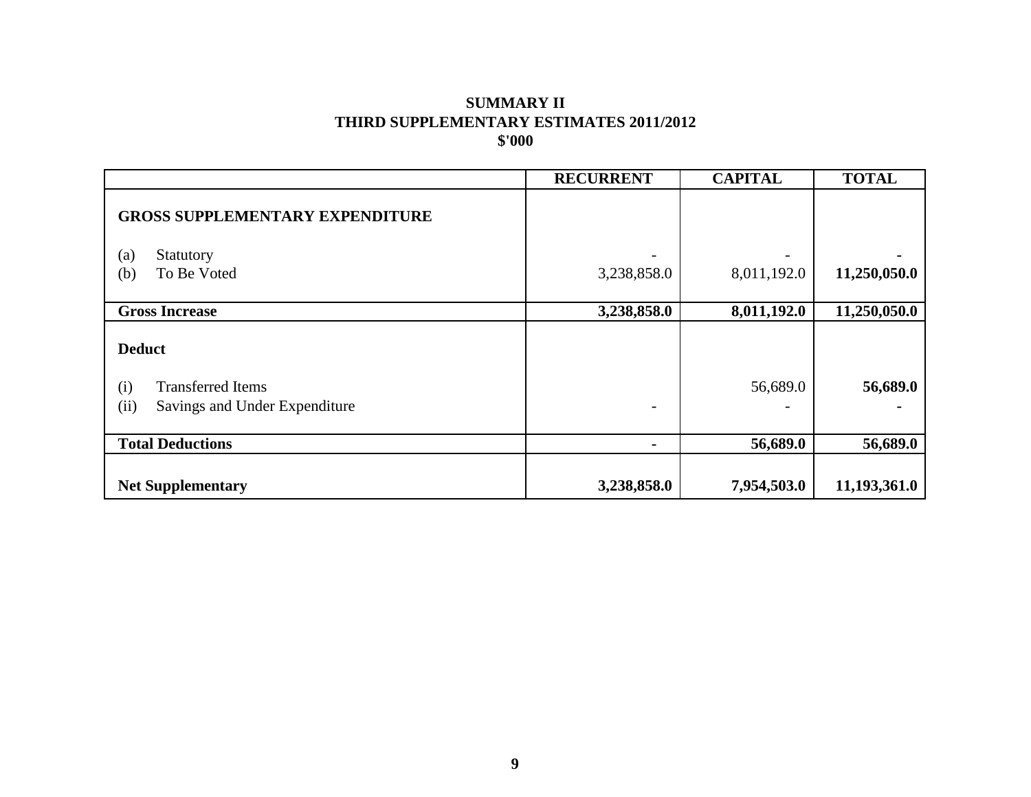# **\$'000 THIRD SUPPLEMENTARY ESTIMATES 2011/2012 SUMMARY II**

|                                                                                           | <b>RECURRENT</b> | <b>CAPITAL</b>           | <b>TOTAL</b> |
|-------------------------------------------------------------------------------------------|------------------|--------------------------|--------------|
| <b>GROSS SUPPLEMENTARY EXPENDITURE</b>                                                    |                  |                          |              |
| (a)<br>Statutory                                                                          |                  |                          |              |
| (b)<br>To Be Voted                                                                        | 3,238,858.0      | 8,011,192.0              | 11,250,050.0 |
| <b>Gross Increase</b>                                                                     | 3,238,858.0      | $\overline{8,011,192.0}$ | 11,250,050.0 |
| <b>Deduct</b><br><b>Transferred Items</b><br>(i)<br>(ii)<br>Savings and Under Expenditure |                  | 56,689.0                 | 56,689.0     |
| <b>Total Deductions</b>                                                                   |                  | 56,689.0                 | 56,689.0     |
| <b>Net Supplementary</b>                                                                  | 3,238,858.0      | 7,954,503.0              | 11,193,361.0 |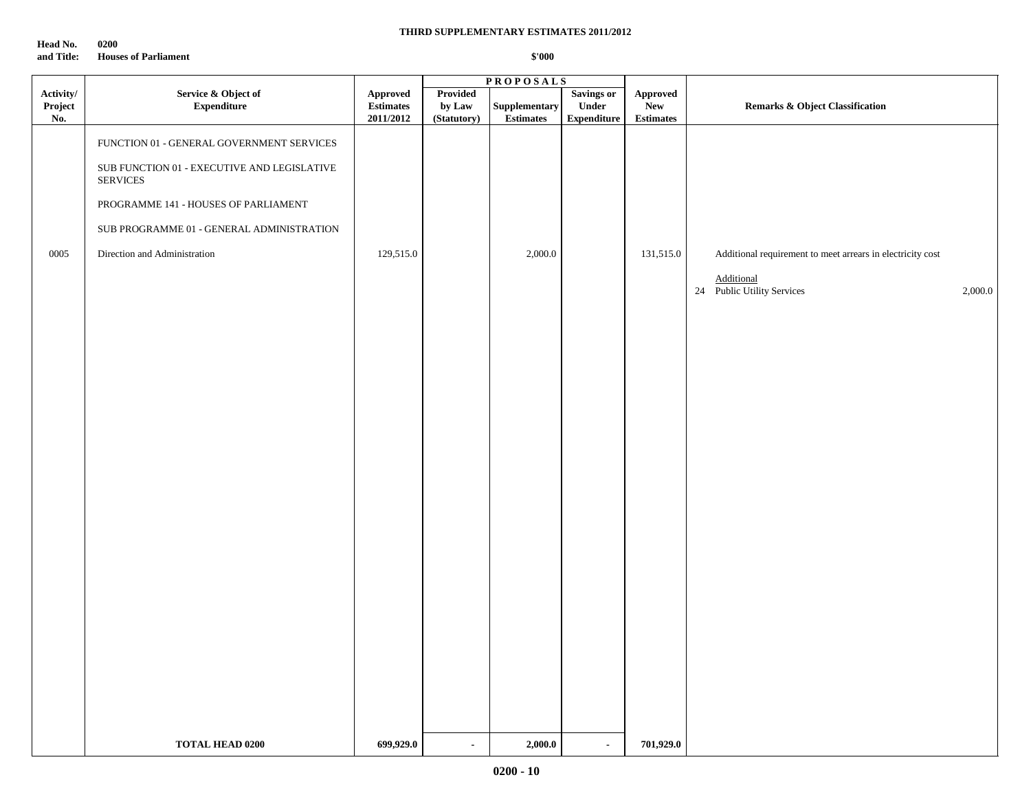**Head No. 0200 and Title: Houses of Parliament**

|                             |                                                                | <b>PROPOSALS</b>                          |                                   |                                   |                                                  |                                            |                                                            |
|-----------------------------|----------------------------------------------------------------|-------------------------------------------|-----------------------------------|-----------------------------------|--------------------------------------------------|--------------------------------------------|------------------------------------------------------------|
| Activity/<br>Project<br>No. | Service & Object of<br>${\bf Expenditure}$                     | Approved<br><b>Estimates</b><br>2011/2012 | Provided<br>by Law<br>(Statutory) | Supplementary<br><b>Estimates</b> | <b>Savings or</b><br>Under<br><b>Expenditure</b> | Approved<br><b>New</b><br><b>Estimates</b> | <b>Remarks &amp; Object Classification</b>                 |
|                             | FUNCTION 01 - GENERAL GOVERNMENT SERVICES                      |                                           |                                   |                                   |                                                  |                                            |                                                            |
|                             | SUB FUNCTION 01 - EXECUTIVE AND LEGISLATIVE<br><b>SERVICES</b> |                                           |                                   |                                   |                                                  |                                            |                                                            |
|                             | PROGRAMME 141 - HOUSES OF PARLIAMENT                           |                                           |                                   |                                   |                                                  |                                            |                                                            |
|                             | SUB PROGRAMME 01 - GENERAL ADMINISTRATION                      |                                           |                                   |                                   |                                                  |                                            |                                                            |
| 0005                        | Direction and Administration                                   | 129,515.0                                 |                                   | 2,000.0                           |                                                  | 131,515.0                                  | Additional requirement to meet arrears in electricity cost |
|                             |                                                                |                                           |                                   |                                   |                                                  |                                            | Additional<br>24 Public Utility Services<br>2,000.0        |
|                             |                                                                |                                           |                                   |                                   |                                                  |                                            |                                                            |
|                             |                                                                |                                           |                                   |                                   |                                                  |                                            |                                                            |
|                             |                                                                |                                           |                                   |                                   |                                                  |                                            |                                                            |
|                             |                                                                |                                           |                                   |                                   |                                                  |                                            |                                                            |
|                             |                                                                |                                           |                                   |                                   |                                                  |                                            |                                                            |
|                             |                                                                |                                           |                                   |                                   |                                                  |                                            |                                                            |
|                             |                                                                |                                           |                                   |                                   |                                                  |                                            |                                                            |
|                             |                                                                |                                           |                                   |                                   |                                                  |                                            |                                                            |
|                             |                                                                |                                           |                                   |                                   |                                                  |                                            |                                                            |
|                             |                                                                |                                           |                                   |                                   |                                                  |                                            |                                                            |
|                             |                                                                |                                           |                                   |                                   |                                                  |                                            |                                                            |
|                             |                                                                |                                           |                                   |                                   |                                                  |                                            |                                                            |
|                             |                                                                |                                           |                                   |                                   |                                                  |                                            |                                                            |
|                             |                                                                |                                           |                                   |                                   |                                                  |                                            |                                                            |
|                             |                                                                |                                           |                                   |                                   |                                                  |                                            |                                                            |
|                             |                                                                |                                           |                                   |                                   |                                                  |                                            |                                                            |
|                             | <b>TOTAL HEAD 0200</b>                                         | 699,929.0                                 | $\sim$                            | 2,000.0                           | $\blacksquare$                                   | 701,929.0                                  |                                                            |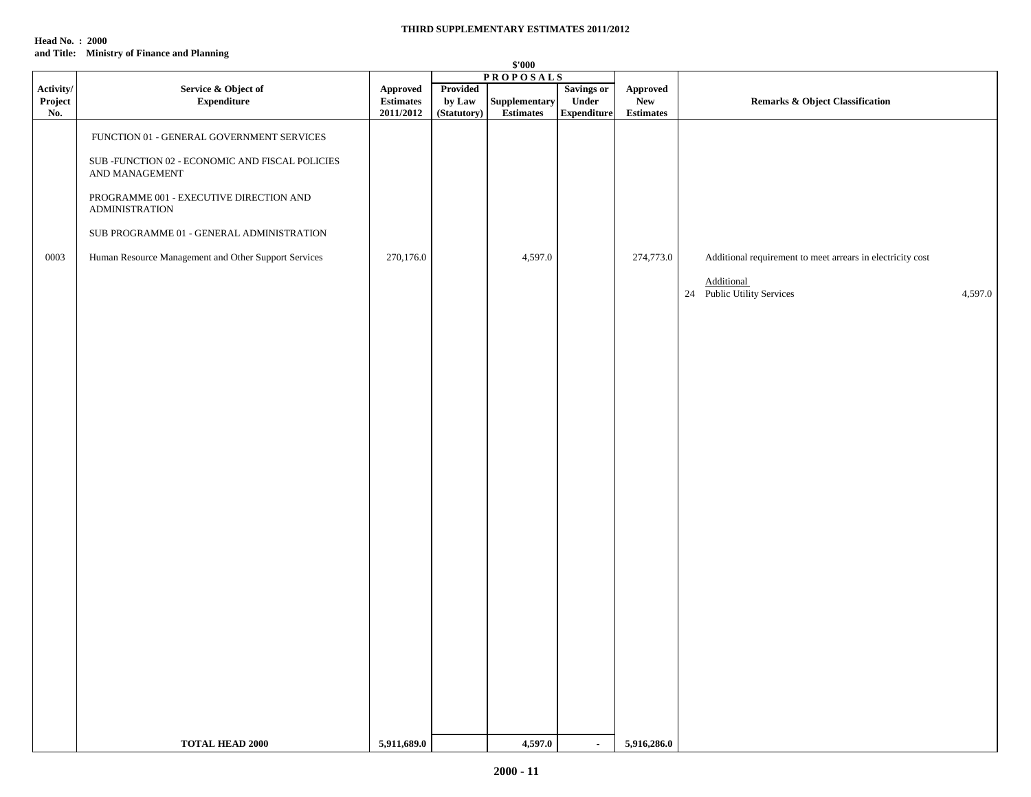#### **Head No. : 2000 and Title: Ministry of Finance and Planning**

|                             | \$'000                                                                                                                                                                                                                                                                                  |                                           |                                   |                                   |                                           |                                             |                                                                                                                          |
|-----------------------------|-----------------------------------------------------------------------------------------------------------------------------------------------------------------------------------------------------------------------------------------------------------------------------------------|-------------------------------------------|-----------------------------------|-----------------------------------|-------------------------------------------|---------------------------------------------|--------------------------------------------------------------------------------------------------------------------------|
| Activity/<br>Project<br>No. | Service & Object of<br><b>Expenditure</b>                                                                                                                                                                                                                                               | Approved<br><b>Estimates</b><br>2011/2012 | Provided<br>by Law<br>(Statutory) | Supplementary<br><b>Estimates</b> | Savings or<br>Under<br><b>Expenditure</b> | Approved<br>${\bf New}$<br><b>Estimates</b> | Remarks & Object Classification                                                                                          |
| 0003                        | FUNCTION 01 - GENERAL GOVERNMENT SERVICES<br>SUB -FUNCTION 02 - ECONOMIC AND FISCAL POLICIES<br>AND MANAGEMENT<br>PROGRAMME 001 - EXECUTIVE DIRECTION AND<br><b>ADMINISTRATION</b><br>SUB PROGRAMME 01 - GENERAL ADMINISTRATION<br>Human Resource Management and Other Support Services | 270,176.0                                 |                                   | <b>PROPOSALS</b><br>4,597.0       |                                           | 274,773.0                                   | Additional requirement to meet arrears in electricity cost<br><b>Additional</b><br>24 Public Utility Services<br>4,597.0 |
|                             | <b>TOTAL HEAD 2000</b>                                                                                                                                                                                                                                                                  | 5,911,689.0                               |                                   | 4,597.0                           | $\sim$                                    | 5,916,286.0                                 |                                                                                                                          |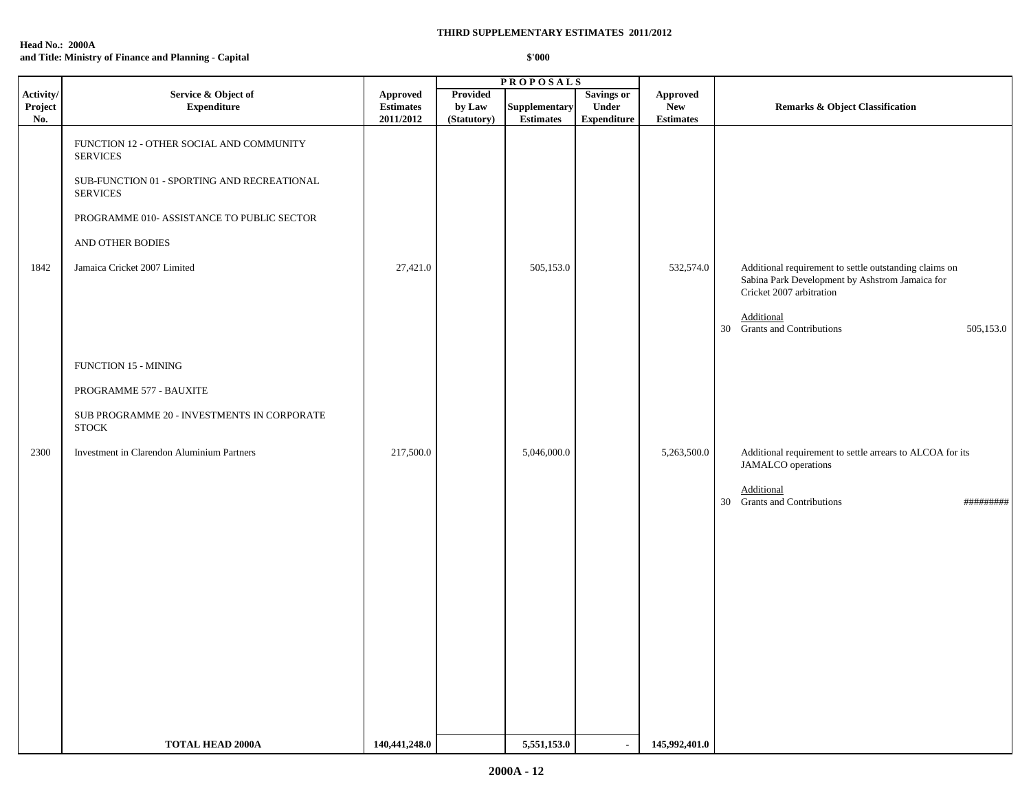| <b>Head No.: 2000A</b>                                |        |
|-------------------------------------------------------|--------|
| and Title: Ministry of Finance and Planning - Capital | \$'000 |

|                             |                                                                                                                                                                                                                                 |                                           |                                          | <b>PROPOSALS</b>                  |                                                         |                                            |                                                                                                           |
|-----------------------------|---------------------------------------------------------------------------------------------------------------------------------------------------------------------------------------------------------------------------------|-------------------------------------------|------------------------------------------|-----------------------------------|---------------------------------------------------------|--------------------------------------------|-----------------------------------------------------------------------------------------------------------|
| Activity/<br>Project<br>No. | Service & Object of<br><b>Expenditure</b>                                                                                                                                                                                       | Approved<br><b>Estimates</b><br>2011/2012 | <b>Provided</b><br>by Law<br>(Statutory) | Supplementary<br><b>Estimates</b> | <b>Savings or</b><br><b>Under</b><br><b>Expenditure</b> | Approved<br><b>New</b><br><b>Estimates</b> | <b>Remarks &amp; Object Classification</b>                                                                |
| 1842                        | FUNCTION 12 - OTHER SOCIAL AND COMMUNITY<br><b>SERVICES</b><br>SUB-FUNCTION 01 - SPORTING AND RECREATIONAL<br><b>SERVICES</b><br>PROGRAMME 010- ASSISTANCE TO PUBLIC SECTOR<br>AND OTHER BODIES<br>Jamaica Cricket 2007 Limited | 27,421.0                                  |                                          | 505,153.0                         |                                                         | 532,574.0                                  | Additional requirement to settle outstanding claims on<br>Sabina Park Development by Ashstrom Jamaica for |
|                             |                                                                                                                                                                                                                                 |                                           |                                          |                                   |                                                         |                                            | Cricket 2007 arbitration<br>Additional<br>30 Grants and Contributions<br>505,153.0                        |
|                             | <b>FUNCTION 15 - MINING</b>                                                                                                                                                                                                     |                                           |                                          |                                   |                                                         |                                            |                                                                                                           |
|                             | PROGRAMME 577 - BAUXITE                                                                                                                                                                                                         |                                           |                                          |                                   |                                                         |                                            |                                                                                                           |
|                             | SUB PROGRAMME 20 - INVESTMENTS IN CORPORATE<br><b>STOCK</b>                                                                                                                                                                     |                                           |                                          |                                   |                                                         |                                            |                                                                                                           |
| 2300                        | Investment in Clarendon Aluminium Partners                                                                                                                                                                                      | 217,500.0                                 |                                          | 5,046,000.0                       |                                                         | 5,263,500.0                                | Additional requirement to settle arrears to ALCOA for its<br>JAMALCO operations                           |
|                             |                                                                                                                                                                                                                                 |                                           |                                          |                                   |                                                         |                                            | Additional<br>30 Grants and Contributions<br>#########                                                    |
|                             |                                                                                                                                                                                                                                 |                                           |                                          |                                   |                                                         |                                            |                                                                                                           |
|                             |                                                                                                                                                                                                                                 |                                           |                                          |                                   |                                                         |                                            |                                                                                                           |
|                             |                                                                                                                                                                                                                                 |                                           |                                          |                                   |                                                         |                                            |                                                                                                           |
|                             |                                                                                                                                                                                                                                 |                                           |                                          |                                   |                                                         |                                            |                                                                                                           |
|                             |                                                                                                                                                                                                                                 |                                           |                                          |                                   |                                                         |                                            |                                                                                                           |
|                             | <b>TOTAL HEAD 2000A</b>                                                                                                                                                                                                         | 140,441,248.0                             |                                          | 5,551,153.0                       | $\blacksquare$                                          | 145,992,401.0                              |                                                                                                           |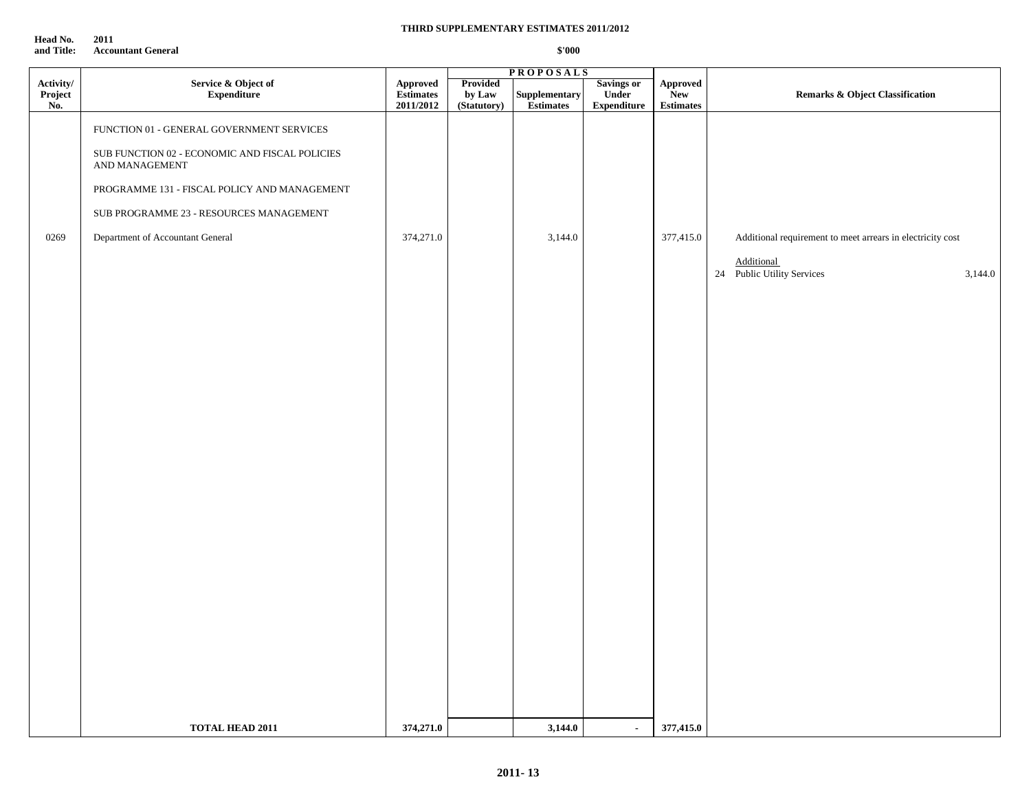**Head No.** 2011<br>and Title: Accou **Accountant General** 

#### **THIRD SUPPLEMENTARY ESTIMATES 2011/2012**

|                             |                                                                  |                                    |                                   | <b>PROPOSALS</b>           |                                                  |                                            |                                                            |
|-----------------------------|------------------------------------------------------------------|------------------------------------|-----------------------------------|----------------------------|--------------------------------------------------|--------------------------------------------|------------------------------------------------------------|
| Activity/<br>Project<br>No. | Service & Object of<br><b>Expenditure</b>                        | Approved<br>Estimates<br>2011/2012 | Provided<br>by Law<br>(Statutory) | Supplementary<br>Estimates | <b>Savings or</b><br>Under<br><b>Expenditure</b> | Approved<br><b>New</b><br><b>Estimates</b> | <b>Remarks &amp; Object Classification</b>                 |
|                             | FUNCTION 01 - GENERAL GOVERNMENT SERVICES                        |                                    |                                   |                            |                                                  |                                            |                                                            |
|                             | SUB FUNCTION 02 - ECONOMIC AND FISCAL POLICIES<br>AND MANAGEMENT |                                    |                                   |                            |                                                  |                                            |                                                            |
|                             | PROGRAMME 131 - FISCAL POLICY AND MANAGEMENT                     |                                    |                                   |                            |                                                  |                                            |                                                            |
|                             | SUB PROGRAMME 23 - RESOURCES MANAGEMENT                          |                                    |                                   |                            |                                                  |                                            |                                                            |
| 0269                        | Department of Accountant General                                 | 374,271.0                          |                                   | 3,144.0                    |                                                  | 377,415.0                                  | Additional requirement to meet arrears in electricity cost |
|                             |                                                                  |                                    |                                   |                            |                                                  |                                            | <b>Additional</b><br>24 Public Utility Services<br>3,144.0 |
|                             |                                                                  |                                    |                                   |                            |                                                  |                                            |                                                            |
|                             |                                                                  |                                    |                                   |                            |                                                  |                                            |                                                            |
|                             |                                                                  |                                    |                                   |                            |                                                  |                                            |                                                            |
|                             |                                                                  |                                    |                                   |                            |                                                  |                                            |                                                            |
|                             |                                                                  |                                    |                                   |                            |                                                  |                                            |                                                            |
|                             |                                                                  |                                    |                                   |                            |                                                  |                                            |                                                            |
|                             |                                                                  |                                    |                                   |                            |                                                  |                                            |                                                            |
|                             |                                                                  |                                    |                                   |                            |                                                  |                                            |                                                            |
|                             |                                                                  |                                    |                                   |                            |                                                  |                                            |                                                            |
|                             |                                                                  |                                    |                                   |                            |                                                  |                                            |                                                            |
|                             |                                                                  |                                    |                                   |                            |                                                  |                                            |                                                            |
|                             |                                                                  |                                    |                                   |                            |                                                  |                                            |                                                            |
|                             |                                                                  |                                    |                                   |                            |                                                  |                                            |                                                            |
|                             |                                                                  |                                    |                                   |                            |                                                  |                                            |                                                            |
|                             |                                                                  |                                    |                                   |                            |                                                  |                                            |                                                            |
|                             |                                                                  |                                    |                                   |                            |                                                  |                                            |                                                            |
|                             |                                                                  |                                    |                                   |                            |                                                  |                                            |                                                            |
|                             |                                                                  |                                    |                                   |                            |                                                  |                                            |                                                            |
|                             | TOTAL HEAD 2011                                                  | 374,271.0                          |                                   | 3,144.0                    | $\sim$                                           | 377,415.0                                  |                                                            |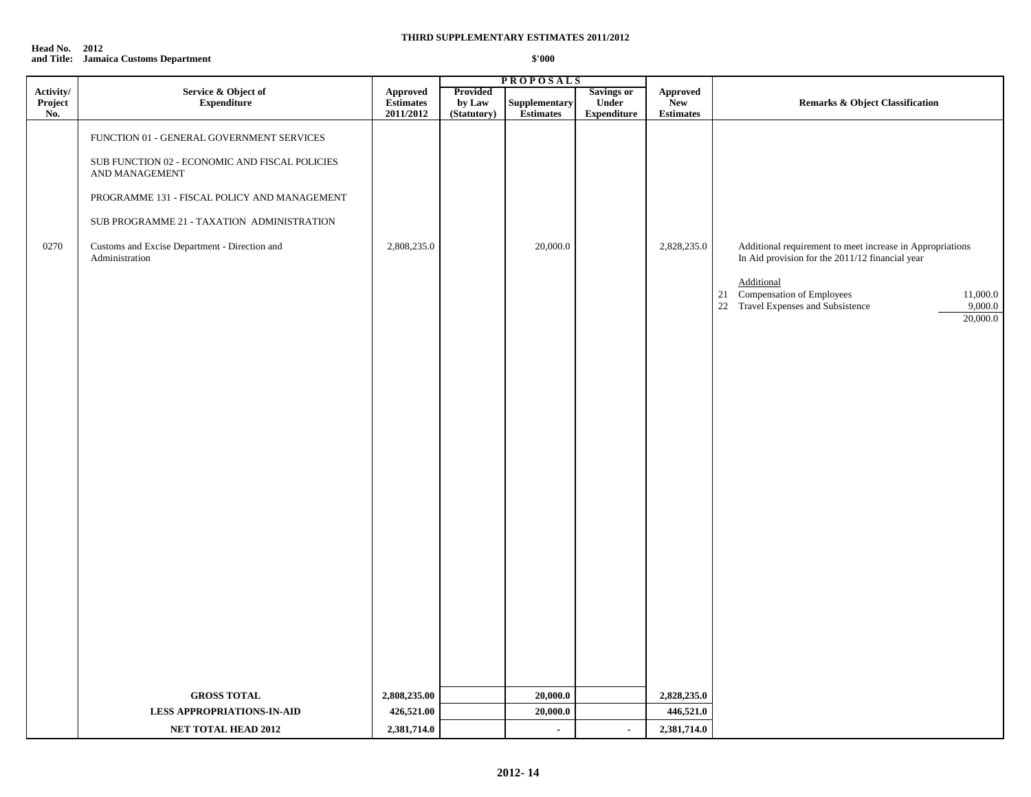| <b>Head No. 2012</b> |                                       |        |
|----------------------|---------------------------------------|--------|
|                      | and Title: Jamaica Customs Department | \$'000 |

|                             |                                                                  |                                           |                                   | <b>PROPOSALS</b>                  |                                                  |                                            |                                                                                                                            |
|-----------------------------|------------------------------------------------------------------|-------------------------------------------|-----------------------------------|-----------------------------------|--------------------------------------------------|--------------------------------------------|----------------------------------------------------------------------------------------------------------------------------|
| Activity/<br>Project<br>No. | Service & Object of<br><b>Expenditure</b>                        | Approved<br><b>Estimates</b><br>2011/2012 | Provided<br>by Law<br>(Statutory) | Supplementary<br><b>Estimates</b> | <b>Savings or</b><br>Under<br><b>Expenditure</b> | Approved<br><b>New</b><br><b>Estimates</b> | <b>Remarks &amp; Object Classification</b>                                                                                 |
|                             | FUNCTION 01 - GENERAL GOVERNMENT SERVICES                        |                                           |                                   |                                   |                                                  |                                            |                                                                                                                            |
|                             | SUB FUNCTION 02 - ECONOMIC AND FISCAL POLICIES<br>AND MANAGEMENT |                                           |                                   |                                   |                                                  |                                            |                                                                                                                            |
|                             | PROGRAMME 131 - FISCAL POLICY AND MANAGEMENT                     |                                           |                                   |                                   |                                                  |                                            |                                                                                                                            |
|                             | SUB PROGRAMME 21 - TAXATION ADMINISTRATION                       |                                           |                                   |                                   |                                                  |                                            |                                                                                                                            |
| 0270                        | Customs and Excise Department - Direction and<br>Administration  | 2,808,235.0                               |                                   | 20,000.0                          |                                                  | 2,828,235.0                                | Additional requirement to meet increase in Appropriations<br>In Aid provision for the 2011/12 financial year<br>Additional |
|                             |                                                                  |                                           |                                   |                                   |                                                  |                                            | 21 Compensation of Employees<br>11,000.0<br>22 Travel Expenses and Subsistence<br>9,000.0<br>20,000.0                      |
|                             |                                                                  |                                           |                                   |                                   |                                                  |                                            |                                                                                                                            |
|                             |                                                                  |                                           |                                   |                                   |                                                  |                                            |                                                                                                                            |
|                             |                                                                  |                                           |                                   |                                   |                                                  |                                            |                                                                                                                            |
|                             |                                                                  |                                           |                                   |                                   |                                                  |                                            |                                                                                                                            |
|                             |                                                                  |                                           |                                   |                                   |                                                  |                                            |                                                                                                                            |
|                             |                                                                  |                                           |                                   |                                   |                                                  |                                            |                                                                                                                            |
|                             |                                                                  |                                           |                                   |                                   |                                                  |                                            |                                                                                                                            |
|                             |                                                                  |                                           |                                   |                                   |                                                  |                                            |                                                                                                                            |
|                             |                                                                  |                                           |                                   |                                   |                                                  |                                            |                                                                                                                            |
|                             |                                                                  |                                           |                                   |                                   |                                                  |                                            |                                                                                                                            |
|                             | <b>GROSS TOTAL</b>                                               | 2,808,235.00                              |                                   | 20,000.0                          |                                                  | 2,828,235.0                                |                                                                                                                            |
|                             | <b>LESS APPROPRIATIONS-IN-AID</b>                                | 426,521.00                                |                                   | 20,000.0                          |                                                  | 446,521.0                                  |                                                                                                                            |
|                             | <b>NET TOTAL HEAD 2012</b>                                       | 2,381,714.0                               |                                   | $\blacksquare$                    | $\bullet$                                        | 2,381,714.0                                |                                                                                                                            |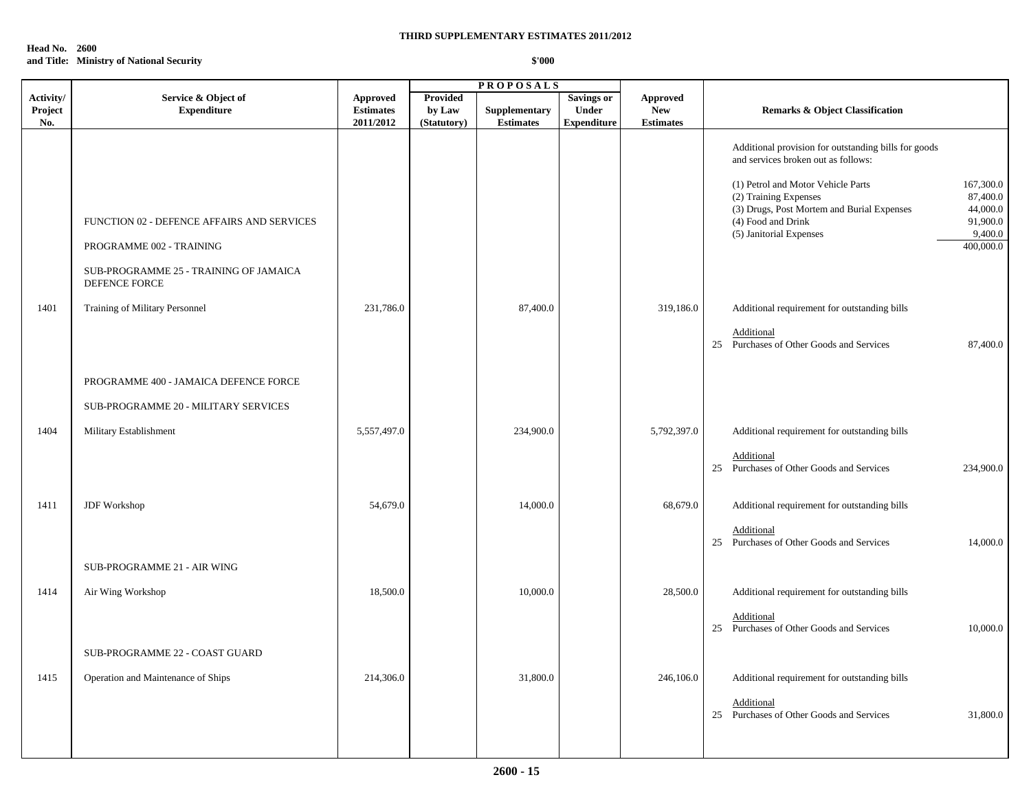**Head No. 2600 and Title: Ministry of National Security**

|                             |                                                                                                                  |                                           |                                   | <b>PROPOSALS</b>                  |                                                         |                                            |                                                                                                                                                                                                                                     |
|-----------------------------|------------------------------------------------------------------------------------------------------------------|-------------------------------------------|-----------------------------------|-----------------------------------|---------------------------------------------------------|--------------------------------------------|-------------------------------------------------------------------------------------------------------------------------------------------------------------------------------------------------------------------------------------|
| Activity/<br>Project<br>No. | Service & Object of<br><b>Expenditure</b>                                                                        | Approved<br><b>Estimates</b><br>2011/2012 | Provided<br>by Law<br>(Statutory) | Supplementary<br><b>Estimates</b> | <b>Savings or</b><br><b>Under</b><br><b>Expenditure</b> | Approved<br><b>New</b><br><b>Estimates</b> | <b>Remarks &amp; Object Classification</b>                                                                                                                                                                                          |
|                             |                                                                                                                  |                                           |                                   |                                   |                                                         |                                            | Additional provision for outstanding bills for goods<br>and services broken out as follows:                                                                                                                                         |
|                             | FUNCTION 02 - DEFENCE AFFAIRS AND SERVICES<br>PROGRAMME 002 - TRAINING<br>SUB-PROGRAMME 25 - TRAINING OF JAMAICA |                                           |                                   |                                   |                                                         |                                            | (1) Petrol and Motor Vehicle Parts<br>167,300.0<br>87,400.0<br>(2) Training Expenses<br>(3) Drugs, Post Mortem and Burial Expenses<br>44,000.0<br>(4) Food and Drink<br>91,900.0<br>(5) Janitorial Expenses<br>9,400.0<br>400,000.0 |
| 1401                        | DEFENCE FORCE<br>Training of Military Personnel                                                                  | 231,786.0                                 |                                   | 87,400.0                          |                                                         | 319,186.0                                  | Additional requirement for outstanding bills<br>Additional<br>25 Purchases of Other Goods and Services<br>87,400.0                                                                                                                  |
|                             | PROGRAMME 400 - JAMAICA DEFENCE FORCE                                                                            |                                           |                                   |                                   |                                                         |                                            |                                                                                                                                                                                                                                     |
|                             | SUB-PROGRAMME 20 - MILITARY SERVICES                                                                             |                                           |                                   |                                   |                                                         |                                            |                                                                                                                                                                                                                                     |
| 1404                        | Military Establishment                                                                                           | 5,557,497.0                               |                                   | 234,900.0                         |                                                         | 5,792,397.0                                | Additional requirement for outstanding bills                                                                                                                                                                                        |
|                             |                                                                                                                  |                                           |                                   |                                   |                                                         |                                            | Additional<br>25 Purchases of Other Goods and Services<br>234,900.0                                                                                                                                                                 |
| 1411                        | JDF Workshop                                                                                                     | 54,679.0                                  |                                   | 14,000.0                          |                                                         | 68,679.0                                   | Additional requirement for outstanding bills                                                                                                                                                                                        |
|                             |                                                                                                                  |                                           |                                   |                                   |                                                         |                                            | Additional<br>25 Purchases of Other Goods and Services<br>14,000.0                                                                                                                                                                  |
|                             | SUB-PROGRAMME 21 - AIR WING                                                                                      |                                           |                                   |                                   |                                                         |                                            |                                                                                                                                                                                                                                     |
| 1414                        | Air Wing Workshop                                                                                                | 18,500.0                                  |                                   | 10,000.0                          |                                                         | 28,500.0                                   | Additional requirement for outstanding bills                                                                                                                                                                                        |
|                             |                                                                                                                  |                                           |                                   |                                   |                                                         |                                            | Additional<br>25 Purchases of Other Goods and Services<br>10,000.0                                                                                                                                                                  |
|                             | SUB-PROGRAMME 22 - COAST GUARD                                                                                   |                                           |                                   |                                   |                                                         |                                            |                                                                                                                                                                                                                                     |
| 1415                        | Operation and Maintenance of Ships                                                                               | 214,306.0                                 |                                   | 31,800.0                          |                                                         | 246,106.0                                  | Additional requirement for outstanding bills                                                                                                                                                                                        |
|                             |                                                                                                                  |                                           |                                   |                                   |                                                         |                                            | Additional<br>25 Purchases of Other Goods and Services<br>31,800.0                                                                                                                                                                  |
|                             |                                                                                                                  |                                           |                                   |                                   |                                                         |                                            |                                                                                                                                                                                                                                     |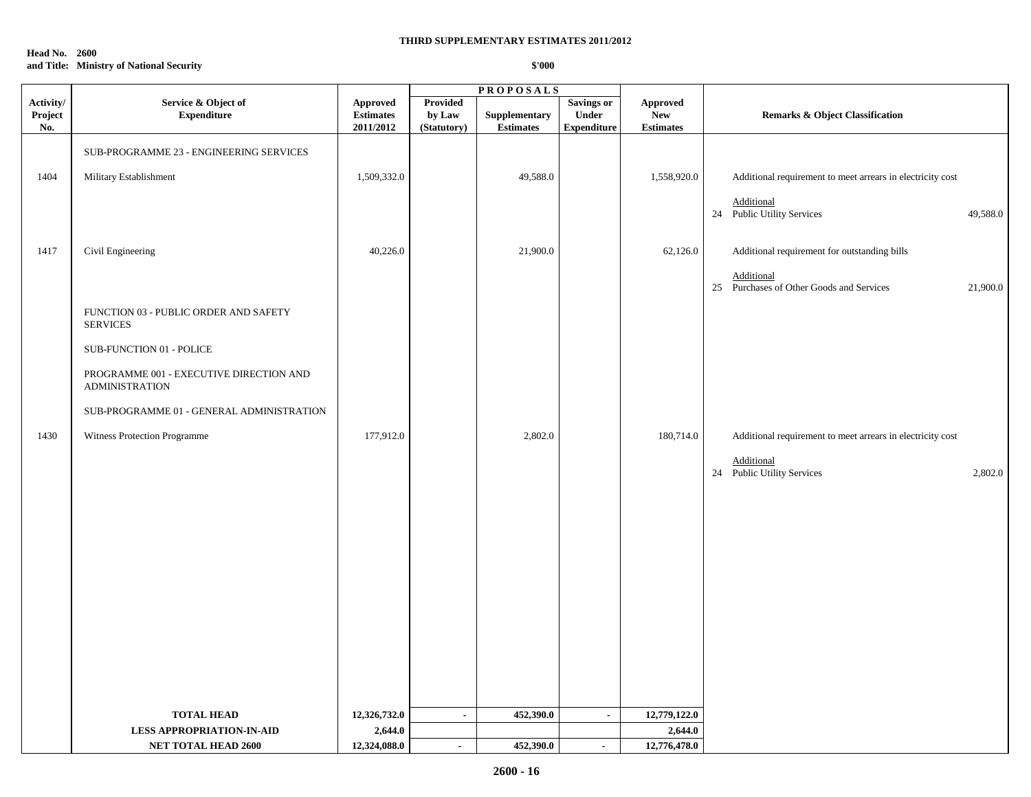**Head No. 2600**

## **and Title: Ministry of National Security**

|                             |                                                                  |                                           |                                          | <b>PROPOSALS</b>                 |                                                  |                                            |                                                                    |
|-----------------------------|------------------------------------------------------------------|-------------------------------------------|------------------------------------------|----------------------------------|--------------------------------------------------|--------------------------------------------|--------------------------------------------------------------------|
| Activity/<br>Project<br>No. | Service & Object of<br><b>Expenditure</b>                        | Approved<br><b>Estimates</b><br>2011/2012 | <b>Provided</b><br>by Law<br>(Statutory) | Supplementary<br>$\bf Estimates$ | <b>Savings or</b><br>Under<br><b>Expenditure</b> | <b>Approved</b><br>New<br><b>Estimates</b> | <b>Remarks &amp; Object Classification</b>                         |
|                             | SUB-PROGRAMME 23 - ENGINEERING SERVICES                          |                                           |                                          |                                  |                                                  |                                            |                                                                    |
| 1404                        | Military Establishment                                           | 1,509,332.0                               |                                          | 49,588.0                         |                                                  | 1,558,920.0                                | Additional requirement to meet arrears in electricity cost         |
|                             |                                                                  |                                           |                                          |                                  |                                                  |                                            | Additional<br>24 Public Utility Services<br>49,588.0               |
| 1417                        | Civil Engineering                                                | 40,226.0                                  |                                          | 21,900.0                         |                                                  | 62,126.0                                   | Additional requirement for outstanding bills                       |
|                             |                                                                  |                                           |                                          |                                  |                                                  |                                            | Additional<br>25 Purchases of Other Goods and Services<br>21,900.0 |
|                             | FUNCTION 03 - PUBLIC ORDER AND SAFETY<br><b>SERVICES</b>         |                                           |                                          |                                  |                                                  |                                            |                                                                    |
|                             | SUB-FUNCTION 01 - POLICE                                         |                                           |                                          |                                  |                                                  |                                            |                                                                    |
|                             | PROGRAMME 001 - EXECUTIVE DIRECTION AND<br><b>ADMINISTRATION</b> |                                           |                                          |                                  |                                                  |                                            |                                                                    |
|                             | SUB-PROGRAMME 01 - GENERAL ADMINISTRATION                        |                                           |                                          |                                  |                                                  |                                            |                                                                    |
| 1430                        | Witness Protection Programme                                     | 177,912.0                                 |                                          | 2,802.0                          |                                                  | 180,714.0                                  | Additional requirement to meet arrears in electricity cost         |
|                             |                                                                  |                                           |                                          |                                  |                                                  |                                            | Additional<br>24 Public Utility Services<br>2,802.0                |
|                             |                                                                  |                                           |                                          |                                  |                                                  |                                            |                                                                    |
|                             |                                                                  |                                           |                                          |                                  |                                                  |                                            |                                                                    |
|                             |                                                                  |                                           |                                          |                                  |                                                  |                                            |                                                                    |
|                             |                                                                  |                                           |                                          |                                  |                                                  |                                            |                                                                    |
|                             |                                                                  |                                           |                                          |                                  |                                                  |                                            |                                                                    |
|                             |                                                                  |                                           |                                          |                                  |                                                  |                                            |                                                                    |
|                             |                                                                  |                                           |                                          |                                  |                                                  |                                            |                                                                    |
|                             |                                                                  |                                           |                                          |                                  |                                                  |                                            |                                                                    |
|                             |                                                                  |                                           |                                          |                                  |                                                  |                                            |                                                                    |
|                             | <b>TOTAL HEAD</b>                                                | 12,326,732.0                              | $\sim$                                   | 452,390.0                        | $\sim$                                           | 12,779,122.0                               |                                                                    |
|                             | <b>LESS APPROPRIATION-IN-AID</b>                                 | 2,644.0                                   |                                          |                                  |                                                  | 2,644.0                                    |                                                                    |
|                             | <b>NET TOTAL HEAD 2600</b>                                       | 12,324,088.0                              | $\sim$                                   | 452,390.0                        | $\sim$                                           | 12,776,478.0                               |                                                                    |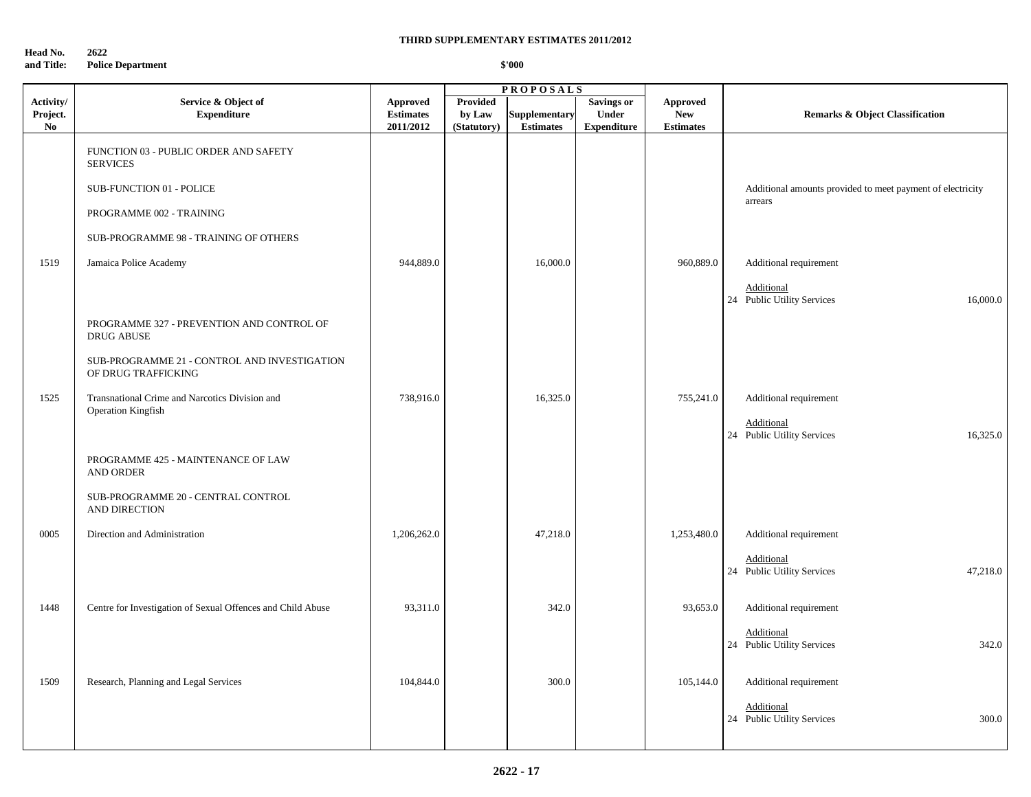**Head No. 2622 and Title: Police Department**

|                             |                                                                             |                                                  |                                   | <b>PROPOSALS</b>                  |                                                         |                                                   |                                                            |
|-----------------------------|-----------------------------------------------------------------------------|--------------------------------------------------|-----------------------------------|-----------------------------------|---------------------------------------------------------|---------------------------------------------------|------------------------------------------------------------|
| Activity/<br>Project.<br>No | Service & Object of<br><b>Expenditure</b>                                   | <b>Approved</b><br><b>Estimates</b><br>2011/2012 | Provided<br>by Law<br>(Statutory) | Supplementary<br><b>Estimates</b> | <b>Savings or</b><br><b>Under</b><br><b>Expenditure</b> | <b>Approved</b><br><b>New</b><br><b>Estimates</b> | <b>Remarks &amp; Object Classification</b>                 |
|                             | FUNCTION 03 - PUBLIC ORDER AND SAFETY<br><b>SERVICES</b>                    |                                                  |                                   |                                   |                                                         |                                                   |                                                            |
|                             | <b>SUB-FUNCTION 01 - POLICE</b>                                             |                                                  |                                   |                                   |                                                         |                                                   | Additional amounts provided to meet payment of electricity |
|                             | PROGRAMME 002 - TRAINING                                                    |                                                  |                                   |                                   |                                                         |                                                   | arrears                                                    |
|                             | SUB-PROGRAMME 98 - TRAINING OF OTHERS                                       |                                                  |                                   |                                   |                                                         |                                                   |                                                            |
| 1519                        | Jamaica Police Academy                                                      | 944,889.0                                        |                                   | 16,000.0                          |                                                         | 960,889.0                                         | Additional requirement                                     |
|                             |                                                                             |                                                  |                                   |                                   |                                                         |                                                   | Additional<br>24 Public Utility Services<br>16,000.0       |
|                             | PROGRAMME 327 - PREVENTION AND CONTROL OF<br><b>DRUG ABUSE</b>              |                                                  |                                   |                                   |                                                         |                                                   |                                                            |
|                             | SUB-PROGRAMME 21 - CONTROL AND INVESTIGATION<br>OF DRUG TRAFFICKING         |                                                  |                                   |                                   |                                                         |                                                   |                                                            |
| 1525                        | Transnational Crime and Narcotics Division and<br><b>Operation Kingfish</b> | 738,916.0                                        |                                   | 16,325.0                          |                                                         | 755,241.0                                         | Additional requirement<br>Additional                       |
|                             |                                                                             |                                                  |                                   |                                   |                                                         |                                                   | 24 Public Utility Services<br>16,325.0                     |
|                             | PROGRAMME 425 - MAINTENANCE OF LAW<br><b>AND ORDER</b>                      |                                                  |                                   |                                   |                                                         |                                                   |                                                            |
|                             | SUB-PROGRAMME 20 - CENTRAL CONTROL<br>AND DIRECTION                         |                                                  |                                   |                                   |                                                         |                                                   |                                                            |
| 0005                        | Direction and Administration                                                | 1,206,262.0                                      |                                   | 47,218.0                          |                                                         | 1,253,480.0                                       | Additional requirement                                     |
|                             |                                                                             |                                                  |                                   |                                   |                                                         |                                                   | Additional<br>24 Public Utility Services<br>47,218.0       |
| 1448                        | Centre for Investigation of Sexual Offences and Child Abuse                 | 93,311.0                                         |                                   | 342.0                             |                                                         | 93,653.0                                          | Additional requirement                                     |
|                             |                                                                             |                                                  |                                   |                                   |                                                         |                                                   | Additional<br>24 Public Utility Services<br>342.0          |
| 1509                        | Research, Planning and Legal Services                                       | 104,844.0                                        |                                   | 300.0                             |                                                         | 105,144.0                                         | Additional requirement                                     |
|                             |                                                                             |                                                  |                                   |                                   |                                                         |                                                   | Additional<br>24 Public Utility Services<br>300.0          |
|                             |                                                                             |                                                  |                                   |                                   |                                                         |                                                   |                                                            |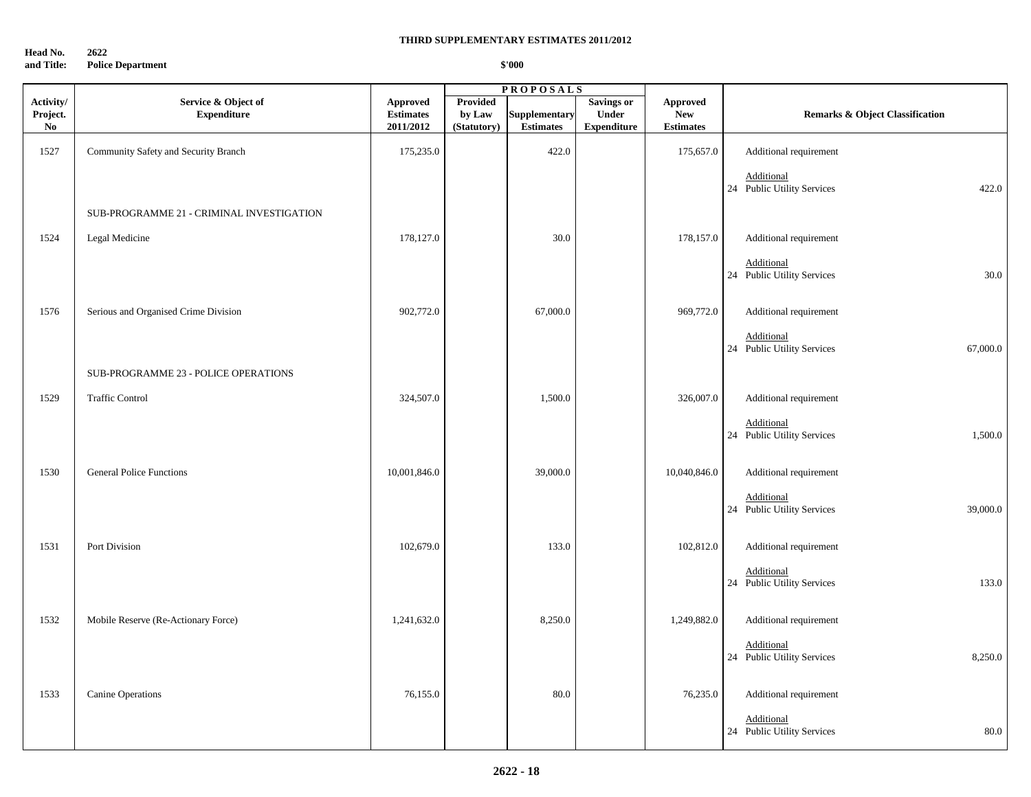**Head No. 2622**

### **and Title: Police Department**

|                                         |                                           |                                           |                                   | <b>PROPOSALS</b>                  |                                                         |                                            |                                                            |
|-----------------------------------------|-------------------------------------------|-------------------------------------------|-----------------------------------|-----------------------------------|---------------------------------------------------------|--------------------------------------------|------------------------------------------------------------|
| Activity/<br>Project.<br>N <sub>0</sub> | Service & Object of<br><b>Expenditure</b> | Approved<br><b>Estimates</b><br>2011/2012 | Provided<br>by Law<br>(Statutory) | Supplementary<br><b>Estimates</b> | <b>Savings or</b><br><b>Under</b><br><b>Expenditure</b> | Approved<br><b>New</b><br><b>Estimates</b> | <b>Remarks &amp; Object Classification</b>                 |
| 1527                                    | Community Safety and Security Branch      | 175,235.0                                 |                                   | 422.0                             |                                                         | 175,657.0                                  | Additional requirement                                     |
|                                         |                                           |                                           |                                   |                                   |                                                         |                                            | Additional<br>24 Public Utility Services<br>422.0          |
|                                         | SUB-PROGRAMME 21 - CRIMINAL INVESTIGATION |                                           |                                   |                                   |                                                         |                                            |                                                            |
| 1524                                    | Legal Medicine                            | 178,127.0                                 |                                   | 30.0                              |                                                         | 178,157.0                                  | Additional requirement                                     |
|                                         |                                           |                                           |                                   |                                   |                                                         |                                            | Additional<br>24 Public Utility Services<br>$30.0\,$       |
| 1576                                    | Serious and Organised Crime Division      | 902,772.0                                 |                                   | 67,000.0                          |                                                         | 969,772.0                                  | Additional requirement                                     |
|                                         |                                           |                                           |                                   |                                   |                                                         |                                            | Additional<br>24 Public Utility Services<br>67,000.0       |
|                                         | SUB-PROGRAMME 23 - POLICE OPERATIONS      |                                           |                                   |                                   |                                                         |                                            |                                                            |
| 1529                                    | <b>Traffic Control</b>                    | 324,507.0                                 |                                   | 1,500.0                           |                                                         | 326,007.0                                  | Additional requirement                                     |
|                                         |                                           |                                           |                                   |                                   |                                                         |                                            | Additional<br>24 Public Utility Services<br>1,500.0        |
| 1530                                    | <b>General Police Functions</b>           | 10,001,846.0                              |                                   | 39,000.0                          |                                                         | 10,040,846.0                               | Additional requirement                                     |
|                                         |                                           |                                           |                                   |                                   |                                                         |                                            | Additional<br>24 Public Utility Services<br>39,000.0       |
| 1531                                    | Port Division                             | 102,679.0                                 |                                   | 133.0                             |                                                         | 102,812.0                                  | Additional requirement                                     |
|                                         |                                           |                                           |                                   |                                   |                                                         |                                            | Additional<br>24 Public Utility Services<br>133.0          |
| 1532                                    | Mobile Reserve (Re-Actionary Force)       | 1,241,632.0                               |                                   | 8,250.0                           |                                                         | 1,249,882.0                                | Additional requirement                                     |
|                                         |                                           |                                           |                                   |                                   |                                                         |                                            | <b>Additional</b><br>8,250.0<br>24 Public Utility Services |
| 1533                                    | <b>Canine Operations</b>                  | 76,155.0                                  |                                   | 80.0                              |                                                         | 76,235.0                                   | Additional requirement                                     |
|                                         |                                           |                                           |                                   |                                   |                                                         |                                            | <b>Additional</b><br>24 Public Utility Services<br>80.0    |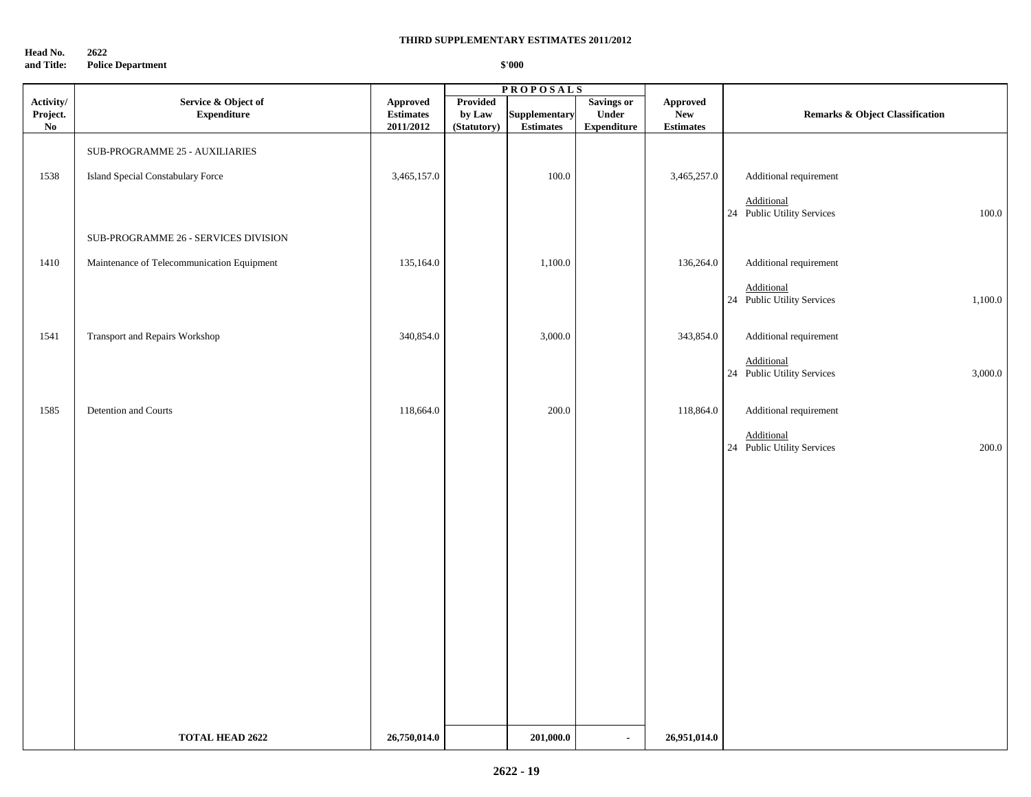**Head No. 2622 and Title: Police Department**

|                                                 |                                            |                                                  |                                          | <b>PROPOSALS</b>                  |                                                  |                                             |                                                     |
|-------------------------------------------------|--------------------------------------------|--------------------------------------------------|------------------------------------------|-----------------------------------|--------------------------------------------------|---------------------------------------------|-----------------------------------------------------|
| Activity/<br>Project.<br>$\mathbf{N}\mathbf{o}$ | Service & Object of<br><b>Expenditure</b>  | <b>Approved</b><br><b>Estimates</b><br>2011/2012 | <b>Provided</b><br>by Law<br>(Statutory) | Supplementary<br><b>Estimates</b> | <b>Savings or</b><br>Under<br><b>Expenditure</b> | Approved<br>${\bf New}$<br><b>Estimates</b> | <b>Remarks &amp; Object Classification</b>          |
|                                                 | SUB-PROGRAMME 25 - AUXILIARIES             |                                                  |                                          |                                   |                                                  |                                             |                                                     |
| 1538                                            | Island Special Constabulary Force          | 3,465,157.0                                      |                                          | 100.0                             |                                                  | 3,465,257.0                                 | Additional requirement                              |
|                                                 |                                            |                                                  |                                          |                                   |                                                  |                                             | Additional<br>100.0<br>24 Public Utility Services   |
|                                                 | SUB-PROGRAMME 26 - SERVICES DIVISION       |                                                  |                                          |                                   |                                                  |                                             |                                                     |
| 1410                                            | Maintenance of Telecommunication Equipment | 135,164.0                                        |                                          | 1,100.0                           |                                                  | 136,264.0                                   | Additional requirement                              |
|                                                 |                                            |                                                  |                                          |                                   |                                                  |                                             | Additional<br>24 Public Utility Services<br>1,100.0 |
| 1541                                            | Transport and Repairs Workshop             | 340,854.0                                        |                                          | 3,000.0                           |                                                  | 343,854.0                                   | Additional requirement                              |
|                                                 |                                            |                                                  |                                          |                                   |                                                  |                                             | Additional<br>24 Public Utility Services<br>3,000.0 |
| 1585                                            | Detention and Courts                       | 118,664.0                                        |                                          | 200.0                             |                                                  | 118,864.0                                   | Additional requirement                              |
|                                                 |                                            |                                                  |                                          |                                   |                                                  |                                             | Additional<br>24 Public Utility Services<br>200.0   |
|                                                 |                                            |                                                  |                                          |                                   |                                                  |                                             |                                                     |
|                                                 |                                            |                                                  |                                          |                                   |                                                  |                                             |                                                     |
|                                                 |                                            |                                                  |                                          |                                   |                                                  |                                             |                                                     |
|                                                 |                                            |                                                  |                                          |                                   |                                                  |                                             |                                                     |
|                                                 |                                            |                                                  |                                          |                                   |                                                  |                                             |                                                     |
|                                                 |                                            |                                                  |                                          |                                   |                                                  |                                             |                                                     |
|                                                 |                                            |                                                  |                                          |                                   |                                                  |                                             |                                                     |
|                                                 |                                            |                                                  |                                          |                                   |                                                  |                                             |                                                     |
|                                                 |                                            |                                                  |                                          |                                   |                                                  |                                             |                                                     |
|                                                 |                                            |                                                  |                                          |                                   |                                                  |                                             |                                                     |
|                                                 | <b>TOTAL HEAD 2622</b>                     | 26,750,014.0                                     |                                          | 201,000.0                         | $\blacksquare$                                   | 26,951,014.0                                |                                                     |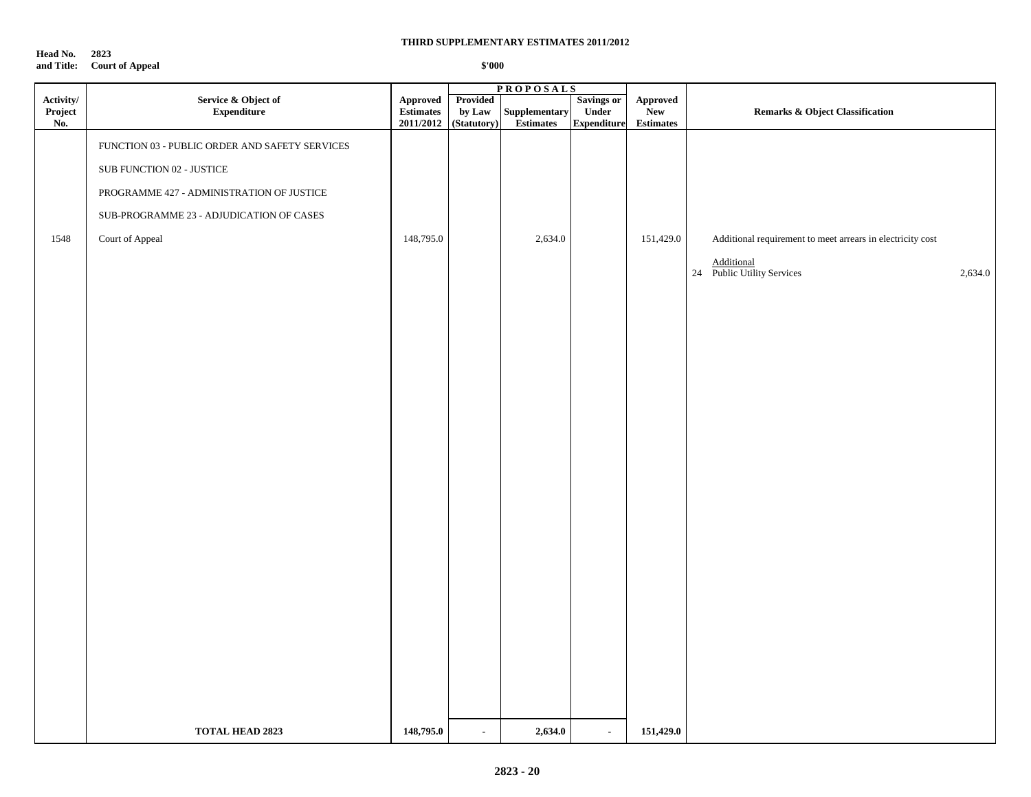**Head No. 2823 and Title: Court of Appeal**

|                             |                                                |                                    |                                   | <b>PROPOSALS</b>                          |                                           |                                                                                                        |                                                            |
|-----------------------------|------------------------------------------------|------------------------------------|-----------------------------------|-------------------------------------------|-------------------------------------------|--------------------------------------------------------------------------------------------------------|------------------------------------------------------------|
| Activity/<br>Project<br>No. | Service & Object of<br><b>Expenditure</b>      | Approved<br>Estimates<br>2011/2012 | Provided<br>by Law<br>(Statutory) | ${\large \bf Supplementary}$<br>Estimates | Savings or<br>Under<br><b>Expenditure</b> | Approved<br>New<br>$\begin{minipage}{.4\linewidth} Estimates \end{minipage} \vspace{-0.000\textwidth}$ | <b>Remarks &amp; Object Classification</b>                 |
|                             | FUNCTION 03 - PUBLIC ORDER AND SAFETY SERVICES |                                    |                                   |                                           |                                           |                                                                                                        |                                                            |
|                             | SUB FUNCTION 02 - JUSTICE                      |                                    |                                   |                                           |                                           |                                                                                                        |                                                            |
|                             | PROGRAMME 427 - ADMINISTRATION OF JUSTICE      |                                    |                                   |                                           |                                           |                                                                                                        |                                                            |
|                             | SUB-PROGRAMME 23 - ADJUDICATION OF CASES       |                                    |                                   |                                           |                                           |                                                                                                        |                                                            |
| 1548                        | Court of Appeal                                | 148,795.0                          |                                   | 2,634.0                                   |                                           | 151,429.0                                                                                              | Additional requirement to meet arrears in electricity cost |
|                             |                                                |                                    |                                   |                                           |                                           |                                                                                                        | Additional<br>24 Public Utility Services<br>2,634.0        |
|                             |                                                |                                    |                                   |                                           |                                           |                                                                                                        |                                                            |
|                             |                                                |                                    |                                   |                                           |                                           |                                                                                                        |                                                            |
|                             |                                                |                                    |                                   |                                           |                                           |                                                                                                        |                                                            |
|                             |                                                |                                    |                                   |                                           |                                           |                                                                                                        |                                                            |
|                             |                                                |                                    |                                   |                                           |                                           |                                                                                                        |                                                            |
|                             |                                                |                                    |                                   |                                           |                                           |                                                                                                        |                                                            |
|                             |                                                |                                    |                                   |                                           |                                           |                                                                                                        |                                                            |
|                             |                                                |                                    |                                   |                                           |                                           |                                                                                                        |                                                            |
|                             |                                                |                                    |                                   |                                           |                                           |                                                                                                        |                                                            |
|                             |                                                |                                    |                                   |                                           |                                           |                                                                                                        |                                                            |
|                             |                                                |                                    |                                   |                                           |                                           |                                                                                                        |                                                            |
|                             |                                                |                                    |                                   |                                           |                                           |                                                                                                        |                                                            |
|                             |                                                |                                    |                                   |                                           |                                           |                                                                                                        |                                                            |
|                             |                                                |                                    |                                   |                                           |                                           |                                                                                                        |                                                            |
|                             |                                                |                                    |                                   |                                           |                                           |                                                                                                        |                                                            |
|                             |                                                |                                    |                                   |                                           |                                           |                                                                                                        |                                                            |
|                             |                                                |                                    |                                   |                                           |                                           |                                                                                                        |                                                            |
|                             |                                                |                                    |                                   |                                           |                                           |                                                                                                        |                                                            |
|                             | <b>TOTAL HEAD 2823</b>                         | 148,795.0                          | $\blacksquare$                    | 2,634.0                                   | $\blacksquare$                            | 151,429.0                                                                                              |                                                            |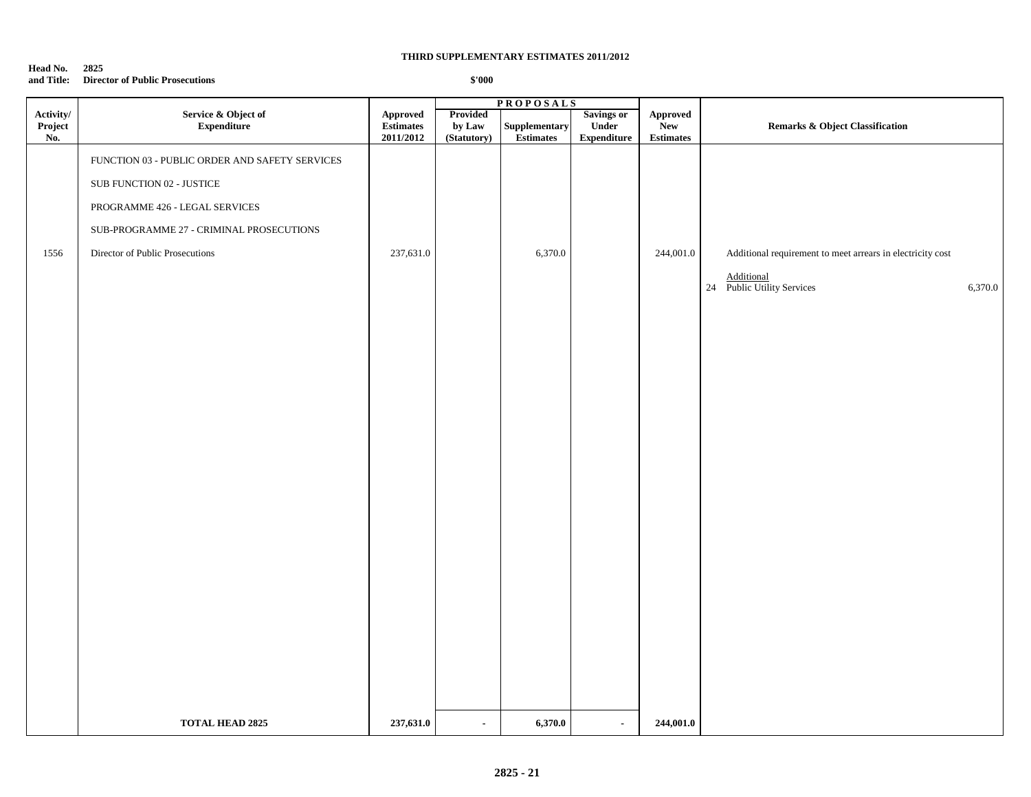#### **Head No. 2825 and Title: Director of Public Prosecutions**

|                             |                                                                             |                                                  |                                          | <b>PROPOSALS</b>                  |                                                  |                                            |                                                                                                                   |
|-----------------------------|-----------------------------------------------------------------------------|--------------------------------------------------|------------------------------------------|-----------------------------------|--------------------------------------------------|--------------------------------------------|-------------------------------------------------------------------------------------------------------------------|
| Activity/<br>Project<br>No. | Service & Object of<br><b>Expenditure</b>                                   | <b>Approved</b><br><b>Estimates</b><br>2011/2012 | <b>Provided</b><br>by Law<br>(Statutory) | Supplementary<br><b>Estimates</b> | <b>Savings or</b><br>Under<br><b>Expenditure</b> | Approved<br><b>New</b><br><b>Estimates</b> | <b>Remarks &amp; Object Classification</b>                                                                        |
|                             | FUNCTION 03 - PUBLIC ORDER AND SAFETY SERVICES<br>SUB FUNCTION 02 - JUSTICE |                                                  |                                          |                                   |                                                  |                                            |                                                                                                                   |
|                             | PROGRAMME 426 - LEGAL SERVICES                                              |                                                  |                                          |                                   |                                                  |                                            |                                                                                                                   |
|                             | SUB-PROGRAMME 27 - CRIMINAL PROSECUTIONS                                    |                                                  |                                          |                                   |                                                  |                                            |                                                                                                                   |
| 1556                        | Director of Public Prosecutions                                             | 237,631.0                                        |                                          | 6,370.0                           |                                                  | 244,001.0                                  | Additional requirement to meet arrears in electricity cost<br>Additional<br>24 Public Utility Services<br>6,370.0 |
|                             |                                                                             |                                                  |                                          |                                   |                                                  |                                            |                                                                                                                   |
|                             |                                                                             |                                                  |                                          |                                   |                                                  |                                            |                                                                                                                   |
|                             |                                                                             |                                                  |                                          |                                   |                                                  |                                            |                                                                                                                   |
|                             |                                                                             |                                                  |                                          |                                   |                                                  |                                            |                                                                                                                   |
|                             |                                                                             |                                                  |                                          |                                   |                                                  |                                            |                                                                                                                   |
|                             |                                                                             |                                                  |                                          |                                   |                                                  |                                            |                                                                                                                   |
|                             | <b>TOTAL HEAD 2825</b>                                                      | 237,631.0                                        | $\sim$                                   | 6,370.0                           | $\blacksquare$                                   | 244,001.0                                  |                                                                                                                   |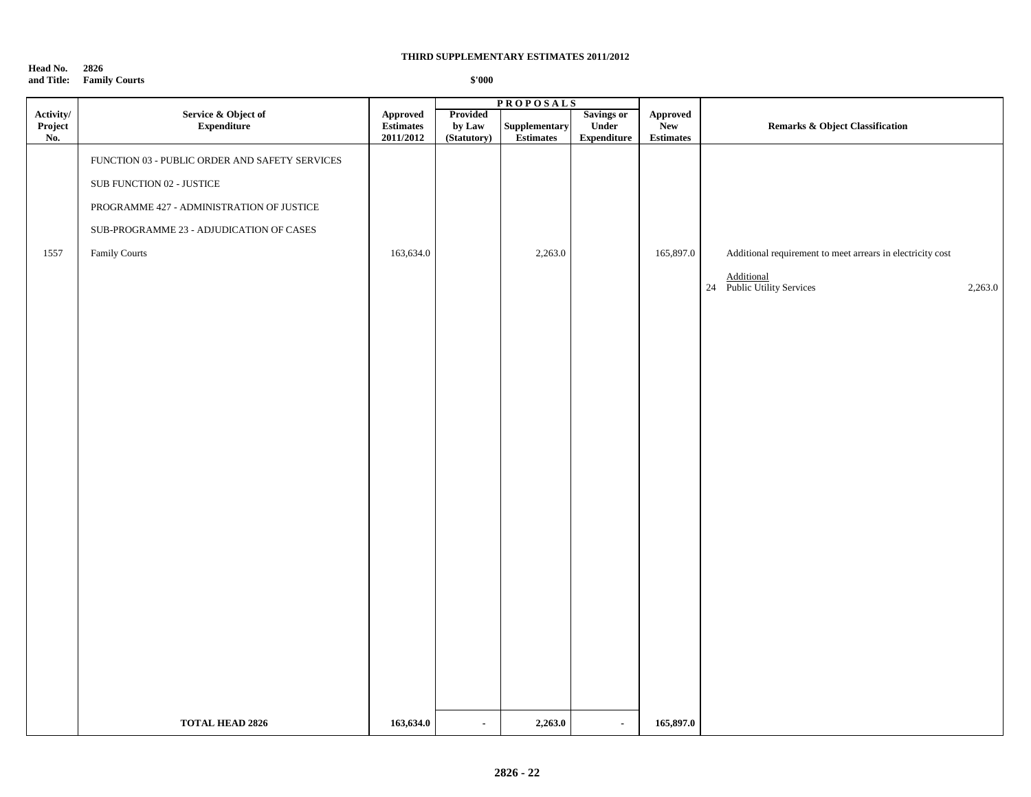#### **Head No. 2826 and Title: Family Courts**

|                             |                                                                                                                                                                                       |                                           |                                   | <b>PROPOSALS</b>           |                                           |                                                  |                                                                                                                   |
|-----------------------------|---------------------------------------------------------------------------------------------------------------------------------------------------------------------------------------|-------------------------------------------|-----------------------------------|----------------------------|-------------------------------------------|--------------------------------------------------|-------------------------------------------------------------------------------------------------------------------|
| Activity/<br>Project<br>No. | Service & Object of<br>Expenditure                                                                                                                                                    | Approved<br><b>Estimates</b><br>2011/2012 | Provided<br>by Law<br>(Statutory) | Supplementary<br>Estimates | Savings or<br>Under<br><b>Expenditure</b> | <b>Approved</b><br><b>New</b><br>$\bf Estimates$ | <b>Remarks &amp; Object Classification</b>                                                                        |
| 1557                        | FUNCTION 03 - PUBLIC ORDER AND SAFETY SERVICES<br>SUB FUNCTION 02 - JUSTICE<br>PROGRAMME 427 - ADMINISTRATION OF JUSTICE<br>SUB-PROGRAMME 23 - ADJUDICATION OF CASES<br>Family Courts | 163,634.0                                 |                                   | 2,263.0                    |                                           | 165,897.0                                        | Additional requirement to meet arrears in electricity cost<br>Additional<br>24 Public Utility Services<br>2,263.0 |
|                             | <b>TOTAL HEAD 2826</b>                                                                                                                                                                | 163,634.0                                 | $\sim$                            | 2,263.0                    | $\blacksquare$                            | 165,897.0                                        |                                                                                                                   |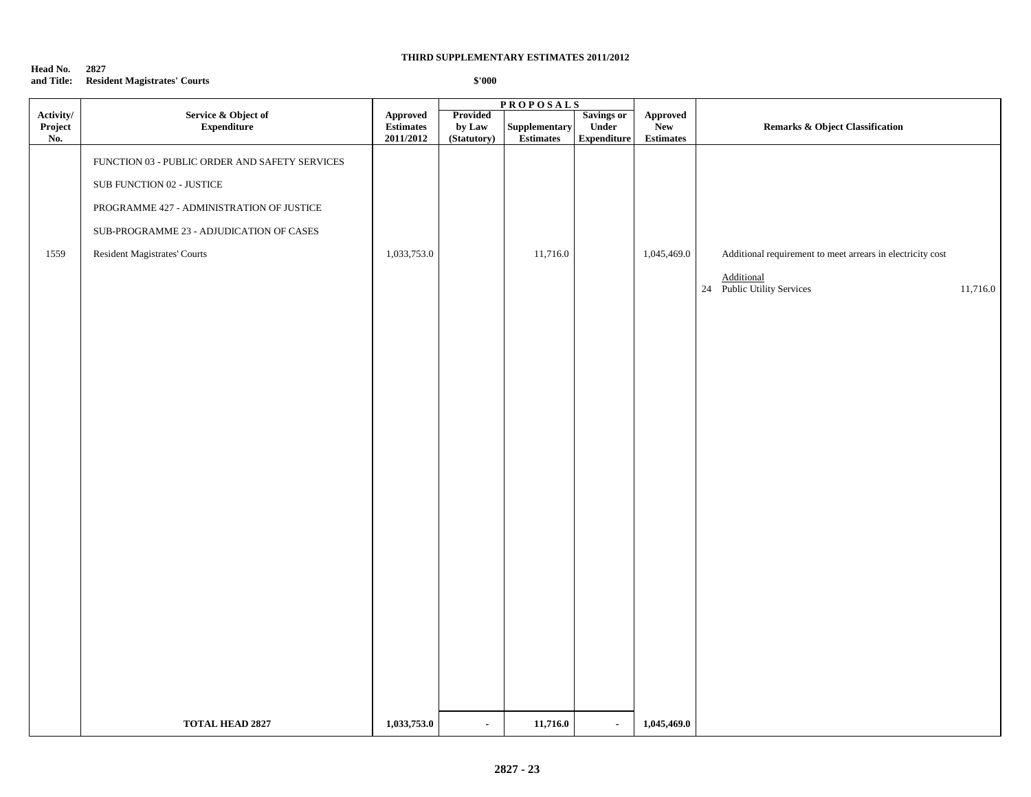#### **Head No. 2827 and Title: Resident Magistrates' Courts**

|                             |                                                |                                    | <b>PROPOSALS</b>                  |                                   |                                           |                                     |                                                             |
|-----------------------------|------------------------------------------------|------------------------------------|-----------------------------------|-----------------------------------|-------------------------------------------|-------------------------------------|-------------------------------------------------------------|
| Activity/<br>Project<br>No. | Service & Object of<br>Expenditure             | Approved<br>Estimates<br>2011/2012 | Provided<br>by Law<br>(Statutory) | Supplementary<br><b>Estimates</b> | Savings or<br>Under<br><b>Expenditure</b> | Approved<br>New<br><b>Estimates</b> | <b>Remarks &amp; Object Classification</b>                  |
|                             | FUNCTION 03 - PUBLIC ORDER AND SAFETY SERVICES |                                    |                                   |                                   |                                           |                                     |                                                             |
|                             | SUB FUNCTION 02 - JUSTICE                      |                                    |                                   |                                   |                                           |                                     |                                                             |
|                             | PROGRAMME 427 - ADMINISTRATION OF JUSTICE      |                                    |                                   |                                   |                                           |                                     |                                                             |
|                             | SUB-PROGRAMME 23 - ADJUDICATION OF CASES       |                                    |                                   |                                   |                                           |                                     |                                                             |
| 1559                        | Resident Magistrates' Courts                   | 1,033,753.0                        |                                   | 11,716.0                          |                                           | 1,045,469.0                         | Additional requirement to meet arrears in electricity cost  |
|                             |                                                |                                    |                                   |                                   |                                           |                                     | <b>Additional</b><br>24 Public Utility Services<br>11,716.0 |
|                             |                                                |                                    |                                   |                                   |                                           |                                     |                                                             |
|                             |                                                |                                    |                                   |                                   |                                           |                                     |                                                             |
|                             |                                                |                                    |                                   |                                   |                                           |                                     |                                                             |
|                             |                                                |                                    |                                   |                                   |                                           |                                     |                                                             |
|                             |                                                |                                    |                                   |                                   |                                           |                                     |                                                             |
|                             |                                                |                                    |                                   |                                   |                                           |                                     |                                                             |
|                             |                                                |                                    |                                   |                                   |                                           |                                     |                                                             |
|                             |                                                |                                    |                                   |                                   |                                           |                                     |                                                             |
|                             |                                                |                                    |                                   |                                   |                                           |                                     |                                                             |
|                             |                                                |                                    |                                   |                                   |                                           |                                     |                                                             |
|                             |                                                |                                    |                                   |                                   |                                           |                                     |                                                             |
|                             |                                                |                                    |                                   |                                   |                                           |                                     |                                                             |
|                             |                                                |                                    |                                   |                                   |                                           |                                     |                                                             |
|                             |                                                |                                    |                                   |                                   |                                           |                                     |                                                             |
|                             |                                                |                                    |                                   |                                   |                                           |                                     |                                                             |
|                             |                                                |                                    |                                   |                                   |                                           |                                     |                                                             |
|                             |                                                |                                    |                                   |                                   |                                           |                                     |                                                             |
|                             |                                                |                                    |                                   |                                   |                                           |                                     |                                                             |
|                             | <b>TOTAL HEAD 2827</b>                         | 1,033,753.0                        | $\bullet$                         | 11,716.0                          | $\bullet$                                 | 1,045,469.0                         |                                                             |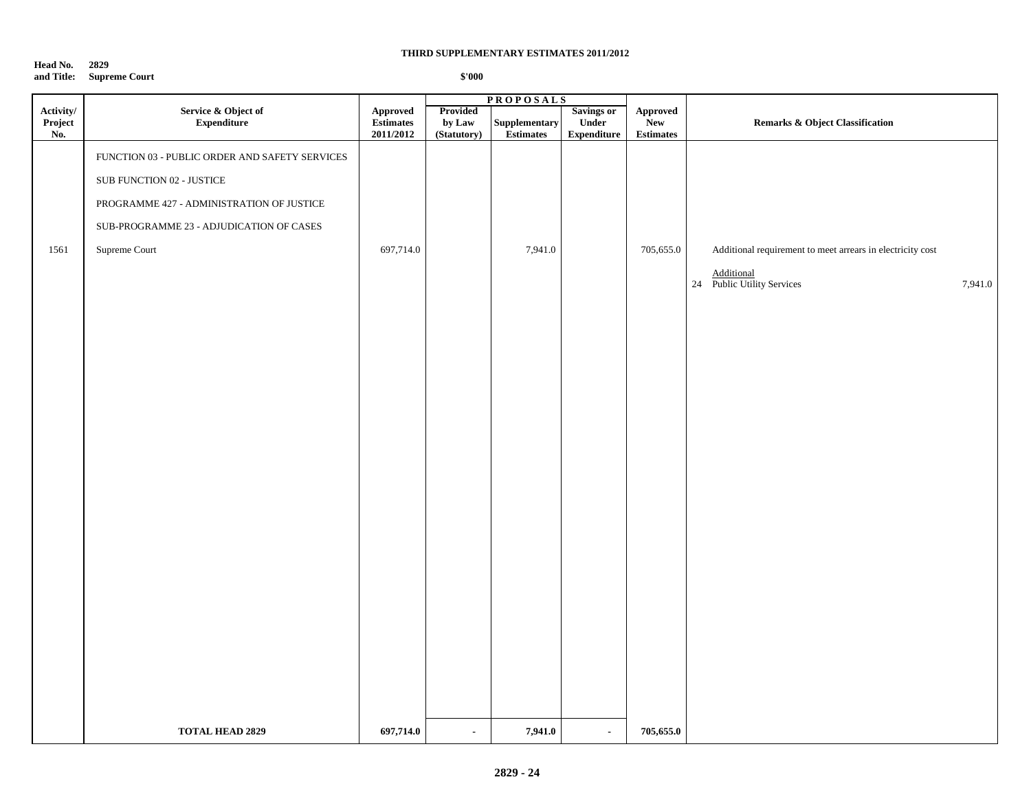#### **Head No. 2829 and Title: Supreme Court**

|                                    |                                                |                                    | <b>PROPOSALS</b>                  |                                   |                                           |                                                         |                                                            |
|------------------------------------|------------------------------------------------|------------------------------------|-----------------------------------|-----------------------------------|-------------------------------------------|---------------------------------------------------------|------------------------------------------------------------|
| $\bf{Activity/}$<br>Project<br>No. | Service & Object of<br><b>Expenditure</b>      | Approved<br>Estimates<br>2011/2012 | Provided<br>by Law<br>(Statutory) | Supplementary<br><b>Estimates</b> | Savings or<br>Under<br><b>Expenditure</b> | ${\Large\bf\large Appendix}$<br>New<br><b>Estimates</b> | Remarks & Object Classification                            |
|                                    | FUNCTION 03 - PUBLIC ORDER AND SAFETY SERVICES |                                    |                                   |                                   |                                           |                                                         |                                                            |
|                                    | SUB FUNCTION 02 - JUSTICE                      |                                    |                                   |                                   |                                           |                                                         |                                                            |
|                                    | PROGRAMME 427 - ADMINISTRATION OF JUSTICE      |                                    |                                   |                                   |                                           |                                                         |                                                            |
|                                    | SUB-PROGRAMME 23 - ADJUDICATION OF CASES       |                                    |                                   |                                   |                                           |                                                         |                                                            |
| 1561                               | Supreme Court                                  | 697,714.0                          |                                   | 7,941.0                           |                                           | 705,655.0                                               | Additional requirement to meet arrears in electricity cost |
|                                    |                                                |                                    |                                   |                                   |                                           |                                                         | Additional<br>24 Public Utility Services<br>7,941.0        |
|                                    |                                                |                                    |                                   |                                   |                                           |                                                         |                                                            |
|                                    |                                                |                                    |                                   |                                   |                                           |                                                         |                                                            |
|                                    |                                                |                                    |                                   |                                   |                                           |                                                         |                                                            |
|                                    |                                                |                                    |                                   |                                   |                                           |                                                         |                                                            |
|                                    |                                                |                                    |                                   |                                   |                                           |                                                         |                                                            |
|                                    |                                                |                                    |                                   |                                   |                                           |                                                         |                                                            |
|                                    |                                                |                                    |                                   |                                   |                                           |                                                         |                                                            |
|                                    |                                                |                                    |                                   |                                   |                                           |                                                         |                                                            |
|                                    |                                                |                                    |                                   |                                   |                                           |                                                         |                                                            |
|                                    |                                                |                                    |                                   |                                   |                                           |                                                         |                                                            |
|                                    |                                                |                                    |                                   |                                   |                                           |                                                         |                                                            |
|                                    |                                                |                                    |                                   |                                   |                                           |                                                         |                                                            |
|                                    |                                                |                                    |                                   |                                   |                                           |                                                         |                                                            |
|                                    |                                                |                                    |                                   |                                   |                                           |                                                         |                                                            |
|                                    |                                                |                                    |                                   |                                   |                                           |                                                         |                                                            |
|                                    |                                                |                                    |                                   |                                   |                                           |                                                         |                                                            |
|                                    |                                                |                                    |                                   |                                   |                                           |                                                         |                                                            |
|                                    |                                                |                                    |                                   |                                   |                                           |                                                         |                                                            |
|                                    | <b>TOTAL HEAD 2829</b>                         | 697,714.0                          | $\sim$                            | 7,941.0                           | $\sim$                                    | 705,655.0                                               |                                                            |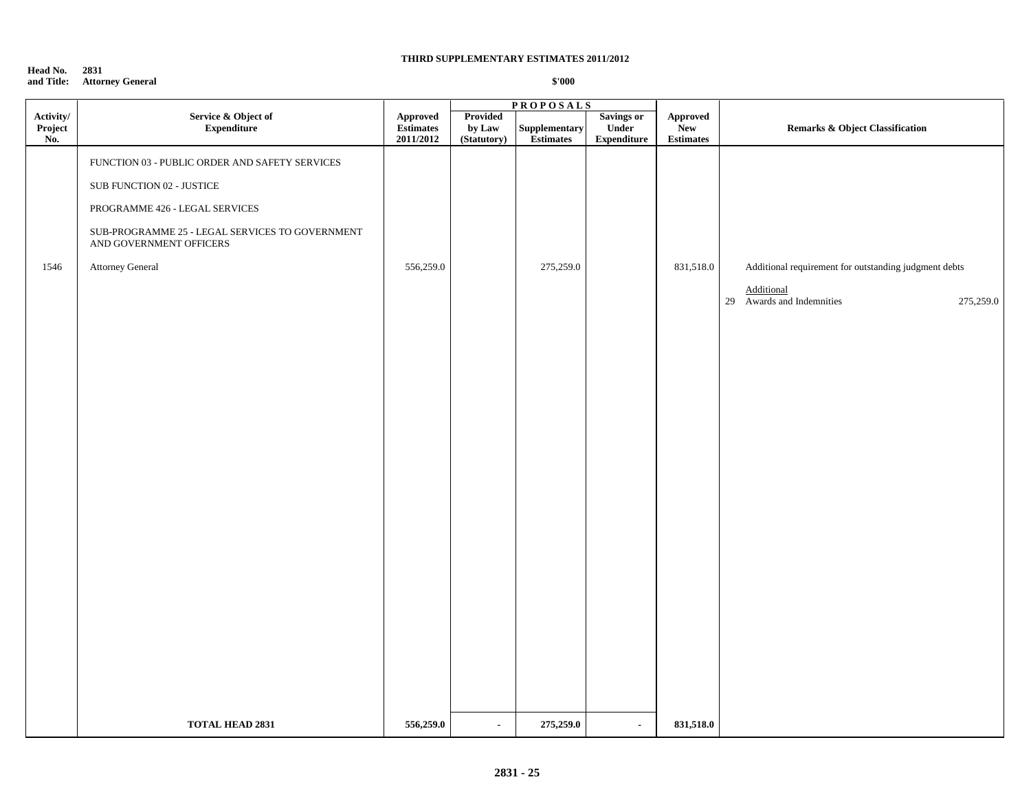#### **Head No. 2831 and Title: Attorney General**

|                   |                                                                                                                                                                                                                                        |                                                  |                       | <b>PROPOSALS</b>           |                              |                                                    |                                                                                                                      |
|-------------------|----------------------------------------------------------------------------------------------------------------------------------------------------------------------------------------------------------------------------------------|--------------------------------------------------|-----------------------|----------------------------|------------------------------|----------------------------------------------------|----------------------------------------------------------------------------------------------------------------------|
| Project<br>No.    | <b>Expenditure</b>                                                                                                                                                                                                                     | <b>Approved</b><br><b>Estimates</b><br>2011/2012 | by Law<br>(Statutory) | Supplementary<br>Estimates | Under<br>${\bf Expenditure}$ | <b>Approved</b><br>${\bf New}$<br><b>Estimates</b> | <b>Remarks &amp; Object Classification</b>                                                                           |
| Activity/<br>1546 | Service & Object of<br>FUNCTION 03 - PUBLIC ORDER AND SAFETY SERVICES<br>SUB FUNCTION 02 - JUSTICE<br>PROGRAMME 426 - LEGAL SERVICES<br>SUB-PROGRAMME 25 - LEGAL SERVICES TO GOVERNMENT<br>AND GOVERNMENT OFFICERS<br>Attorney General | 556,259.0                                        | Provided              | 275,259.0                  | <b>Savings or</b>            | 831,518.0                                          | Additional requirement for outstanding judgment debts<br><b>Additional</b><br>29 Awards and Indemnities<br>275,259.0 |
|                   | <b>TOTAL HEAD 2831</b>                                                                                                                                                                                                                 | 556,259.0                                        | $\blacksquare$        | 275,259.0                  | $\blacksquare$               | 831,518.0                                          |                                                                                                                      |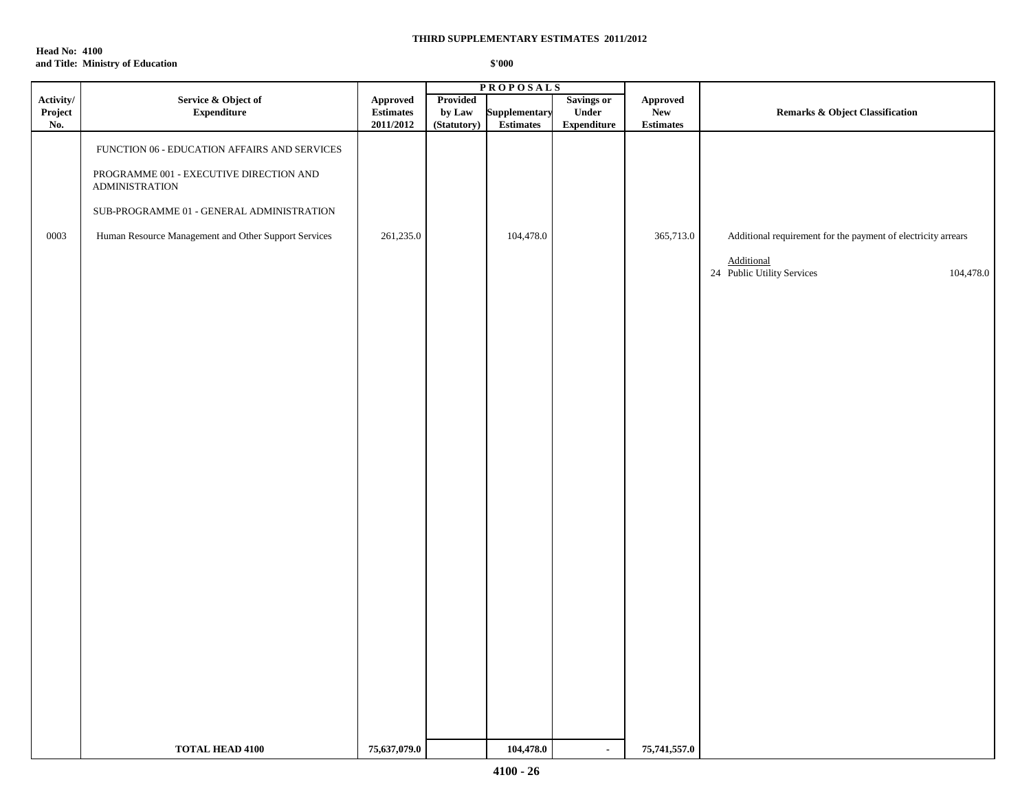**Head No: 4100 and Title: Ministry of Education**

|                             |                                                                                                                                                                                                                       | <b>PROPOSALS</b>                          |                                   |                                   |                                                  |                                                                                                        |                                                                                                                        |
|-----------------------------|-----------------------------------------------------------------------------------------------------------------------------------------------------------------------------------------------------------------------|-------------------------------------------|-----------------------------------|-----------------------------------|--------------------------------------------------|--------------------------------------------------------------------------------------------------------|------------------------------------------------------------------------------------------------------------------------|
| Activity/<br>Project<br>No. | Service & Object of<br><b>Expenditure</b>                                                                                                                                                                             | Approved<br><b>Estimates</b><br>2011/2012 | Provided<br>by Law<br>(Statutory) | Supplementary<br><b>Estimates</b> | <b>Savings or</b><br>Under<br><b>Expenditure</b> | Approved<br>New<br>$\begin{minipage}{.4\linewidth} Estimates \end{minipage} \vspace{-0.000\textwidth}$ | Remarks & Object Classification                                                                                        |
| 0003                        | FUNCTION 06 - EDUCATION AFFAIRS AND SERVICES<br>PROGRAMME 001 - EXECUTIVE DIRECTION AND<br><b>ADMINISTRATION</b><br>SUB-PROGRAMME 01 - GENERAL ADMINISTRATION<br>Human Resource Management and Other Support Services | 261,235.0                                 |                                   | 104,478.0                         |                                                  | 365,713.0                                                                                              | Additional requirement for the payment of electricity arrears<br>Additional<br>24 Public Utility Services<br>104,478.0 |
|                             |                                                                                                                                                                                                                       |                                           |                                   |                                   |                                                  |                                                                                                        |                                                                                                                        |
|                             | <b>TOTAL HEAD 4100</b>                                                                                                                                                                                                | 75,637,079.0                              |                                   | 104,478.0                         | $\mathbf{r}$                                     | 75,741,557.0                                                                                           |                                                                                                                        |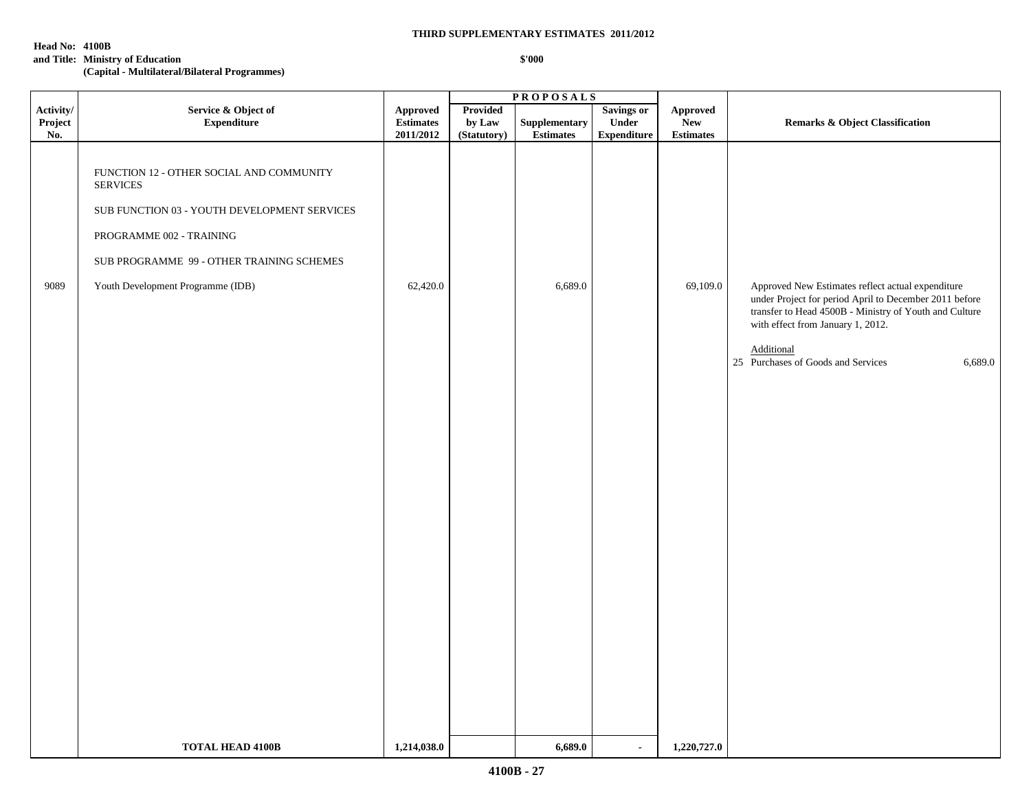#### **Head No: 4100B**

### **and Title: Ministry of Education**

**(Capital - Multilateral/Bilateral Programmes)**

|                             |                                                                                                                                                                                                                           |                                                                                               |                                          | <b>PROPOSALS</b>                                 |                                                  |                                     |                                                                                                                                                                                                            |
|-----------------------------|---------------------------------------------------------------------------------------------------------------------------------------------------------------------------------------------------------------------------|-----------------------------------------------------------------------------------------------|------------------------------------------|--------------------------------------------------|--------------------------------------------------|-------------------------------------|------------------------------------------------------------------------------------------------------------------------------------------------------------------------------------------------------------|
| Activity/<br>Project<br>No. | Service & Object of<br><b>Expenditure</b>                                                                                                                                                                                 | Approved<br>$\label{eq:estimates} \begin{array}{c} \hbox{Estimates} \end{array}$<br>2011/2012 | <b>Provided</b><br>by Law<br>(Statutory) | ${\large \bf Supplementary}$<br><b>Estimates</b> | <b>Savings or</b><br>Under<br><b>Expenditure</b> | Approved<br>New<br><b>Estimates</b> | <b>Remarks &amp; Object Classification</b>                                                                                                                                                                 |
| 9089                        | FUNCTION 12 - OTHER SOCIAL AND COMMUNITY<br><b>SERVICES</b><br>SUB FUNCTION 03 - YOUTH DEVELOPMENT SERVICES<br>PROGRAMME 002 - TRAINING<br>SUB PROGRAMME 99 - OTHER TRAINING SCHEMES<br>Youth Development Programme (IDB) | 62,420.0                                                                                      |                                          | 6,689.0                                          |                                                  | 69,109.0                            | Approved New Estimates reflect actual expenditure<br>under Project for period April to December 2011 before<br>transfer to Head 4500B - Ministry of Youth and Culture<br>with effect from January 1, 2012. |
|                             |                                                                                                                                                                                                                           |                                                                                               |                                          |                                                  |                                                  |                                     | Additional<br>25 Purchases of Goods and Services<br>6,689.0                                                                                                                                                |
|                             |                                                                                                                                                                                                                           |                                                                                               |                                          |                                                  |                                                  |                                     |                                                                                                                                                                                                            |
|                             |                                                                                                                                                                                                                           |                                                                                               |                                          |                                                  |                                                  |                                     |                                                                                                                                                                                                            |
|                             |                                                                                                                                                                                                                           |                                                                                               |                                          |                                                  |                                                  |                                     |                                                                                                                                                                                                            |
|                             | <b>TOTAL HEAD 4100B</b>                                                                                                                                                                                                   | 1,214,038.0                                                                                   |                                          | 6,689.0                                          | $\blacksquare$                                   | 1,220,727.0                         |                                                                                                                                                                                                            |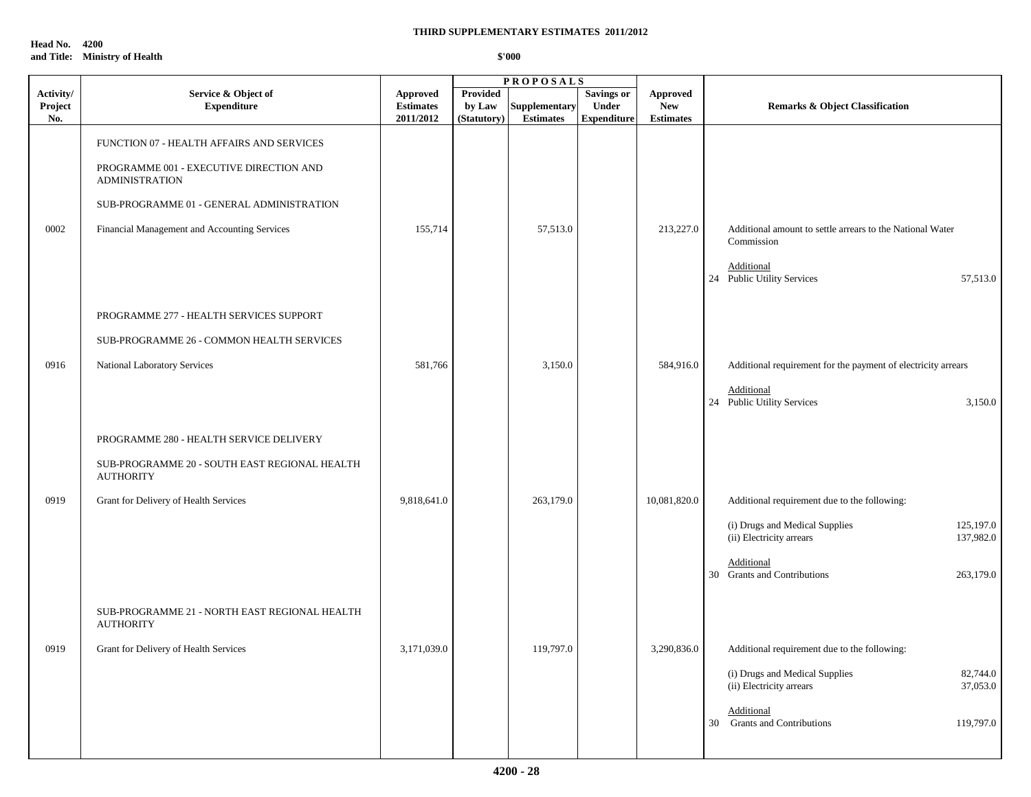**Head No. 4200 and Title: Ministry of Health**

| Activity/<br>Project<br>No. | Service & Object of<br><b>Expenditure</b>                         | <b>Approved</b><br><b>Estimates</b><br>2011/2012 | Provided<br>by Law<br>(Statutory) | <b>Supplementary</b><br><b>Estimates</b> | Savings or<br><b>Under</b><br><b>Expenditure</b> | <b>Approved</b><br><b>New</b><br><b>Estimates</b> | <b>Remarks &amp; Object Classification</b>                                           |
|-----------------------------|-------------------------------------------------------------------|--------------------------------------------------|-----------------------------------|------------------------------------------|--------------------------------------------------|---------------------------------------------------|--------------------------------------------------------------------------------------|
|                             | FUNCTION 07 - HEALTH AFFAIRS AND SERVICES                         |                                                  |                                   |                                          |                                                  |                                                   |                                                                                      |
|                             | PROGRAMME 001 - EXECUTIVE DIRECTION AND<br><b>ADMINISTRATION</b>  |                                                  |                                   |                                          |                                                  |                                                   |                                                                                      |
|                             | SUB-PROGRAMME 01 - GENERAL ADMINISTRATION                         |                                                  |                                   |                                          |                                                  |                                                   |                                                                                      |
| 0002                        | Financial Management and Accounting Services                      | 155,714                                          |                                   | 57,513.0                                 |                                                  | 213,227.0                                         | Additional amount to settle arrears to the National Water<br>Commission              |
|                             |                                                                   |                                                  |                                   |                                          |                                                  |                                                   | Additional<br>24 Public Utility Services<br>57,513.0                                 |
|                             | PROGRAMME 277 - HEALTH SERVICES SUPPORT                           |                                                  |                                   |                                          |                                                  |                                                   |                                                                                      |
|                             | SUB-PROGRAMME 26 - COMMON HEALTH SERVICES                         |                                                  |                                   |                                          |                                                  |                                                   |                                                                                      |
| 0916                        | National Laboratory Services                                      | 581,766                                          |                                   | 3,150.0                                  |                                                  | 584,916.0                                         | Additional requirement for the payment of electricity arrears                        |
|                             |                                                                   |                                                  |                                   |                                          |                                                  |                                                   | Additional<br>24 Public Utility Services<br>3,150.0                                  |
|                             | PROGRAMME 280 - HEALTH SERVICE DELIVERY                           |                                                  |                                   |                                          |                                                  |                                                   |                                                                                      |
|                             | SUB-PROGRAMME 20 - SOUTH EAST REGIONAL HEALTH<br><b>AUTHORITY</b> |                                                  |                                   |                                          |                                                  |                                                   |                                                                                      |
| 0919                        | Grant for Delivery of Health Services                             | 9,818,641.0                                      |                                   | 263,179.0                                |                                                  | 10,081,820.0                                      | Additional requirement due to the following:                                         |
|                             |                                                                   |                                                  |                                   |                                          |                                                  |                                                   | (i) Drugs and Medical Supplies<br>125,197.0<br>(ii) Electricity arrears<br>137,982.0 |
|                             |                                                                   |                                                  |                                   |                                          |                                                  |                                                   | Additional<br>30 Grants and Contributions<br>263,179.0                               |
|                             | SUB-PROGRAMME 21 - NORTH EAST REGIONAL HEALTH<br><b>AUTHORITY</b> |                                                  |                                   |                                          |                                                  |                                                   |                                                                                      |
| 0919                        | Grant for Delivery of Health Services                             | 3,171,039.0                                      |                                   | 119,797.0                                |                                                  | 3,290,836.0                                       | Additional requirement due to the following:                                         |
|                             |                                                                   |                                                  |                                   |                                          |                                                  |                                                   | (i) Drugs and Medical Supplies<br>82,744.0<br>(ii) Electricity arrears<br>37,053.0   |
|                             |                                                                   |                                                  |                                   |                                          |                                                  |                                                   | Additional<br>30 Grants and Contributions<br>119,797.0                               |
|                             |                                                                   |                                                  |                                   |                                          |                                                  |                                                   |                                                                                      |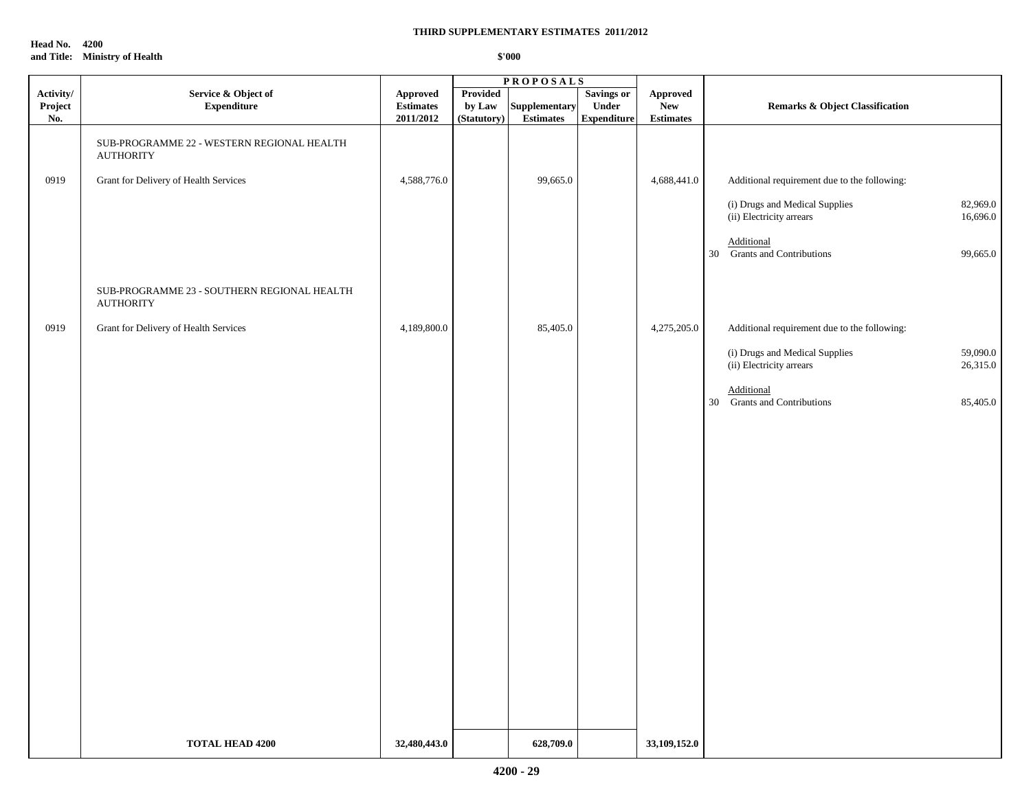**Head No. 4200 and Title: Ministry of Health**

|                             | <b>PROPOSALS</b>                                                |                                           |                                   |                                   |                                                  |                                           |                                                                                    |
|-----------------------------|-----------------------------------------------------------------|-------------------------------------------|-----------------------------------|-----------------------------------|--------------------------------------------------|-------------------------------------------|------------------------------------------------------------------------------------|
| Activity/<br>Project<br>No. | Service & Object of<br><b>Expenditure</b>                       | Approved<br><b>Estimates</b><br>2011/2012 | Provided<br>by Law<br>(Statutory) | Supplementary<br><b>Estimates</b> | <b>Savings or</b><br>Under<br><b>Expenditure</b> | Approved<br><b>New</b><br>$\bf Estimates$ | Remarks & Object Classification                                                    |
|                             | SUB-PROGRAMME 22 - WESTERN REGIONAL HEALTH<br><b>AUTHORITY</b>  |                                           |                                   |                                   |                                                  |                                           |                                                                                    |
| 0919                        | Grant for Delivery of Health Services                           | 4,588,776.0                               |                                   | 99,665.0                          |                                                  | 4,688,441.0                               | Additional requirement due to the following:                                       |
|                             |                                                                 |                                           |                                   |                                   |                                                  |                                           | (i) Drugs and Medical Supplies<br>82,969.0<br>(ii) Electricity arrears<br>16,696.0 |
|                             |                                                                 |                                           |                                   |                                   |                                                  |                                           | Additional<br>30 Grants and Contributions<br>99,665.0                              |
|                             | SUB-PROGRAMME 23 - SOUTHERN REGIONAL HEALTH<br><b>AUTHORITY</b> |                                           |                                   |                                   |                                                  |                                           |                                                                                    |
| 0919                        | Grant for Delivery of Health Services                           | 4,189,800.0                               |                                   | 85,405.0                          |                                                  | 4,275,205.0                               | Additional requirement due to the following:                                       |
|                             |                                                                 |                                           |                                   |                                   |                                                  |                                           | (i) Drugs and Medical Supplies<br>59,090.0<br>(ii) Electricity arrears<br>26,315.0 |
|                             |                                                                 |                                           |                                   |                                   |                                                  |                                           | Additional<br>30 Grants and Contributions<br>85,405.0                              |
|                             |                                                                 |                                           |                                   |                                   |                                                  |                                           |                                                                                    |
|                             |                                                                 |                                           |                                   |                                   |                                                  |                                           |                                                                                    |
|                             |                                                                 |                                           |                                   |                                   |                                                  |                                           |                                                                                    |
|                             |                                                                 |                                           |                                   |                                   |                                                  |                                           |                                                                                    |
|                             |                                                                 |                                           |                                   |                                   |                                                  |                                           |                                                                                    |
|                             |                                                                 |                                           |                                   |                                   |                                                  |                                           |                                                                                    |
|                             |                                                                 |                                           |                                   |                                   |                                                  |                                           |                                                                                    |
|                             |                                                                 |                                           |                                   |                                   |                                                  |                                           |                                                                                    |
|                             |                                                                 |                                           |                                   |                                   |                                                  |                                           |                                                                                    |
|                             |                                                                 |                                           |                                   |                                   |                                                  |                                           |                                                                                    |
|                             | <b>TOTAL HEAD 4200</b>                                          | 32,480,443.0                              |                                   | 628,709.0                         |                                                  | 33,109,152.0                              |                                                                                    |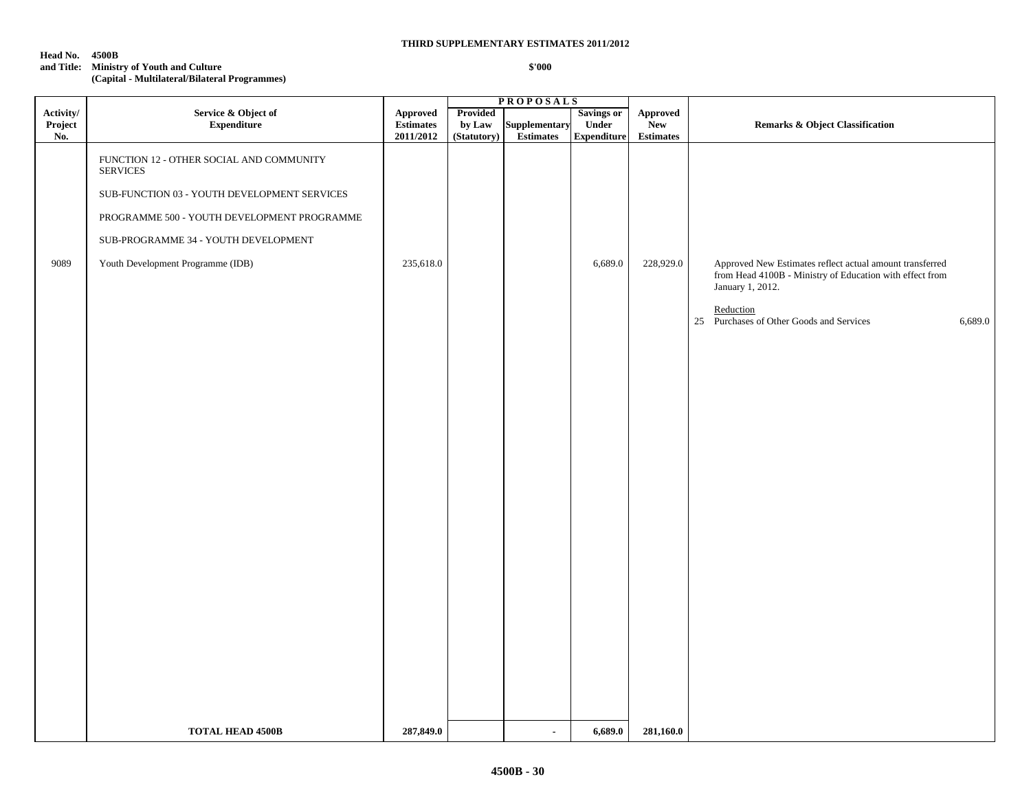#### **Head No. 4500B**

#### **and Title: Ministry of Youth and Culture \$'000**

**(Capital - Multilateral/Bilateral Programmes)**

|  | \$'000 |  |
|--|--------|--|
|  |        |  |
|  |        |  |

|           |                                                             | <b>PROPOSALS</b> |             |                |                    |                  |                                                                                                                                          |
|-----------|-------------------------------------------------------------|------------------|-------------|----------------|--------------------|------------------|------------------------------------------------------------------------------------------------------------------------------------------|
| Activity/ | Service & Object of                                         | <b>Approved</b>  | Provided    |                | <b>Savings or</b>  | <b>Approved</b>  |                                                                                                                                          |
| Project   | <b>Expenditure</b>                                          | <b>Estimates</b> | by Law      | Supplementary  | Under              | <b>New</b>       | <b>Remarks &amp; Object Classification</b>                                                                                               |
| No.       |                                                             | 2011/2012        | (Statutory) | Estimates      | <b>Expenditure</b> | <b>Estimates</b> |                                                                                                                                          |
|           | FUNCTION 12 - OTHER SOCIAL AND COMMUNITY<br><b>SERVICES</b> |                  |             |                |                    |                  |                                                                                                                                          |
|           | SUB-FUNCTION 03 - YOUTH DEVELOPMENT SERVICES                |                  |             |                |                    |                  |                                                                                                                                          |
|           | PROGRAMME 500 - YOUTH DEVELOPMENT PROGRAMME                 |                  |             |                |                    |                  |                                                                                                                                          |
|           | SUB-PROGRAMME 34 - YOUTH DEVELOPMENT                        |                  |             |                |                    |                  |                                                                                                                                          |
| 9089      | Youth Development Programme (IDB)                           | 235,618.0        |             |                | 6,689.0            | 228,929.0        | Approved New Estimates reflect actual amount transferred<br>from Head 4100B - Ministry of Education with effect from<br>January 1, 2012. |
|           |                                                             |                  |             |                |                    |                  | Reduction<br>25 Purchases of Other Goods and Services<br>6,689.0                                                                         |
|           |                                                             |                  |             |                |                    |                  |                                                                                                                                          |
|           |                                                             |                  |             |                |                    |                  |                                                                                                                                          |
|           |                                                             |                  |             |                |                    |                  |                                                                                                                                          |
|           |                                                             |                  |             |                |                    |                  |                                                                                                                                          |
|           |                                                             |                  |             |                |                    |                  |                                                                                                                                          |
|           |                                                             |                  |             |                |                    |                  |                                                                                                                                          |
|           |                                                             |                  |             |                |                    |                  |                                                                                                                                          |
|           |                                                             |                  |             |                |                    |                  |                                                                                                                                          |
|           |                                                             |                  |             |                |                    |                  |                                                                                                                                          |
|           |                                                             |                  |             |                |                    |                  |                                                                                                                                          |
|           |                                                             |                  |             |                |                    |                  |                                                                                                                                          |
|           |                                                             |                  |             |                |                    |                  |                                                                                                                                          |
|           |                                                             |                  |             |                |                    |                  |                                                                                                                                          |
|           | <b>TOTAL HEAD 4500B</b>                                     | 287,849.0        |             | $\blacksquare$ | 6,689.0            | 281,160.0        |                                                                                                                                          |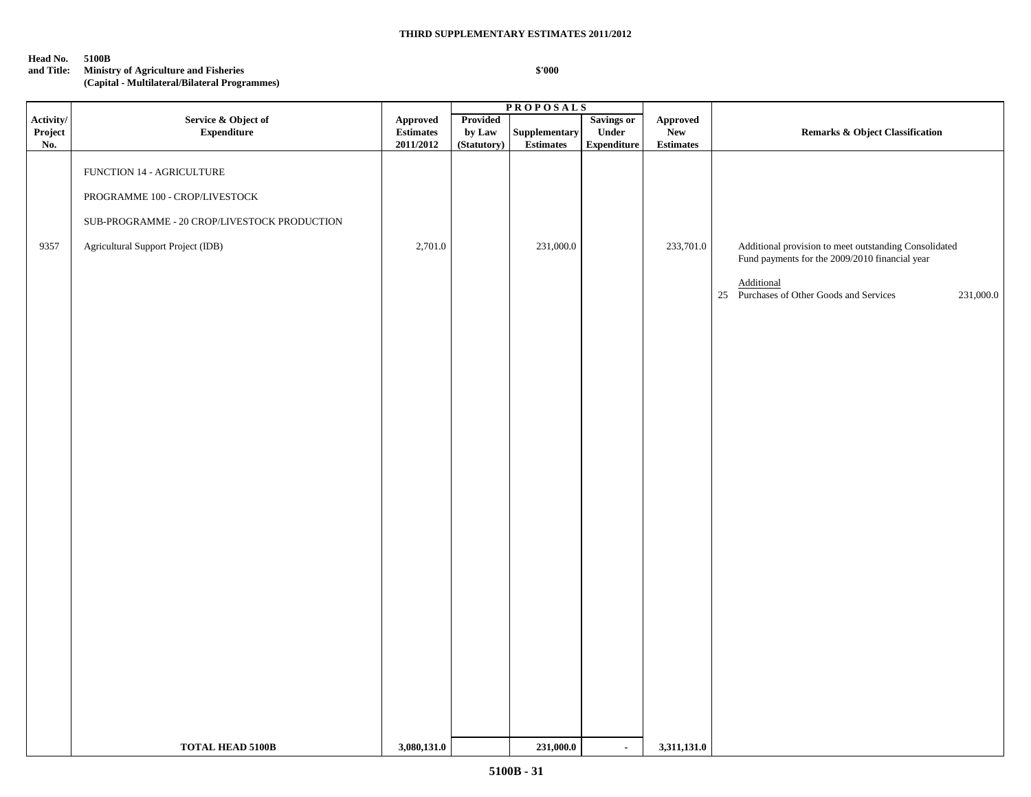**Head No. 5100B**

### **and Title: Ministry of Agriculture and Fisheries**

**(Capital - Multilateral/Bilateral Programmes)**

|                   |                                                                                                                                                                          |                                  |                    | <b>PROPOSALS</b>              |                                    |                                                                  |                                                                                                                                                                                |
|-------------------|--------------------------------------------------------------------------------------------------------------------------------------------------------------------------|----------------------------------|--------------------|-------------------------------|------------------------------------|------------------------------------------------------------------|--------------------------------------------------------------------------------------------------------------------------------------------------------------------------------|
| Project<br>No.    | <b>Expenditure</b>                                                                                                                                                       | <b>Estimates</b>                 | Provided<br>by Law | Supplementary                 | <b>Under</b><br><b>Expenditure</b> | <b>New</b>                                                       | <b>Remarks &amp; Object Classification</b>                                                                                                                                     |
| Activity/<br>9357 | Service & Object of<br>FUNCTION 14 - AGRICULTURE<br>PROGRAMME 100 - CROP/LIVESTOCK<br>SUB-PROGRAMME - 20 CROP/LIVESTOCK PRODUCTION<br>Agricultural Support Project (IDB) | Approved<br>2011/2012<br>2,701.0 | (Statutory)        | <b>Estimates</b><br>231,000.0 | Savings or                         | ${\Large {\bf\large Appendix}}$<br><b>Estimates</b><br>233,701.0 | Additional provision to meet outstanding Consolidated<br>Fund payments for the 2009/2010 financial year<br>Additional<br>25 Purchases of Other Goods and Services<br>231,000.0 |
|                   |                                                                                                                                                                          |                                  |                    |                               |                                    |                                                                  |                                                                                                                                                                                |
|                   | <b>TOTAL HEAD 5100B</b>                                                                                                                                                  | 3,080,131.0                      |                    | 231,000.0                     | $\sim$                             | 3,311,131.0                                                      |                                                                                                                                                                                |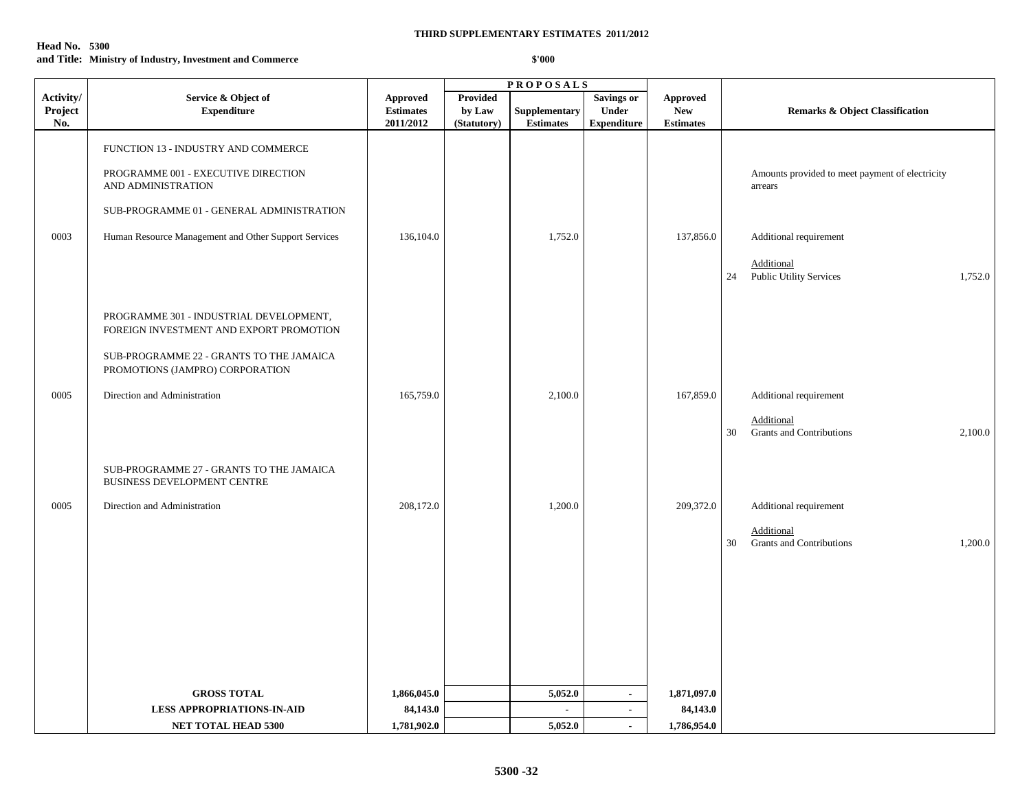| <b>Head No.</b> 5300 |                                                          |        |
|----------------------|----------------------------------------------------------|--------|
|                      | and Title: Ministry of Industry, Investment and Commerce | \$'000 |

|                                                  | <b>PROPOSALS</b>                                                                                                                                                                                                                                                                                                                                                                                                              |                                   |                                                  |                                            |                                                                                          |
|--------------------------------------------------|-------------------------------------------------------------------------------------------------------------------------------------------------------------------------------------------------------------------------------------------------------------------------------------------------------------------------------------------------------------------------------------------------------------------------------|-----------------------------------|--------------------------------------------------|--------------------------------------------|------------------------------------------------------------------------------------------|
| <b>Approved</b><br><b>Estimates</b><br>2011/2012 | <b>Provided</b><br>by Law<br>(Statutory)                                                                                                                                                                                                                                                                                                                                                                                      | Supplementary<br><b>Estimates</b> | Savings or<br><b>Under</b><br><b>Expenditure</b> | Approved<br><b>New</b><br><b>Estimates</b> | <b>Remarks &amp; Object Classification</b>                                               |
|                                                  |                                                                                                                                                                                                                                                                                                                                                                                                                               |                                   |                                                  |                                            | Amounts provided to meet payment of electricity<br>arrears                               |
| 136,104.0                                        |                                                                                                                                                                                                                                                                                                                                                                                                                               | 1,752.0                           |                                                  | 137,856.0                                  | Additional requirement<br>Additional<br>Public Utility Services<br>1,752.0<br>24         |
|                                                  |                                                                                                                                                                                                                                                                                                                                                                                                                               |                                   |                                                  |                                            |                                                                                          |
| 165,759.0                                        |                                                                                                                                                                                                                                                                                                                                                                                                                               | 2,100.0                           |                                                  | 167,859.0                                  | Additional requirement<br>Additional<br><b>Grants and Contributions</b><br>2,100.0<br>30 |
|                                                  |                                                                                                                                                                                                                                                                                                                                                                                                                               |                                   |                                                  |                                            |                                                                                          |
| 208,172.0                                        |                                                                                                                                                                                                                                                                                                                                                                                                                               | 1,200.0                           |                                                  | 209,372.0                                  | Additional requirement<br>Additional<br>Grants and Contributions<br>1,200.0<br>30        |
|                                                  |                                                                                                                                                                                                                                                                                                                                                                                                                               |                                   |                                                  |                                            |                                                                                          |
| 1,866,045.0                                      |                                                                                                                                                                                                                                                                                                                                                                                                                               |                                   | $\sim$                                           |                                            |                                                                                          |
|                                                  |                                                                                                                                                                                                                                                                                                                                                                                                                               | $\blacksquare$                    | $\blacksquare$                                   |                                            |                                                                                          |
|                                                  |                                                                                                                                                                                                                                                                                                                                                                                                                               |                                   | $\mathbf{r}$                                     |                                            |                                                                                          |
|                                                  | FUNCTION 13 - INDUSTRY AND COMMERCE<br>PROGRAMME 001 - EXECUTIVE DIRECTION<br>SUB-PROGRAMME 01 - GENERAL ADMINISTRATION<br>Human Resource Management and Other Support Services<br>PROGRAMME 301 - INDUSTRIAL DEVELOPMENT,<br>FOREIGN INVESTMENT AND EXPORT PROMOTION<br>SUB-PROGRAMME 22 - GRANTS TO THE JAMAICA<br>SUB-PROGRAMME 27 - GRANTS TO THE JAMAICA<br>84,143.0<br><b>LESS APPROPRIATIONS-IN-AID</b><br>1,781,902.0 |                                   | 5,052.0<br>5,052.0                               |                                            | 1,871,097.0<br>84,143.0<br>1,786,954.0                                                   |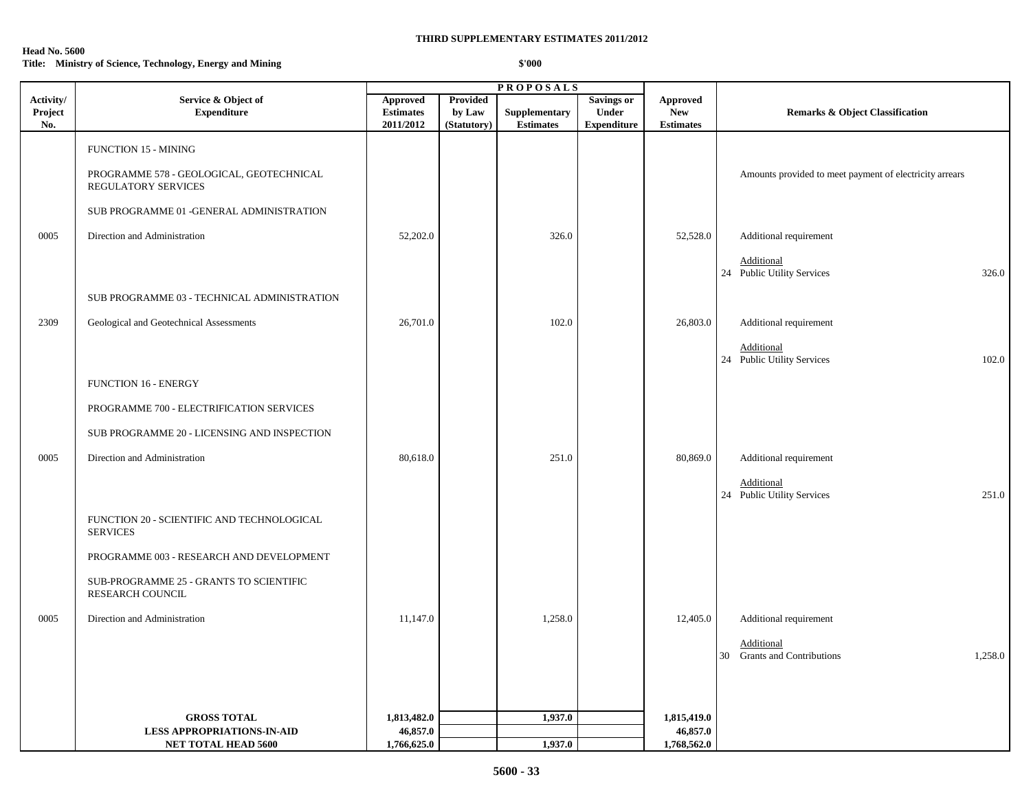#### **Head No. 5600**

## **Title: Ministry of Science, Technology, Energy and Mining \$'000**

|                             |                                                                 | <b>PROPOSALS</b>                          |                                          |                                   |                                                  |                                                   |                                                         |  |  |
|-----------------------------|-----------------------------------------------------------------|-------------------------------------------|------------------------------------------|-----------------------------------|--------------------------------------------------|---------------------------------------------------|---------------------------------------------------------|--|--|
| Activity/<br>Project<br>No. | Service & Object of<br><b>Expenditure</b>                       | Approved<br><b>Estimates</b><br>2011/2012 | <b>Provided</b><br>by Law<br>(Statutory) | Supplementary<br><b>Estimates</b> | <b>Savings or</b><br>Under<br><b>Expenditure</b> | <b>Approved</b><br><b>New</b><br><b>Estimates</b> | <b>Remarks &amp; Object Classification</b>              |  |  |
|                             | <b>FUNCTION 15 - MINING</b>                                     |                                           |                                          |                                   |                                                  |                                                   |                                                         |  |  |
|                             | PROGRAMME 578 - GEOLOGICAL, GEOTECHNICAL<br>REGULATORY SERVICES |                                           |                                          |                                   |                                                  |                                                   | Amounts provided to meet payment of electricity arrears |  |  |
|                             | SUB PROGRAMME 01 -GENERAL ADMINISTRATION                        |                                           |                                          |                                   |                                                  |                                                   |                                                         |  |  |
| 0005                        | Direction and Administration                                    | 52,202.0                                  |                                          | 326.0                             |                                                  | 52,528.0                                          | Additional requirement                                  |  |  |
|                             |                                                                 |                                           |                                          |                                   |                                                  |                                                   | Additional                                              |  |  |
|                             |                                                                 |                                           |                                          |                                   |                                                  |                                                   | 24 Public Utility Services<br>326.0                     |  |  |
|                             | SUB PROGRAMME 03 - TECHNICAL ADMINISTRATION                     |                                           |                                          |                                   |                                                  |                                                   |                                                         |  |  |
| 2309                        | Geological and Geotechnical Assessments                         | 26,701.0                                  |                                          | 102.0                             |                                                  | 26,803.0                                          | Additional requirement                                  |  |  |
|                             |                                                                 |                                           |                                          |                                   |                                                  |                                                   |                                                         |  |  |
|                             |                                                                 |                                           |                                          |                                   |                                                  |                                                   | Additional<br>24 Public Utility Services<br>102.0       |  |  |
|                             | FUNCTION 16 - ENERGY                                            |                                           |                                          |                                   |                                                  |                                                   |                                                         |  |  |
|                             |                                                                 |                                           |                                          |                                   |                                                  |                                                   |                                                         |  |  |
|                             | PROGRAMME 700 - ELECTRIFICATION SERVICES                        |                                           |                                          |                                   |                                                  |                                                   |                                                         |  |  |
|                             | SUB PROGRAMME 20 - LICENSING AND INSPECTION                     |                                           |                                          |                                   |                                                  |                                                   |                                                         |  |  |
| 0005                        | Direction and Administration                                    | 80,618.0                                  |                                          | 251.0                             |                                                  | 80,869.0                                          | Additional requirement                                  |  |  |
|                             |                                                                 |                                           |                                          |                                   |                                                  |                                                   | Additional                                              |  |  |
|                             |                                                                 |                                           |                                          |                                   |                                                  |                                                   | 251.0<br>24 Public Utility Services                     |  |  |
|                             | FUNCTION 20 - SCIENTIFIC AND TECHNOLOGICAL<br><b>SERVICES</b>   |                                           |                                          |                                   |                                                  |                                                   |                                                         |  |  |
|                             | PROGRAMME 003 - RESEARCH AND DEVELOPMENT                        |                                           |                                          |                                   |                                                  |                                                   |                                                         |  |  |
|                             | SUB-PROGRAMME 25 - GRANTS TO SCIENTIFIC<br>RESEARCH COUNCIL     |                                           |                                          |                                   |                                                  |                                                   |                                                         |  |  |
| 0005                        | Direction and Administration                                    | 11,147.0                                  |                                          | 1,258.0                           |                                                  | 12,405.0                                          | Additional requirement                                  |  |  |
|                             |                                                                 |                                           |                                          |                                   |                                                  |                                                   | Additional                                              |  |  |
|                             |                                                                 |                                           |                                          |                                   |                                                  |                                                   | 30 Grants and Contributions<br>1,258.0                  |  |  |
|                             |                                                                 |                                           |                                          |                                   |                                                  |                                                   |                                                         |  |  |
|                             |                                                                 |                                           |                                          |                                   |                                                  |                                                   |                                                         |  |  |
|                             | <b>GROSS TOTAL</b>                                              | 1,813,482.0                               |                                          | 1,937.0                           |                                                  | 1,815,419.0                                       |                                                         |  |  |
|                             | <b>LESS APPROPRIATIONS-IN-AID</b>                               | 46,857.0                                  |                                          |                                   |                                                  | 46,857.0                                          |                                                         |  |  |
|                             | NET TOTAL HEAD 5600                                             | 1,766,625.0                               |                                          | 1,937.0                           |                                                  | 1,768,562.0                                       |                                                         |  |  |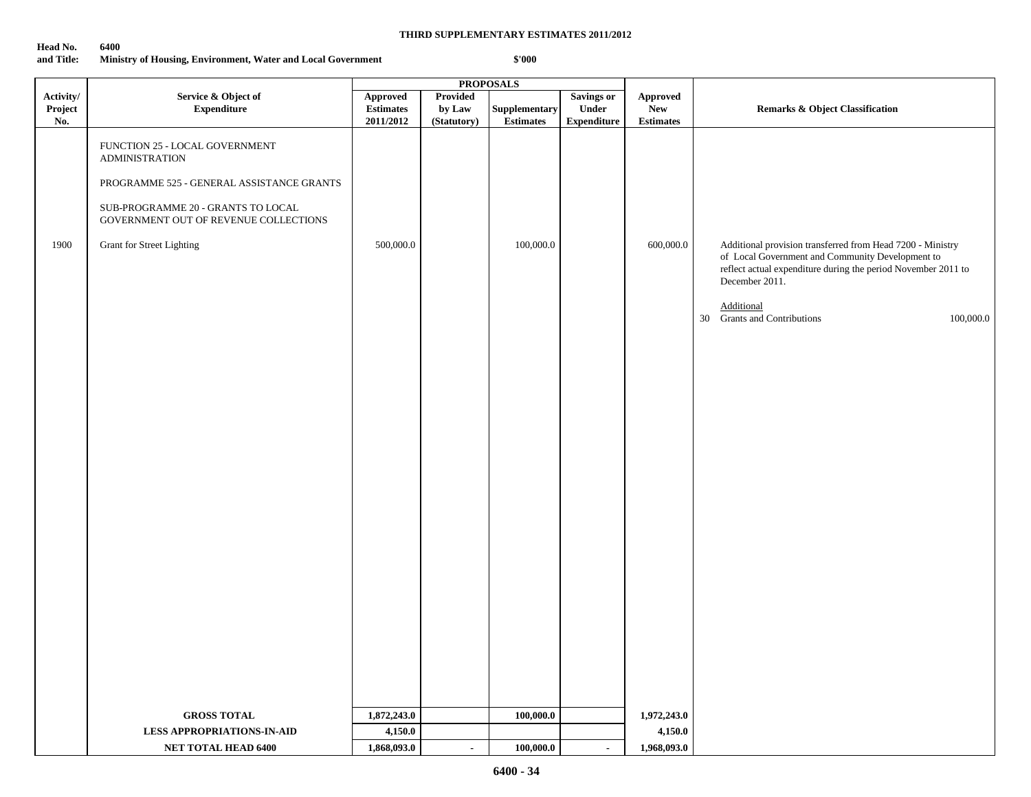| Head No. | 6400 |
|----------|------|
|----------|------|

**and Title: Ministry of Housing, Environment, Water and Local Government \$'000**

|                             |                                                                                            |                                                  |                                   | <b>PROPOSALS</b>                  |                                           |                                            |                                                                                                                                                                                                   |
|-----------------------------|--------------------------------------------------------------------------------------------|--------------------------------------------------|-----------------------------------|-----------------------------------|-------------------------------------------|--------------------------------------------|---------------------------------------------------------------------------------------------------------------------------------------------------------------------------------------------------|
| Activity/<br>Project<br>No. | Service & Object of<br><b>Expenditure</b>                                                  | <b>Approved</b><br><b>Estimates</b><br>2011/2012 | Provided<br>by Law<br>(Statutory) | Supplementary<br><b>Estimates</b> | Savings or<br>Under<br><b>Expenditure</b> | Approved<br><b>New</b><br><b>Estimates</b> | <b>Remarks &amp; Object Classification</b>                                                                                                                                                        |
|                             | FUNCTION 25 - LOCAL GOVERNMENT<br><b>ADMINISTRATION</b>                                    |                                                  |                                   |                                   |                                           |                                            |                                                                                                                                                                                                   |
|                             | PROGRAMME 525 - GENERAL ASSISTANCE GRANTS                                                  |                                                  |                                   |                                   |                                           |                                            |                                                                                                                                                                                                   |
|                             | ${\tt SUB\text{-}PROGRAMME}$ 20 - GRANTS TO LOCAL<br>GOVERNMENT OUT OF REVENUE COLLECTIONS |                                                  |                                   |                                   |                                           |                                            |                                                                                                                                                                                                   |
| 1900                        | Grant for Street Lighting                                                                  | 500,000.0                                        |                                   | 100,000.0                         |                                           | 600,000.0                                  | Additional provision transferred from Head 7200 - Ministry<br>of Local Government and Community Development to<br>reflect actual expenditure during the period November 2011 to<br>December 2011. |
|                             |                                                                                            |                                                  |                                   |                                   |                                           |                                            | Additional<br>30 Grants and Contributions<br>100,000.0                                                                                                                                            |
|                             |                                                                                            |                                                  |                                   |                                   |                                           |                                            |                                                                                                                                                                                                   |
|                             |                                                                                            |                                                  |                                   |                                   |                                           |                                            |                                                                                                                                                                                                   |
|                             |                                                                                            |                                                  |                                   |                                   |                                           |                                            |                                                                                                                                                                                                   |
|                             |                                                                                            |                                                  |                                   |                                   |                                           |                                            |                                                                                                                                                                                                   |
|                             |                                                                                            |                                                  |                                   |                                   |                                           |                                            |                                                                                                                                                                                                   |
|                             |                                                                                            |                                                  |                                   |                                   |                                           |                                            |                                                                                                                                                                                                   |
|                             |                                                                                            |                                                  |                                   |                                   |                                           |                                            |                                                                                                                                                                                                   |
|                             |                                                                                            |                                                  |                                   |                                   |                                           |                                            |                                                                                                                                                                                                   |
|                             |                                                                                            |                                                  |                                   |                                   |                                           |                                            |                                                                                                                                                                                                   |
|                             |                                                                                            |                                                  |                                   |                                   |                                           |                                            |                                                                                                                                                                                                   |
|                             |                                                                                            |                                                  |                                   |                                   |                                           |                                            |                                                                                                                                                                                                   |
|                             |                                                                                            |                                                  |                                   |                                   |                                           |                                            |                                                                                                                                                                                                   |
|                             |                                                                                            |                                                  |                                   |                                   |                                           |                                            |                                                                                                                                                                                                   |
|                             | <b>GROSS TOTAL</b>                                                                         | 1,872,243.0                                      |                                   | 100,000.0                         |                                           | 1,972,243.0                                |                                                                                                                                                                                                   |
|                             | <b>LESS APPROPRIATIONS-IN-AID</b>                                                          | 4,150.0                                          |                                   |                                   |                                           | 4,150.0                                    |                                                                                                                                                                                                   |
|                             | NET TOTAL HEAD 6400                                                                        | 1,868,093.0                                      | $\sim$                            | 100,000.0                         | $\blacksquare$                            | 1,968,093.0                                |                                                                                                                                                                                                   |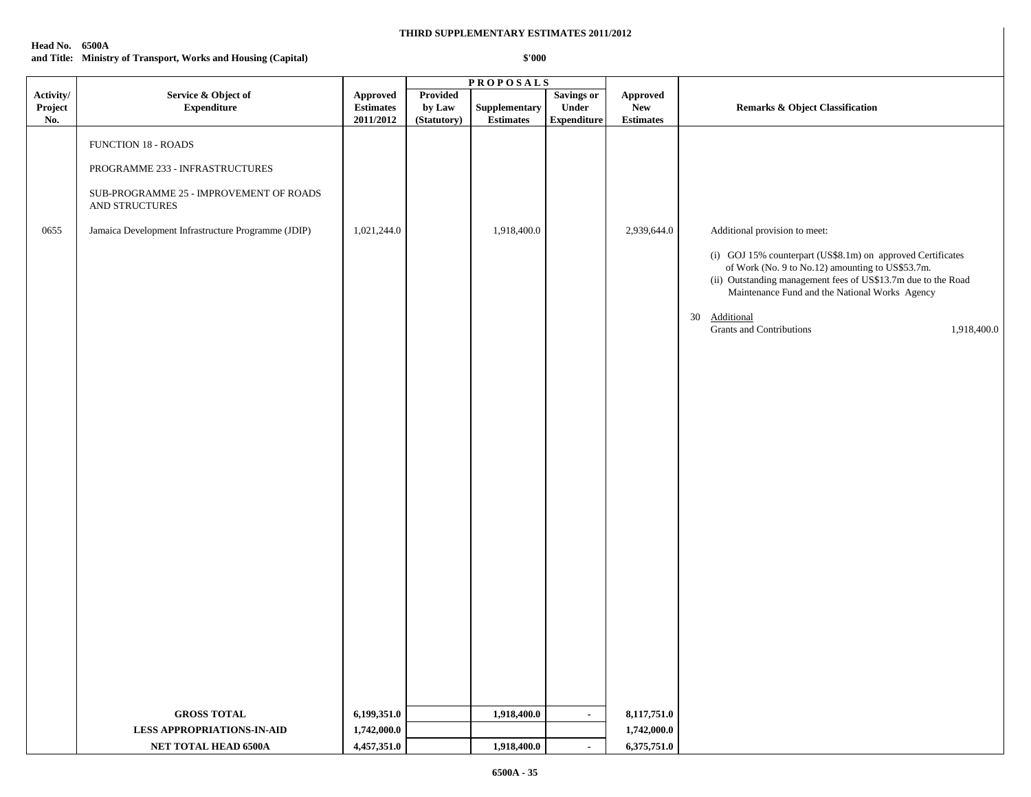#### **Head No. 6500A**

**and Title: Ministry of Transport, Works and Housing (Capital)**

|                             |                                                                                                                                                                                   |                                           |                                   | <b>PROPOSALS</b>                         |                                                  |                                             |                                                                                                                                                                                                                                                                                                                                    |
|-----------------------------|-----------------------------------------------------------------------------------------------------------------------------------------------------------------------------------|-------------------------------------------|-----------------------------------|------------------------------------------|--------------------------------------------------|---------------------------------------------|------------------------------------------------------------------------------------------------------------------------------------------------------------------------------------------------------------------------------------------------------------------------------------------------------------------------------------|
| Activity/<br>Project<br>No. | Service & Object of<br><b>Expenditure</b>                                                                                                                                         | Approved<br><b>Estimates</b><br>2011/2012 | Provided<br>by Law<br>(Statutory) | <b>Supplementary</b><br><b>Estimates</b> | <b>Savings or</b><br>Under<br><b>Expenditure</b> | Approved<br>${\bf New}$<br><b>Estimates</b> | <b>Remarks &amp; Object Classification</b>                                                                                                                                                                                                                                                                                         |
| 0655                        | <b>FUNCTION 18 - ROADS</b><br>PROGRAMME 233 - INFRASTRUCTURES<br>SUB-PROGRAMME 25 - IMPROVEMENT OF ROADS<br>AND STRUCTURES<br>Jamaica Development Infrastructure Programme (JDIP) | 1,021,244.0                               |                                   | 1,918,400.0                              |                                                  | 2,939,644.0                                 | Additional provision to meet:<br>(i) GOJ 15% counterpart (US\$8.1m) on approved Certificates<br>of Work (No. 9 to No.12) amounting to US\$53.7m.<br>(ii) Outstanding management fees of US\$13.7m due to the Road<br>Maintenance Fund and the National Works Agency<br>Additional<br>30<br>Grants and Contributions<br>1,918,400.0 |
|                             | <b>GROSS TOTAL</b><br><b>LESS APPROPRIATIONS-IN-AID</b>                                                                                                                           | 6,199,351.0<br>1,742,000.0                |                                   | 1,918,400.0                              | $\sim$                                           | 8,117,751.0<br>1,742,000.0                  |                                                                                                                                                                                                                                                                                                                                    |
|                             | NET TOTAL HEAD 6500A                                                                                                                                                              | 4,457,351.0                               |                                   | 1,918,400.0                              |                                                  | 6,375,751.0                                 |                                                                                                                                                                                                                                                                                                                                    |
|                             |                                                                                                                                                                                   |                                           |                                   |                                          | $\blacksquare$                                   |                                             |                                                                                                                                                                                                                                                                                                                                    |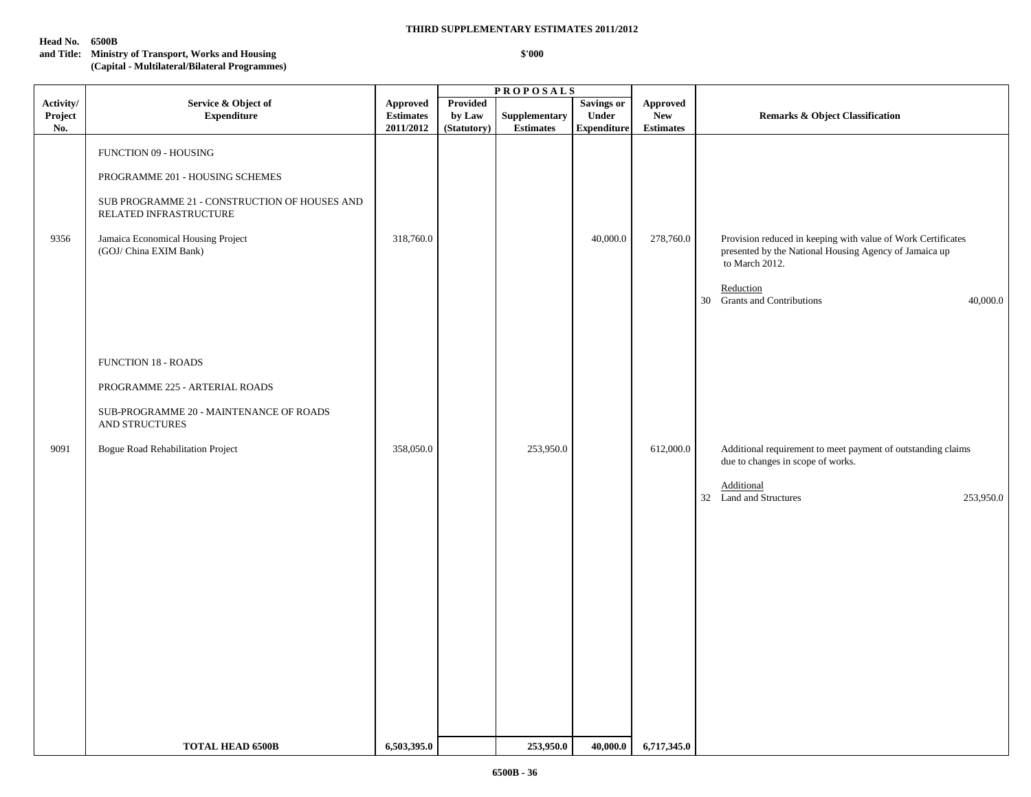#### **Head No. 6500B**

#### **THIRD SUPPLEMENTARY ESTIMATES 2011/2012**

## **and Title: Ministry of Transport, Works and Housing \$'000**

#### **(Capital - Multilateral/Bilateral Programmes)**

|                             |                                                                                                                                                                                                     |                                           | <b>PROPOSALS</b>                  |                                   |                                                  |                                            |                                                                                                                                                                                                  |
|-----------------------------|-----------------------------------------------------------------------------------------------------------------------------------------------------------------------------------------------------|-------------------------------------------|-----------------------------------|-----------------------------------|--------------------------------------------------|--------------------------------------------|--------------------------------------------------------------------------------------------------------------------------------------------------------------------------------------------------|
| Activity/<br>Project<br>No. | Service & Object of<br><b>Expenditure</b>                                                                                                                                                           | Approved<br><b>Estimates</b><br>2011/2012 | Provided<br>by Law<br>(Statutory) | Supplementary<br><b>Estimates</b> | <b>Savings or</b><br>Under<br><b>Expenditure</b> | Approved<br><b>New</b><br><b>Estimates</b> | <b>Remarks &amp; Object Classification</b>                                                                                                                                                       |
| 9356                        | FUNCTION 09 - HOUSING<br>PROGRAMME 201 - HOUSING SCHEMES<br>SUB PROGRAMME 21 - CONSTRUCTION OF HOUSES AND<br>RELATED INFRASTRUCTURE<br>Jamaica Economical Housing Project<br>(GOJ/ China EXIM Bank) | 318,760.0                                 |                                   |                                   | 40,000.0                                         | 278,760.0                                  | Provision reduced in keeping with value of Work Certificates<br>presented by the National Housing Agency of Jamaica up<br>to March 2012.<br>Reduction<br>30 Grants and Contributions<br>40,000.0 |
| 9091                        | <b>FUNCTION 18 - ROADS</b><br>PROGRAMME 225 - ARTERIAL ROADS<br>SUB-PROGRAMME 20 - MAINTENANCE OF ROADS<br>AND STRUCTURES<br>Bogue Road Rehabilitation Project                                      | 358,050.0                                 |                                   | 253,950.0                         |                                                  | 612,000.0                                  | Additional requirement to meet payment of outstanding claims<br>due to changes in scope of works.<br>Additional<br>32 Land and Structures<br>253,950.0                                           |
|                             | <b>TOTAL HEAD 6500B</b>                                                                                                                                                                             | 6,503,395.0                               |                                   | 253,950.0                         | 40,000.0                                         | 6,717,345.0                                |                                                                                                                                                                                                  |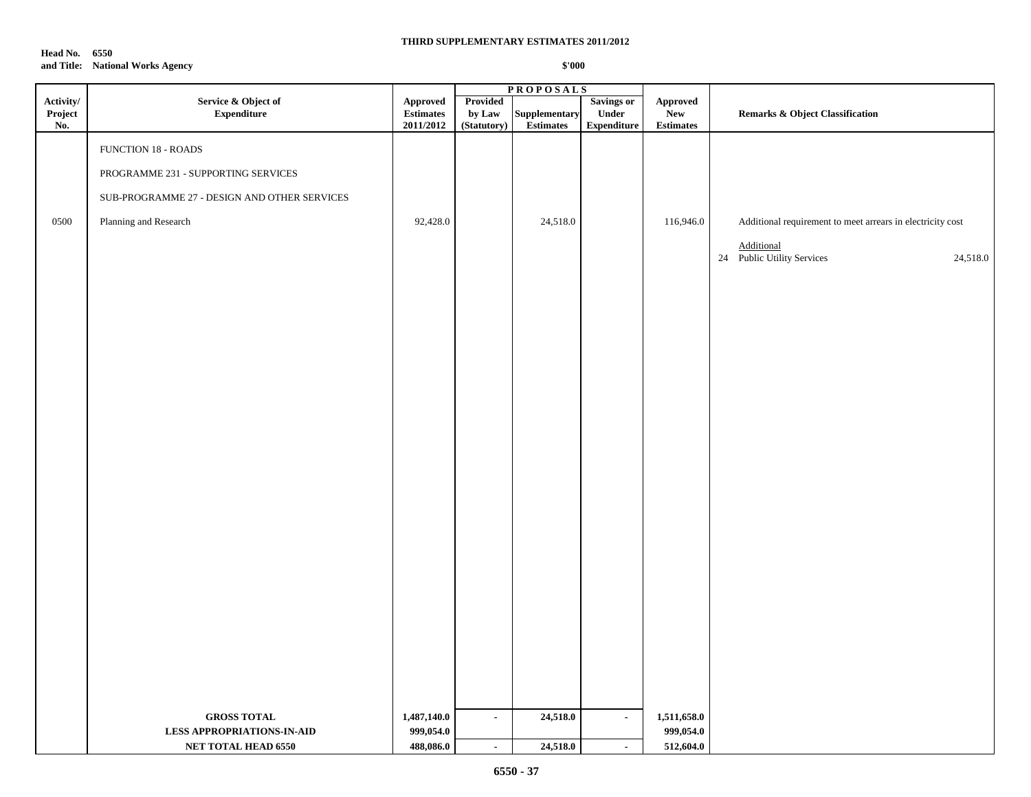**Head No. 6550 and Title: National Works Agency**

|                             |                                              |                                                                   | <b>PROPOSALS</b>                  |                            |                                           |                                            |                                                            |
|-----------------------------|----------------------------------------------|-------------------------------------------------------------------|-----------------------------------|----------------------------|-------------------------------------------|--------------------------------------------|------------------------------------------------------------|
| Activity/<br>Project<br>No. | Service & Object of<br><b>Expenditure</b>    | Approved<br>$\label{p:estimates} \textbf{Estimates}$<br>2011/2012 | Provided<br>by Law<br>(Statutory) | Supplementary<br>Estimates | Savings or<br>Under<br><b>Expenditure</b> | Approved<br><b>New</b><br><b>Estimates</b> | <b>Remarks &amp; Object Classification</b>                 |
|                             | <b>FUNCTION 18 - ROADS</b>                   |                                                                   |                                   |                            |                                           |                                            |                                                            |
|                             | PROGRAMME 231 - SUPPORTING SERVICES          |                                                                   |                                   |                            |                                           |                                            |                                                            |
|                             | SUB-PROGRAMME 27 - DESIGN AND OTHER SERVICES |                                                                   |                                   |                            |                                           |                                            |                                                            |
| 0500                        | Planning and Research                        | 92,428.0                                                          |                                   | 24,518.0                   |                                           | 116,946.0                                  | Additional requirement to meet arrears in electricity cost |
|                             |                                              |                                                                   |                                   |                            |                                           |                                            | <b>Additional</b><br>24 Public Utility Services            |
|                             |                                              |                                                                   |                                   |                            |                                           |                                            | 24,518.0                                                   |
|                             |                                              |                                                                   |                                   |                            |                                           |                                            |                                                            |
|                             |                                              |                                                                   |                                   |                            |                                           |                                            |                                                            |
|                             |                                              |                                                                   |                                   |                            |                                           |                                            |                                                            |
|                             |                                              |                                                                   |                                   |                            |                                           |                                            |                                                            |
|                             |                                              |                                                                   |                                   |                            |                                           |                                            |                                                            |
|                             |                                              |                                                                   |                                   |                            |                                           |                                            |                                                            |
|                             |                                              |                                                                   |                                   |                            |                                           |                                            |                                                            |
|                             |                                              |                                                                   |                                   |                            |                                           |                                            |                                                            |
|                             |                                              |                                                                   |                                   |                            |                                           |                                            |                                                            |
|                             |                                              |                                                                   |                                   |                            |                                           |                                            |                                                            |
|                             |                                              |                                                                   |                                   |                            |                                           |                                            |                                                            |
|                             |                                              |                                                                   |                                   |                            |                                           |                                            |                                                            |
|                             |                                              |                                                                   |                                   |                            |                                           |                                            |                                                            |
|                             |                                              |                                                                   |                                   |                            |                                           |                                            |                                                            |
|                             |                                              |                                                                   |                                   |                            |                                           |                                            |                                                            |
|                             |                                              |                                                                   |                                   |                            |                                           |                                            |                                                            |
|                             |                                              |                                                                   |                                   |                            |                                           |                                            |                                                            |
|                             | <b>GROSS TOTAL</b>                           | 1,487,140.0                                                       | $\sim$                            | 24,518.0                   | $\sim$                                    | 1,511,658.0                                |                                                            |
|                             | <b>LESS APPROPRIATIONS-IN-AID</b>            | 999,054.0                                                         |                                   |                            |                                           | 999,054.0                                  |                                                            |
|                             | NET TOTAL HEAD 6550                          | 488,086.0                                                         | $\bullet$                         | 24,518.0                   | $\blacksquare$                            | 512,604.0                                  |                                                            |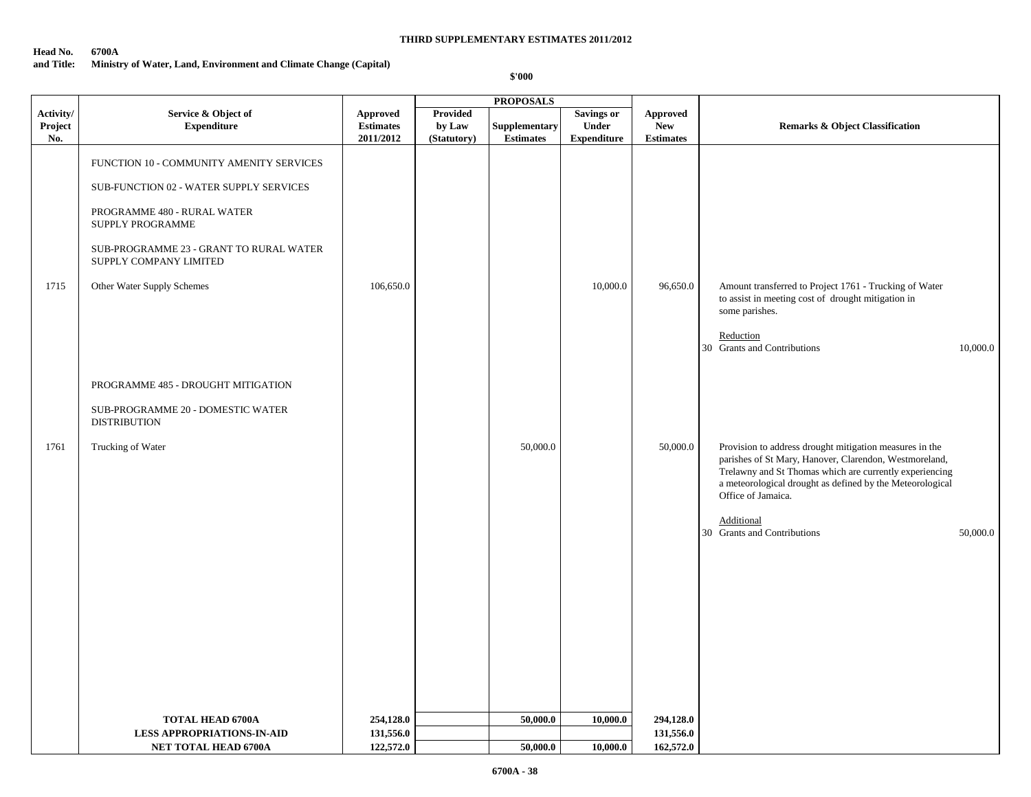**Head No. 6700A**

## **and Title: Ministry of Water, Land, Environment and Climate Change (Capital)**

|                             |                                                                   |                                                  |                                   | <b>PROPOSALS</b>                  |                                                         |                                                   |                                                                                                                                                                                                                                                                 |
|-----------------------------|-------------------------------------------------------------------|--------------------------------------------------|-----------------------------------|-----------------------------------|---------------------------------------------------------|---------------------------------------------------|-----------------------------------------------------------------------------------------------------------------------------------------------------------------------------------------------------------------------------------------------------------------|
| Activity/<br>Project<br>No. | Service & Object of<br><b>Expenditure</b>                         | <b>Approved</b><br><b>Estimates</b><br>2011/2012 | Provided<br>by Law<br>(Statutory) | Supplementary<br><b>Estimates</b> | <b>Savings or</b><br><b>Under</b><br><b>Expenditure</b> | <b>Approved</b><br><b>New</b><br><b>Estimates</b> | <b>Remarks &amp; Object Classification</b>                                                                                                                                                                                                                      |
|                             | FUNCTION 10 - COMMUNITY AMENITY SERVICES                          |                                                  |                                   |                                   |                                                         |                                                   |                                                                                                                                                                                                                                                                 |
|                             | SUB-FUNCTION 02 - WATER SUPPLY SERVICES                           |                                                  |                                   |                                   |                                                         |                                                   |                                                                                                                                                                                                                                                                 |
|                             | PROGRAMME 480 - RURAL WATER<br>SUPPLY PROGRAMME                   |                                                  |                                   |                                   |                                                         |                                                   |                                                                                                                                                                                                                                                                 |
|                             | SUB-PROGRAMME 23 - GRANT TO RURAL WATER<br>SUPPLY COMPANY LIMITED |                                                  |                                   |                                   |                                                         |                                                   |                                                                                                                                                                                                                                                                 |
| 1715                        | Other Water Supply Schemes                                        | 106,650.0                                        |                                   |                                   | 10,000.0                                                | 96,650.0                                          | Amount transferred to Project 1761 - Trucking of Water<br>to assist in meeting cost of drought mitigation in<br>some parishes.                                                                                                                                  |
|                             |                                                                   |                                                  |                                   |                                   |                                                         |                                                   | Reduction<br>30 Grants and Contributions<br>10,000.0                                                                                                                                                                                                            |
|                             | PROGRAMME 485 - DROUGHT MITIGATION                                |                                                  |                                   |                                   |                                                         |                                                   |                                                                                                                                                                                                                                                                 |
|                             | SUB-PROGRAMME 20 - DOMESTIC WATER<br><b>DISTRIBUTION</b>          |                                                  |                                   |                                   |                                                         |                                                   |                                                                                                                                                                                                                                                                 |
| 1761                        | Trucking of Water                                                 |                                                  |                                   | 50,000.0                          |                                                         | 50,000.0                                          | Provision to address drought mitigation measures in the<br>parishes of St Mary, Hanover, Clarendon, Westmoreland,<br>Trelawny and St Thomas which are currently experiencing<br>a meteorological drought as defined by the Meteorological<br>Office of Jamaica. |
|                             |                                                                   |                                                  |                                   |                                   |                                                         |                                                   | Additional<br>30 Grants and Contributions<br>50,000.0                                                                                                                                                                                                           |
|                             |                                                                   |                                                  |                                   |                                   |                                                         |                                                   |                                                                                                                                                                                                                                                                 |
|                             |                                                                   |                                                  |                                   |                                   |                                                         |                                                   |                                                                                                                                                                                                                                                                 |
|                             |                                                                   |                                                  |                                   |                                   |                                                         |                                                   |                                                                                                                                                                                                                                                                 |
|                             |                                                                   |                                                  |                                   |                                   |                                                         |                                                   |                                                                                                                                                                                                                                                                 |
|                             | <b>TOTAL HEAD 6700A</b>                                           | 254,128.0<br>131,556.0                           |                                   | 50,000.0                          | 10,000.0                                                | 294,128.0<br>131,556.0                            |                                                                                                                                                                                                                                                                 |
|                             | <b>LESS APPROPRIATIONS-IN-AID</b><br>NET TOTAL HEAD 6700A         | 122,572.0                                        |                                   | 50,000.0                          | 10,000.0                                                | 162,572.0                                         |                                                                                                                                                                                                                                                                 |
|                             |                                                                   |                                                  |                                   |                                   |                                                         |                                                   |                                                                                                                                                                                                                                                                 |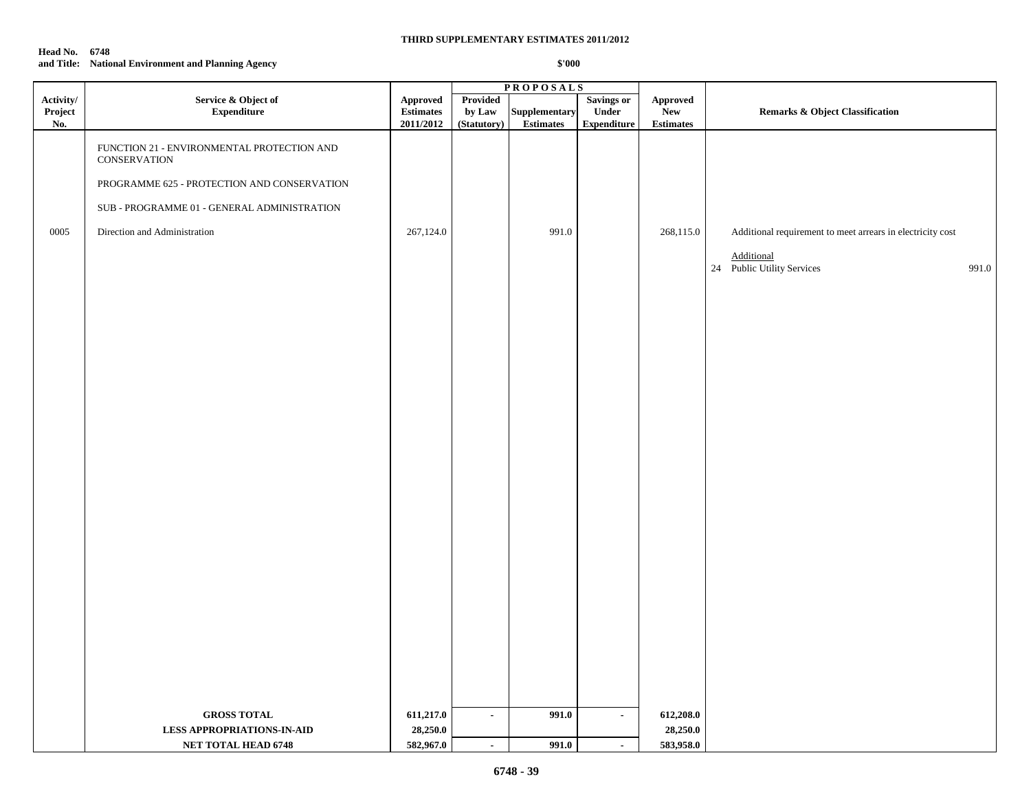#### **Head No. 6748 and Title: National Environment and Planning Agency**

|                             |                                                                   |                                                  | <b>PROPOSALS</b>                         |                                   |                                           |                                                   |                                                            |  |
|-----------------------------|-------------------------------------------------------------------|--------------------------------------------------|------------------------------------------|-----------------------------------|-------------------------------------------|---------------------------------------------------|------------------------------------------------------------|--|
| Activity/<br>Project<br>No. | Service & Object of<br><b>Expenditure</b>                         | <b>Approved</b><br><b>Estimates</b><br>2011/2012 | <b>Provided</b><br>by Law<br>(Statutory) | Supplementary<br><b>Estimates</b> | Savings or<br>Under<br><b>Expenditure</b> | <b>Approved</b><br><b>New</b><br><b>Estimates</b> | <b>Remarks &amp; Object Classification</b>                 |  |
|                             | FUNCTION 21 - ENVIRONMENTAL PROTECTION AND<br><b>CONSERVATION</b> |                                                  |                                          |                                   |                                           |                                                   |                                                            |  |
|                             | PROGRAMME 625 - PROTECTION AND CONSERVATION                       |                                                  |                                          |                                   |                                           |                                                   |                                                            |  |
|                             | SUB - PROGRAMME 01 - GENERAL ADMINISTRATION                       |                                                  |                                          |                                   |                                           |                                                   |                                                            |  |
| 0005                        | Direction and Administration                                      | 267,124.0                                        |                                          | 991.0                             |                                           | 268,115.0                                         | Additional requirement to meet arrears in electricity cost |  |
|                             |                                                                   |                                                  |                                          |                                   |                                           |                                                   | Additional<br>24 Public Utility Services<br>991.0          |  |
|                             |                                                                   |                                                  |                                          |                                   |                                           |                                                   |                                                            |  |
|                             |                                                                   |                                                  |                                          |                                   |                                           |                                                   |                                                            |  |
|                             |                                                                   |                                                  |                                          |                                   |                                           |                                                   |                                                            |  |
|                             |                                                                   |                                                  |                                          |                                   |                                           |                                                   |                                                            |  |
|                             |                                                                   |                                                  |                                          |                                   |                                           |                                                   |                                                            |  |
|                             |                                                                   |                                                  |                                          |                                   |                                           |                                                   |                                                            |  |
|                             |                                                                   |                                                  |                                          |                                   |                                           |                                                   |                                                            |  |
|                             |                                                                   |                                                  |                                          |                                   |                                           |                                                   |                                                            |  |
|                             |                                                                   |                                                  |                                          |                                   |                                           |                                                   |                                                            |  |
|                             |                                                                   |                                                  |                                          |                                   |                                           |                                                   |                                                            |  |
|                             |                                                                   |                                                  |                                          |                                   |                                           |                                                   |                                                            |  |
|                             |                                                                   |                                                  |                                          |                                   |                                           |                                                   |                                                            |  |
|                             |                                                                   |                                                  |                                          |                                   |                                           |                                                   |                                                            |  |
|                             |                                                                   |                                                  |                                          |                                   |                                           |                                                   |                                                            |  |
|                             |                                                                   |                                                  |                                          |                                   |                                           |                                                   |                                                            |  |
|                             |                                                                   |                                                  |                                          |                                   |                                           |                                                   |                                                            |  |
|                             |                                                                   |                                                  |                                          |                                   |                                           |                                                   |                                                            |  |
|                             | <b>GROSS TOTAL</b>                                                | 611,217.0                                        | $\blacksquare$                           | 991.0                             | $\mathbf{r}$                              | 612,208.0                                         |                                                            |  |
|                             | <b>LESS APPROPRIATIONS-IN-AID</b>                                 | 28,250.0                                         |                                          |                                   |                                           | 28,250.0                                          |                                                            |  |
|                             | NET TOTAL HEAD 6748                                               | 582,967.0                                        | $\sim$                                   | 991.0                             | $\sim$                                    | 583,958.0                                         |                                                            |  |